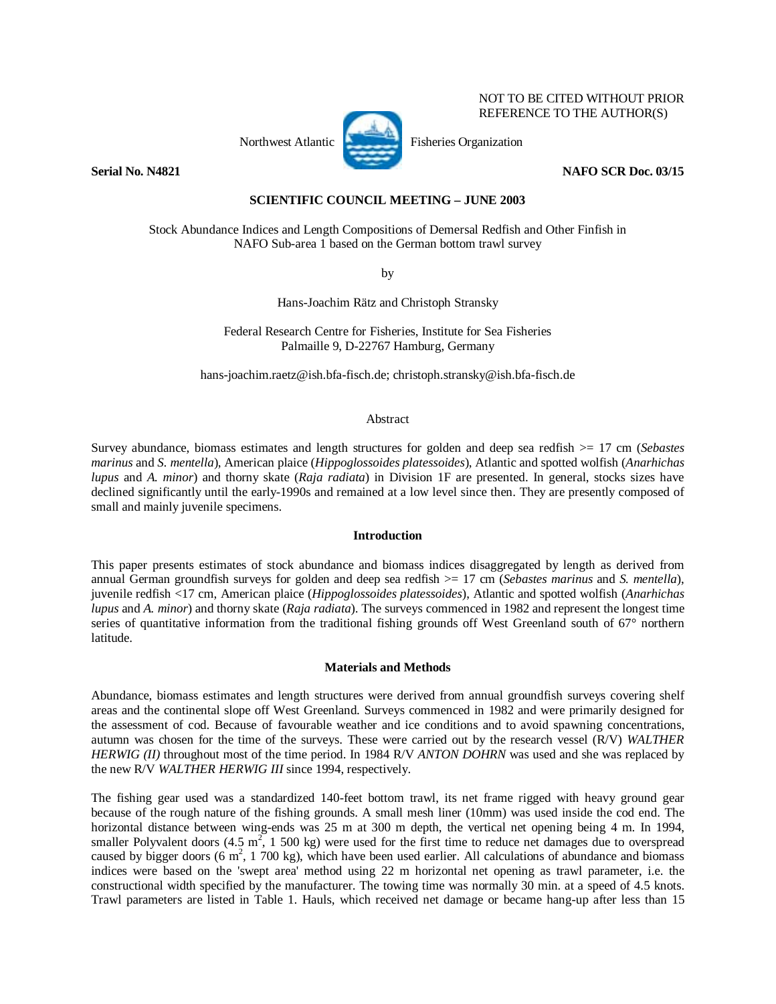### NOT TO BE CITED WITHOUT PRIOR REFERENCE TO THE AUTHOR(S)

Northwest Atlantic Fisheries Organization



**Serial No. N4821 NAFO SCR Doc. 03/15** 

**SCIENTIFIC COUNCIL MEETING – JUNE 2003** 

Stock Abundance Indices and Length Compositions of Demersal Redfish and Other Finfish in NAFO Sub-area 1 based on the German bottom trawl survey

by

Hans-Joachim Rätz and Christoph Stransky

Federal Research Centre for Fisheries, Institute for Sea Fisheries Palmaille 9, D-22767 Hamburg, Germany

hans-joachim.raetz@ish.bfa-fisch.de; christoph.stransky@ish.bfa-fisch.de

# Abstract

Survey abundance, biomass estimates and length structures for golden and deep sea redfish >= 17 cm (*Sebastes marinus* and *S. mentella*), American plaice (*Hippoglossoides platessoides*), Atlantic and spotted wolfish (*Anarhichas lupus* and *A. minor*) and thorny skate (*Raja radiata*) in Division 1F are presented. In general, stocks sizes have declined significantly until the early-1990s and remained at a low level since then. They are presently composed of small and mainly juvenile specimens.

## **Introduction**

This paper presents estimates of stock abundance and biomass indices disaggregated by length as derived from annual German groundfish surveys for golden and deep sea redfish >= 17 cm (*Sebastes marinus* and *S. mentella*), juvenile redfish <17 cm, American plaice (*Hippoglossoides platessoides*), Atlantic and spotted wolfish (*Anarhichas lupus* and *A. minor*) and thorny skate (*Raja radiata*). The surveys commenced in 1982 and represent the longest time series of quantitative information from the traditional fishing grounds off West Greenland south of 67° northern latitude.

### **Materials and Methods**

Abundance, biomass estimates and length structures were derived from annual groundfish surveys covering shelf areas and the continental slope off West Greenland. Surveys commenced in 1982 and were primarily designed for the assessment of cod. Because of favourable weather and ice conditions and to avoid spawning concentrations, autumn was chosen for the time of the surveys. These were carried out by the research vessel (R/V) *WALTHER HERWIG (II)* throughout most of the time period. In 1984 R/V *ANTON DOHRN* was used and she was replaced by the new R/V *WALTHER HERWIG III* since 1994, respectively.

The fishing gear used was a standardized 140-feet bottom trawl, its net frame rigged with heavy ground gear because of the rough nature of the fishing grounds. A small mesh liner (10mm) was used inside the cod end. The horizontal distance between wing-ends was 25 m at 300 m depth, the vertical net opening being 4 m. In 1994, smaller Polyvalent doors  $(4.5 \text{ m}^2, 1500 \text{ kg})$  were used for the first time to reduce net damages due to overspread caused by bigger doors (6  $m^2$ , 1 700 kg), which have been used earlier. All calculations of abundance and biomass indices were based on the 'swept area' method using 22 m horizontal net opening as trawl parameter, i.e. the constructional width specified by the manufacturer. The towing time was normally 30 min. at a speed of 4.5 knots. Trawl parameters are listed in Table 1. Hauls, which received net damage or became hang-up after less than 15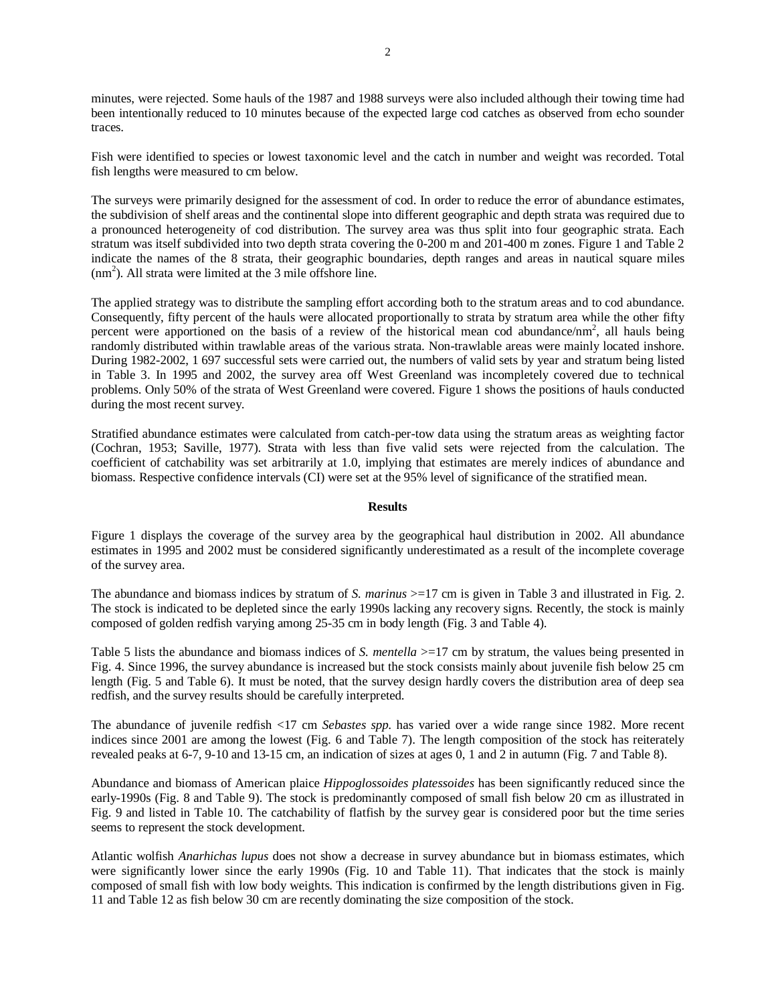minutes, were rejected. Some hauls of the 1987 and 1988 surveys were also included although their towing time had been intentionally reduced to 10 minutes because of the expected large cod catches as observed from echo sounder traces.

Fish were identified to species or lowest taxonomic level and the catch in number and weight was recorded. Total fish lengths were measured to cm below.

The surveys were primarily designed for the assessment of cod. In order to reduce the error of abundance estimates, the subdivision of shelf areas and the continental slope into different geographic and depth strata was required due to a pronounced heterogeneity of cod distribution. The survey area was thus split into four geographic strata. Each stratum was itself subdivided into two depth strata covering the 0-200 m and 201-400 m zones. Figure 1 and Table 2 indicate the names of the 8 strata, their geographic boundaries, depth ranges and areas in nautical square miles (nm<sup>2</sup> ). All strata were limited at the 3 mile offshore line.

The applied strategy was to distribute the sampling effort according both to the stratum areas and to cod abundance. Consequently, fifty percent of the hauls were allocated proportionally to strata by stratum area while the other fifty percent were apportioned on the basis of a review of the historical mean cod abundance/nm<sup>2</sup>, all hauls being randomly distributed within trawlable areas of the various strata. Non-trawlable areas were mainly located inshore. During 1982-2002, 1 697 successful sets were carried out, the numbers of valid sets by year and stratum being listed in Table 3. In 1995 and 2002, the survey area off West Greenland was incompletely covered due to technical problems. Only 50% of the strata of West Greenland were covered. Figure 1 shows the positions of hauls conducted during the most recent survey.

Stratified abundance estimates were calculated from catch-per-tow data using the stratum areas as weighting factor (Cochran, 1953; Saville, 1977). Strata with less than five valid sets were rejected from the calculation. The coefficient of catchability was set arbitrarily at 1.0, implying that estimates are merely indices of abundance and biomass. Respective confidence intervals (CI) were set at the 95% level of significance of the stratified mean.

#### **Results**

Figure 1 displays the coverage of the survey area by the geographical haul distribution in 2002. All abundance estimates in 1995 and 2002 must be considered significantly underestimated as a result of the incomplete coverage of the survey area.

The abundance and biomass indices by stratum of *S. marinus* >=17 cm is given in Table 3 and illustrated in Fig. 2. The stock is indicated to be depleted since the early 1990s lacking any recovery signs. Recently, the stock is mainly composed of golden redfish varying among 25-35 cm in body length (Fig. 3 and Table 4).

Table 5 lists the abundance and biomass indices of *S. mentella* >=17 cm by stratum, the values being presented in Fig. 4. Since 1996, the survey abundance is increased but the stock consists mainly about juvenile fish below 25 cm length (Fig. 5 and Table 6). It must be noted, that the survey design hardly covers the distribution area of deep sea redfish, and the survey results should be carefully interpreted.

The abundance of juvenile redfish <17 cm *Sebastes spp.* has varied over a wide range since 1982. More recent indices since 2001 are among the lowest (Fig. 6 and Table 7). The length composition of the stock has reiterately revealed peaks at 6-7, 9-10 and 13-15 cm, an indication of sizes at ages 0, 1 and 2 in autumn (Fig. 7 and Table 8).

Abundance and biomass of American plaice *Hippoglossoides platessoides* has been significantly reduced since the early-1990s (Fig. 8 and Table 9). The stock is predominantly composed of small fish below 20 cm as illustrated in Fig. 9 and listed in Table 10. The catchability of flatfish by the survey gear is considered poor but the time series seems to represent the stock development.

Atlantic wolfish *Anarhichas lupus* does not show a decrease in survey abundance but in biomass estimates, which were significantly lower since the early 1990s (Fig. 10 and Table 11). That indicates that the stock is mainly composed of small fish with low body weights. This indication is confirmed by the length distributions given in Fig. 11 and Table 12 as fish below 30 cm are recently dominating the size composition of the stock.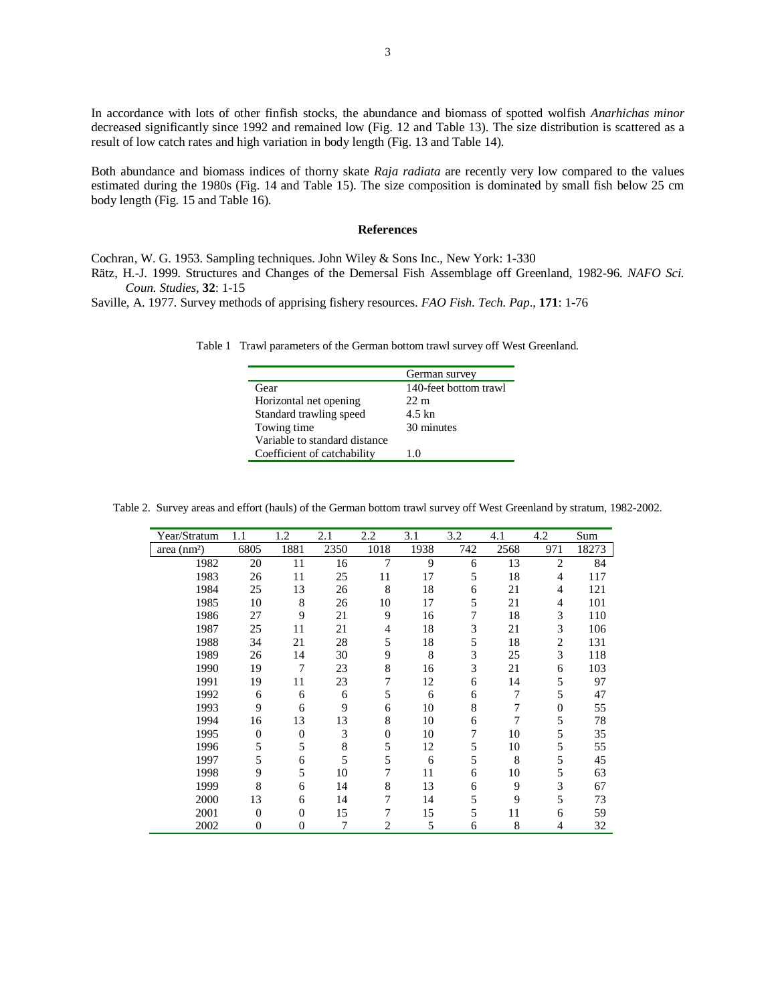In accordance with lots of other finfish stocks, the abundance and biomass of spotted wolfish *Anarhichas minor* decreased significantly since 1992 and remained low (Fig. 12 and Table 13). The size distribution is scattered as a result of low catch rates and high variation in body length (Fig. 13 and Table 14).

Both abundance and biomass indices of thorny skate *Raja radiata* are recently very low compared to the values estimated during the 1980s (Fig. 14 and Table 15). The size composition is dominated by small fish below 25 cm body length (Fig. 15 and Table 16).

#### **References**

Cochran, W. G. 1953. Sampling techniques. John Wiley & Sons Inc., New York: 1-330

Rätz, H.-J. 1999. Structures and Changes of the Demersal Fish Assemblage off Greenland, 1982-96. *NAFO Sci. Coun. Studies*, **32**: 1-15

Saville, A. 1977. Survey methods of apprising fishery resources. *FAO Fish. Tech. Pap*., **171**: 1-76

Table 1 Trawl parameters of the German bottom trawl survey off West Greenland.

|                               | German survey         |
|-------------------------------|-----------------------|
| Gear                          | 140-feet bottom trawl |
| Horizontal net opening        | $22 \text{ m}$        |
| Standard trawling speed       | 4.5 kn                |
| Towing time                   | 30 minutes            |
| Variable to standard distance |                       |
| Coefficient of catchability   | 1.0                   |

Table 2. Survey areas and effort (hauls) of the German bottom trawl survey off West Greenland by stratum, 1982-2002.

| Year/Stratum            | 1.1      | 1.2            | 2.1  | 2.2            | 3.1  | 3.2 | 4.1  | 4.2              | Sum   |
|-------------------------|----------|----------------|------|----------------|------|-----|------|------------------|-------|
| area (nm <sup>2</sup> ) | 6805     | 1881           | 2350 | 1018           | 1938 | 742 | 2568 | 971              | 18273 |
| 1982                    | 20       | 11             | 16   | 7              | 9    | 6   | 13   | $\overline{2}$   | 84    |
| 1983                    | 26       | 11             | 25   | 11             | 17   | 5   | 18   | 4                | 117   |
| 1984                    | 25       | 13             | 26   | 8              | 18   | 6   | 21   | 4                | 121   |
| 1985                    | 10       | 8              | 26   | 10             | 17   | 5   | 21   | 4                | 101   |
| 1986                    | 27       | 9              | 21   | 9              | 16   | 7   | 18   | 3                | 110   |
| 1987                    | 25       | 11             | 21   | 4              | 18   | 3   | 21   | 3                | 106   |
| 1988                    | 34       | 21             | 28   | 5              | 18   | 5   | 18   | $\overline{c}$   | 131   |
| 1989                    | 26       | 14             | 30   | 9              | 8    | 3   | 25   | 3                | 118   |
| 1990                    | 19       | 7              | 23   | 8              | 16   | 3   | 21   | 6                | 103   |
| 1991                    | 19       | 11             | 23   | 7              | 12   | 6   | 14   | 5                | 97    |
| 1992                    | 6        | 6              | 6    | 5              | 6    | 6   | 7    | 5                | 47    |
| 1993                    | 9        | 6              | 9    | 6              | 10   | 8   | 7    | $\boldsymbol{0}$ | 55    |
| 1994                    | 16       | 13             | 13   | 8              | 10   | 6   | 7    | 5                | 78    |
| 1995                    | $\theta$ | $\Omega$       | 3    | $\Omega$       | 10   | 7   | 10   | 5                | 35    |
| 1996                    | 5        | 5              | 8    | 5              | 12   | 5   | 10   | 5                | 55    |
| 1997                    | 5        | 6              | 5    | 5              | 6    | 5   | 8    | 5                | 45    |
| 1998                    | 9        | 5              | 10   | 7              | 11   | 6   | 10   | 5                | 63    |
| 1999                    | 8        | 6              | 14   | 8              | 13   | 6   | 9    | 3                | 67    |
| 2000                    | 13       | 6              | 14   | 7              | 14   | 5   | 9    | 5                | 73    |
| 2001                    | $\theta$ | $\Omega$       | 15   | 7              | 15   | 5   | 11   | 6                | 59    |
| 2002                    | $\theta$ | $\overline{0}$ | 7    | $\overline{c}$ | 5    | 6   | 8    | 4                | 32    |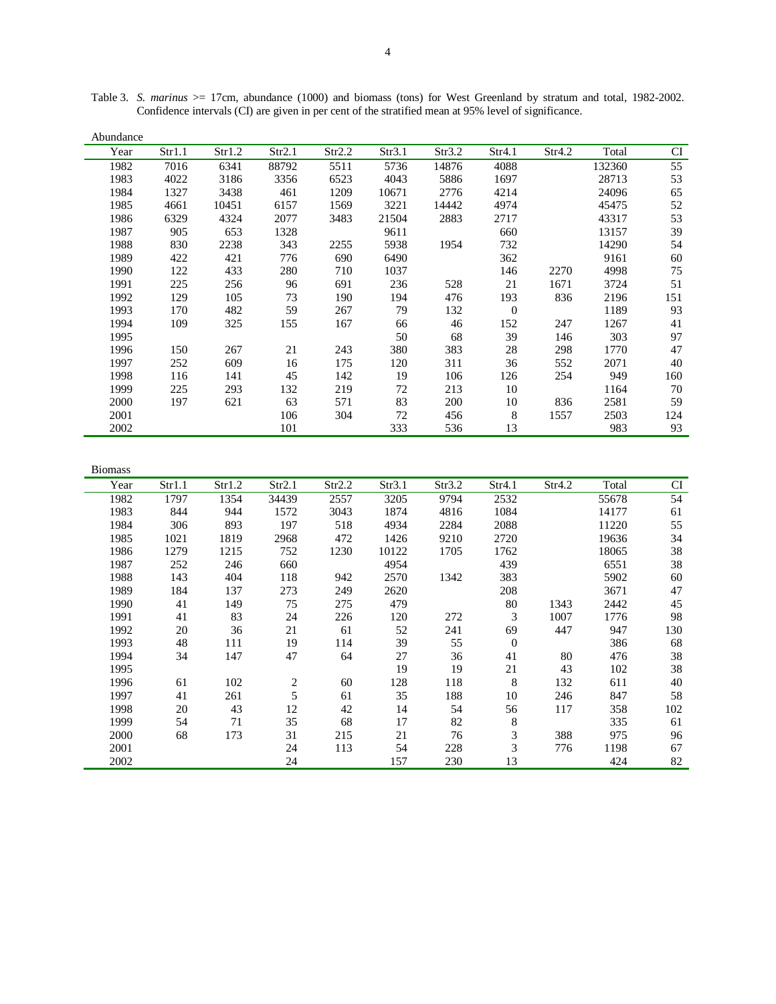| Abundance |        |        |        |        |        |        |          |        |        |     |
|-----------|--------|--------|--------|--------|--------|--------|----------|--------|--------|-----|
| Year      | Str1.1 | Str1.2 | Str2.1 | Str2.2 | Str3.1 | Str3.2 | Str4.1   | Str4.2 | Total  | CI  |
| 1982      | 7016   | 6341   | 88792  | 5511   | 5736   | 14876  | 4088     |        | 132360 | 55  |
| 1983      | 4022   | 3186   | 3356   | 6523   | 4043   | 5886   | 1697     |        | 28713  | 53  |
| 1984      | 1327   | 3438   | 461    | 1209   | 10671  | 2776   | 4214     |        | 24096  | 65  |
| 1985      | 4661   | 10451  | 6157   | 1569   | 3221   | 14442  | 4974     |        | 45475  | 52  |
| 1986      | 6329   | 4324   | 2077   | 3483   | 21504  | 2883   | 2717     |        | 43317  | 53  |
| 1987      | 905    | 653    | 1328   |        | 9611   |        | 660      |        | 13157  | 39  |
| 1988      | 830    | 2238   | 343    | 2255   | 5938   | 1954   | 732      |        | 14290  | 54  |
| 1989      | 422    | 421    | 776    | 690    | 6490   |        | 362      |        | 9161   | 60  |
| 1990      | 122    | 433    | 280    | 710    | 1037   |        | 146      | 2270   | 4998   | 75  |
| 1991      | 225    | 256    | 96     | 691    | 236    | 528    | 21       | 1671   | 3724   | 51  |
| 1992      | 129    | 105    | 73     | 190    | 194    | 476    | 193      | 836    | 2196   | 151 |
| 1993      | 170    | 482    | 59     | 267    | 79     | 132    | $\theta$ |        | 1189   | 93  |
| 1994      | 109    | 325    | 155    | 167    | 66     | 46     | 152      | 247    | 1267   | 41  |
| 1995      |        |        |        |        | 50     | 68     | 39       | 146    | 303    | 97  |
| 1996      | 150    | 267    | 21     | 243    | 380    | 383    | 28       | 298    | 1770   | 47  |
| 1997      | 252    | 609    | 16     | 175    | 120    | 311    | 36       | 552    | 2071   | 40  |
| 1998      | 116    | 141    | 45     | 142    | 19     | 106    | 126      | 254    | 949    | 160 |
| 1999      | 225    | 293    | 132    | 219    | 72     | 213    | 10       |        | 1164   | 70  |
| 2000      | 197    | 621    | 63     | 571    | 83     | 200    | 10       | 836    | 2581   | 59  |
| 2001      |        |        | 106    | 304    | 72     | 456    | 8        | 1557   | 2503   | 124 |
| 2002      |        |        | 101    |        | 333    | 536    | 13       |        | 983    | 93  |

Table 3. *S. marinus* >= 17cm, abundance (1000) and biomass (tons) for West Greenland by stratum and total, 1982-2002. Confidence intervals (CI) are given in per cent of the stratified mean at 95% level of significance.

| <b>Biomass</b> |        |        |                         |        |        |        |              |        |       |     |
|----------------|--------|--------|-------------------------|--------|--------|--------|--------------|--------|-------|-----|
| Year           | Str1.1 | Str1.2 | Str2.1                  | Str2.2 | Str3.1 | Str3.2 | Str4.1       | Str4.2 | Total | CI  |
| 1982           | 1797   | 1354   | 34439                   | 2557   | 3205   | 9794   | 2532         |        | 55678 | 54  |
| 1983           | 844    | 944    | 1572                    | 3043   | 1874   | 4816   | 1084         |        | 14177 | 61  |
| 1984           | 306    | 893    | 197                     | 518    | 4934   | 2284   | 2088         |        | 11220 | 55  |
| 1985           | 1021   | 1819   | 2968                    | 472    | 1426   | 9210   | 2720         |        | 19636 | 34  |
| 1986           | 1279   | 1215   | 752                     | 1230   | 10122  | 1705   | 1762         |        | 18065 | 38  |
| 1987           | 252    | 246    | 660                     |        | 4954   |        | 439          |        | 6551  | 38  |
| 1988           | 143    | 404    | 118                     | 942    | 2570   | 1342   | 383          |        | 5902  | 60  |
| 1989           | 184    | 137    | 273                     | 249    | 2620   |        | 208          |        | 3671  | 47  |
| 1990           | 41     | 149    | 75                      | 275    | 479    |        | 80           | 1343   | 2442  | 45  |
| 1991           | 41     | 83     | 24                      | 226    | 120    | 272    | 3            | 1007   | 1776  | 98  |
| 1992           | 20     | 36     | 21                      | 61     | 52     | 241    | 69           | 447    | 947   | 130 |
| 1993           | 48     | 111    | 19                      | 114    | 39     | 55     | $\mathbf{0}$ |        | 386   | 68  |
| 1994           | 34     | 147    | 47                      | 64     | 27     | 36     | 41           | 80     | 476   | 38  |
| 1995           |        |        |                         |        | 19     | 19     | 21           | 43     | 102   | 38  |
| 1996           | 61     | 102    | $\overline{\mathbf{c}}$ | 60     | 128    | 118    | 8            | 132    | 611   | 40  |
| 1997           | 41     | 261    | 5                       | 61     | 35     | 188    | 10           | 246    | 847   | 58  |
| 1998           | 20     | 43     | 12                      | 42     | 14     | 54     | 56           | 117    | 358   | 102 |
| 1999           | 54     | 71     | 35                      | 68     | 17     | 82     | 8            |        | 335   | 61  |
| 2000           | 68     | 173    | 31                      | 215    | 21     | 76     | 3            | 388    | 975   | 96  |
| 2001           |        |        | 24                      | 113    | 54     | 228    | 3            | 776    | 1198  | 67  |
| 2002           |        |        | 24                      |        | 157    | 230    | 13           |        | 424   | 82  |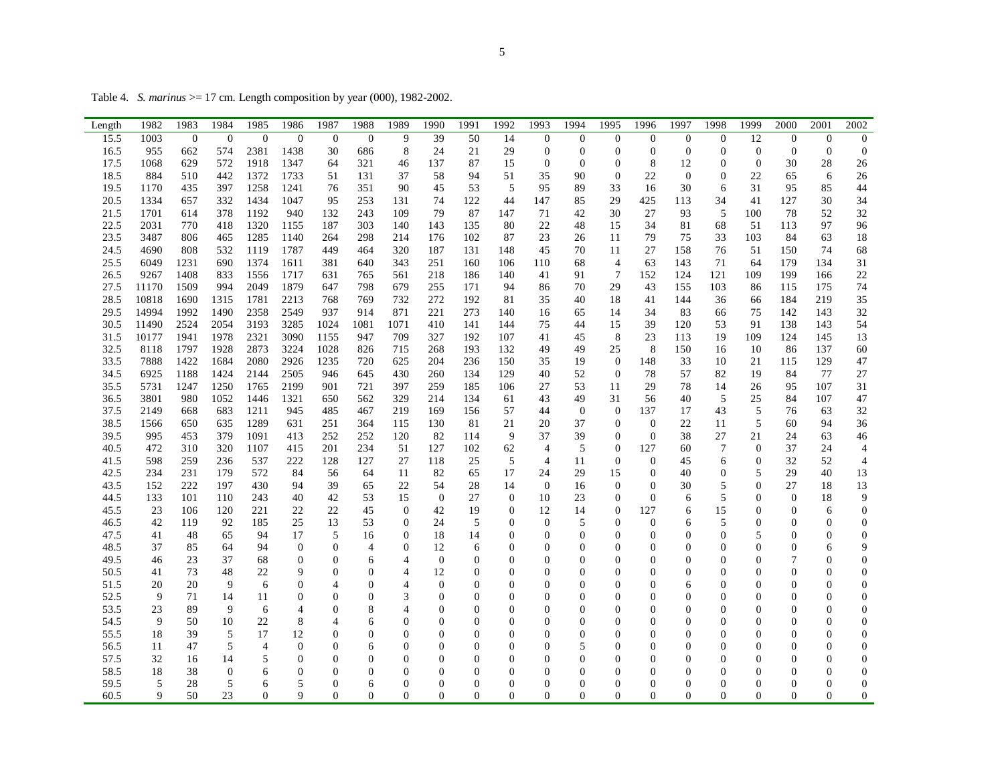Table 4. *S. marinus* >= 17 cm. Length composition by year (000), 1982-2002.

| Length       | 1982          | 1983           | 1984               | 1985           | 1986                               | 1987                           | 1988          | 1989                           | 1990                             | 1991         | 1992                             | 1993                           | 1994                | 1995                               | 1996                           | 1997                       | 1998                               | 1999                             | 2000                       | 2001                | 2002                                 |
|--------------|---------------|----------------|--------------------|----------------|------------------------------------|--------------------------------|---------------|--------------------------------|----------------------------------|--------------|----------------------------------|--------------------------------|---------------------|------------------------------------|--------------------------------|----------------------------|------------------------------------|----------------------------------|----------------------------|---------------------|--------------------------------------|
| 15.5         | 1003          | $\overline{0}$ | $\theta$           | $\Omega$       | $\overline{0}$                     | $\theta$                       | $\mathbf{0}$  | 9                              | 39                               | 50           | 14                               | $\Omega$                       | $\overline{0}$      | $\overline{0}$                     | $\Omega$                       | $\overline{0}$             | $\overline{0}$                     | 12                               | $\boldsymbol{0}$           | $\theta$            | $\mathbf{0}$                         |
| 16.5         | 955           | 662            | 574                | 2381           | 1438                               | 30                             | 686           | 8                              | 24                               | 21           | 29                               | $\theta$                       | $\overline{0}$      | $\boldsymbol{0}$                   | $\mathbf{0}$                   | $\overline{0}$             | $\boldsymbol{0}$                   | $\theta$                         | $\theta$                   | $\theta$            | $\mathbf{0}$                         |
| 17.5<br>18.5 | 1068<br>884   | 629<br>510     | 572<br>442         | 1918<br>1372   | 1347<br>1733                       | 64<br>51                       | 321<br>131    | 46<br>37                       | 137<br>58                        | 87<br>94     | 15<br>51                         | $\theta$<br>35                 | $\theta$<br>90      | $\overline{0}$<br>$\boldsymbol{0}$ | 8<br>22                        | 12<br>$\boldsymbol{0}$     | $\overline{0}$<br>$\boldsymbol{0}$ | $\theta$<br>22                   | 30<br>65                   | 28<br>6             | 26                                   |
| 19.5         | 1170          | 435            | 397                | 1258           | 1241                               | 76                             | 351           | 90                             | 45                               | 53           | 5                                | 95                             | 89                  | 33                                 | 16                             | 30                         | 6                                  | 31                               | 95                         | 85                  | 26<br>44                             |
| 20.5         | 1334          | 657            | 332                | 1434           | 1047                               | 95                             | 253           | 131                            | 74                               | 122          | 44                               | 147                            | 85                  | 29                                 | 425                            | 113                        | 34                                 | 41                               | 127                        | 30                  | 34                                   |
| 21.5         | 1701          | 614            | 378                | 1192           | 940                                | 132                            | 243           | 109                            | 79                               | 87           | 147                              | 71                             | 42                  | 30                                 | 27                             | 93                         | 5                                  | 100                              | 78                         | 52                  | 32                                   |
| 22.5         | 2031          | 770            | 418                | 1320           | 1155                               | 187                            | 303           | 140                            | 143                              | 135          | 80                               | 22                             | 48                  | 15                                 | 34                             | 81                         | 68                                 | 51                               | 113                        | 97                  | 96                                   |
| 23.5         | 3487          | 806            | 465                | 1285           | 1140                               | 264                            | 298           | 214                            | 176                              | 102          | 87                               | 23                             | 26                  | 11                                 | 79                             | 75                         | 33                                 | 103                              | 84                         | 63                  | 18                                   |
| 24.5         | 4690          | 808            | 532                | 1119           | 1787                               | 449                            | 464           | 320                            | 187                              | 131          | 148                              | 45                             | 70                  | 11                                 | 27                             | 158                        | 76                                 | 51                               | 150                        | 74                  | 68                                   |
| 25.5         | 6049          | 1231           | 690                | 1374           | 1611                               | 381                            | 640           | 343                            | 251                              | 160          | 106                              | 110                            | 68                  | $\overline{4}$                     | 63                             | 143                        | 71                                 | 64                               | 179                        | 134                 | 31                                   |
| 26.5         | 9267<br>11170 | 1408<br>1509   | 833<br>994         | 1556<br>2049   | 1717<br>1879                       | 631<br>647                     | 765<br>798    | 561<br>679                     | 218                              | 186<br>171   | 140<br>94                        | 41                             | 91<br>70            | $\overline{7}$<br>29               | 152                            | 124<br>155                 | 121<br>103                         | 109                              | 199                        | 166                 | 22<br>74                             |
| 27.5<br>28.5 | 10818         | 1690           | 1315               | 1781           | 2213                               | 768                            | 769           | 732                            | 255<br>272                       | 192          | 81                               | 86<br>35                       | 40                  | 18                                 | 43<br>41                       | 144                        | 36                                 | 86<br>66                         | 115<br>184                 | 175<br>219          | 35                                   |
| 29.5         | 14994         | 1992           | 1490               | 2358           | 2549                               | 937                            | 914           | 871                            | 221                              | 273          | 140                              | 16                             | 65                  | 14                                 | 34                             | 83                         | 66                                 | 75                               | 142                        | 143                 | 32                                   |
| 30.5         | 11490         | 2524           | 2054               | 3193           | 3285                               | 1024                           | 1081          | 1071                           | 410                              | 141          | 144                              | 75                             | 44                  | 15                                 | 39                             | 120                        | 53                                 | 91                               | 138                        | 143                 | 54                                   |
| 31.5         | 10177         | 1941           | 1978               | 2321           | 3090                               | 1155                           | 947           | 709                            | 327                              | 192          | 107                              | 41                             | 45                  | 8                                  | 23                             | 113                        | 19                                 | 109                              | 124                        | 145                 | 13                                   |
| 32.5         | 8118          | 1797           | 1928               | 2873           | 3224                               | 1028                           | 826           | 715                            | 268                              | 193          | 132                              | 49                             | 49                  | 25                                 | 8                              | 150                        | 16                                 | 10                               | 86                         | 137                 | 60                                   |
| 33.5         | 7888          | 1422           | 1684               | 2080           | 2926                               | 1235                           | 720           | 625                            | 204                              | 236          | 150                              | 35                             | 19                  | $\mathbf{0}$                       | 148                            | 33                         | 10                                 | 21                               | 115                        | 129                 | 47                                   |
| 34.5         | 6925          | 1188           | 1424               | 2144           | 2505                               | 946                            | 645           | 430                            | 260                              | 134          | 129                              | 40                             | 52                  | $\boldsymbol{0}$                   | 78                             | 57                         | 82                                 | 19                               | 84                         | 77                  | 27                                   |
| 35.5         | 5731          | 1247           | 1250               | 1765           | 2199                               | 901                            | 721           | 397                            | 259                              | 185          | 106                              | 27                             | 53                  | 11                                 | 29                             | 78                         | 14                                 | 26                               | 95                         | 107                 | 31                                   |
| 36.5         | 3801          | 980            | 1052               | 1446           | 1321                               | 650                            | 562           | 329                            | 214                              | 134          | 61                               | 43<br>44                       | 49<br>$\mathbf{0}$  | 31<br>$\overline{0}$               | 56                             | 40<br>17                   | 5                                  | 25<br>5                          | 84<br>76                   | 107                 | 47                                   |
| 37.5<br>38.5 | 2149<br>1566  | 668<br>650     | 683<br>635         | 1211<br>1289   | 945<br>631                         | 485<br>251                     | 467<br>364    | 219<br>115                     | 169<br>130                       | 156<br>81    | 57<br>21                         | 20                             | 37                  | $\overline{0}$                     | 137<br>$\overline{0}$          | 22                         | 43<br>11                           | 5                                | 60                         | 63<br>94            | 32<br>36                             |
| 39.5         | 995           | 453            | 379                | 1091           | 413                                | 252                            | 252           | 120                            | 82                               | 114          | 9                                | 37                             | 39                  | $\overline{0}$                     | $\overline{0}$                 | 38                         | 27                                 | 21                               | 24                         | 63                  | 46                                   |
| 40.5         | 472           | 310            | 320                | 1107           | 415                                | 201                            | 234           | 51                             | 127                              | 102          | 62                               | $\overline{4}$                 | 5                   | $\overline{0}$                     | 127                            | 60                         | 7                                  | $\Omega$                         | 37                         | 24                  | $\overline{4}$                       |
| 41.5         | 598           | 259            | 236                | 537            | 222                                | 128                            | 127           | 27                             | 118                              | 25           | 5                                | $\overline{4}$                 | 11                  | $\mathbf{0}$                       | $\theta$                       | 45                         | 6                                  | $\overline{0}$                   | 32                         | 52                  | $\overline{4}$                       |
| 42.5         | 234           | 231            | 179                | 572            | 84                                 | 56                             | 64            | 11                             | 82                               | 65           | 17                               | 24                             | 29                  | 15                                 | $\theta$                       | 40                         | $\boldsymbol{0}$                   | 5                                | 29                         | 40                  | 13                                   |
| 43.5         | 152           | 222            | 197                | 430            | 94                                 | 39                             | 65            | $22\,$                         | 54                               | 28           | 14                               | $\boldsymbol{0}$               | 16                  | $\boldsymbol{0}$                   | $\mathbf{0}$                   | 30                         | 5                                  | $\overline{0}$                   | 27                         | 18                  | 13                                   |
| 44.5         | 133           | 101            | 110                | 243            | 40                                 | 42                             | 53            | 15                             | $\boldsymbol{0}$                 | 27           | $\boldsymbol{0}$                 | 10                             | 23                  | $\mathbf{0}$                       | $\overline{0}$                 | 6                          | 5                                  | $\overline{0}$                   | $\mathbf{0}$               | 18                  | 9                                    |
| 45.5         | 23            | 106            | 120                | 221            | 22                                 | 22                             | 45            | $\mathbf{0}$                   | 42                               | 19           | $\boldsymbol{0}$                 | 12                             | 14                  | $\boldsymbol{0}$                   | 127                            | 6                          | 15                                 | $\overline{0}$                   | $\boldsymbol{0}$           | 6                   | $\boldsymbol{0}$                     |
| 46.5<br>47.5 | 42<br>41      | 119<br>48      | 92<br>65           | 185<br>94      | 25<br>17                           | 13<br>5                        | 53<br>16      | $\mathbf{0}$<br>$\overline{0}$ | 24<br>18                         | 5<br>14      | $\overline{0}$<br>$\overline{0}$ | $\mathbf{0}$<br>$\Omega$       | 5<br>$\Omega$       | $\overline{0}$<br>$\overline{0}$   | $\overline{0}$<br>$\theta$     | 6<br>$\Omega$              | 5<br>$\overline{0}$                | $\overline{0}$<br>5              | $\Omega$<br>$\overline{0}$ | 0<br>$\overline{0}$ | $\boldsymbol{0}$<br>$\boldsymbol{0}$ |
| 48.5         | 37            | 85             | 64                 | 94             | $\boldsymbol{0}$                   | $\overline{0}$                 | 4             | $\overline{0}$                 | 12                               | 6            | $\overline{0}$                   | $\Omega$                       | $\overline{0}$      | $\overline{0}$                     | $\theta$                       | $\overline{0}$             | $\overline{0}$                     | $\theta$                         | $\overline{0}$             | 6                   | 9                                    |
| 49.5         | 46            | 23             | 37                 | 68             | $\overline{0}$                     | $\overline{0}$                 | 6             | $\overline{4}$                 | $\overline{0}$                   | $\theta$     | $\overline{0}$                   | $\Omega$                       | $\overline{0}$      | $\overline{0}$                     | $\theta$                       | $\Omega$                   | $\overline{0}$                     | $\theta$                         | $\overline{7}$             | 0                   | $\boldsymbol{0}$                     |
| 50.5         | 41            | 73             | 48                 | 22             | 9                                  | $\theta$                       | $\Omega$      | $\overline{4}$                 | 12                               | $\theta$     | $\overline{0}$                   | $\Omega$                       | $\overline{0}$      | $\overline{0}$                     | $\theta$                       | $\overline{0}$             | $\overline{0}$                     | $\theta$                         | $\Omega$                   | $\overline{0}$      | $\boldsymbol{0}$                     |
| 51.5         | 20            | 20             | 9                  | 6              | $\mathbf{0}$                       | $\overline{4}$                 | $\Omega$      | 4                              | $\theta$                         | 0            | $\Omega$                         | $\Omega$                       | $\overline{0}$      | $\Omega$                           | $\Omega$                       | 6                          | $\overline{0}$                     | $\Omega$                         | $\Omega$                   | 0                   | $\boldsymbol{0}$                     |
| 52.5         | 9             | 71             | 14                 | 11             | $\boldsymbol{0}$                   | $\overline{0}$                 | $\theta$      | 3                              | $\overline{0}$                   | 0            | $\overline{0}$                   | $\Omega$                       | $\Omega$            | $\overline{0}$                     | $\theta$                       | $\Omega$                   | $\overline{0}$                     | $\Omega$                         | $\Omega$                   | 0                   | $\mathbf{0}$                         |
| 53.5         | 23            | 89             | 9                  | 6              | 4                                  | $\theta$                       | 8             | $\overline{4}$                 | $\theta$                         | 0            | $\overline{0}$                   | $\Omega$                       | $\overline{0}$      | $\overline{0}$                     | $\Omega$                       | $\theta$                   | $\overline{0}$                     | $\Omega$                         | $\Omega$                   | 0                   | $\boldsymbol{0}$                     |
| 54.5         | 9             | 50             | 10                 | 22             | 8                                  | $\overline{4}$                 | 6             | $\overline{0}$                 | $\Omega$                         | 0            | $\overline{0}$                   | $\Omega$                       | $\Omega$            | $\overline{0}$                     | $\Omega$                       | $\Omega$                   | $\theta$                           | $\Omega$                         | $\Omega$                   | $\theta$            | $\boldsymbol{0}$                     |
| 55.5         | 18            | 39             | 5                  | 17             | 12                                 | $\mathbf{0}$                   | 0             | $\overline{0}$                 | $\overline{0}$                   | 0            | $\Omega$                         | $\mathbf{0}$                   | $\overline{0}$      | $\Omega$                           | $\theta$                       | $\theta$                   | $\overline{0}$                     | $\overline{0}$                   | $\Omega$                   | 0                   | $\boldsymbol{0}$                     |
| 56.5         | 11            | 47             | 5                  | $\overline{4}$ | $\boldsymbol{0}$                   | $\overline{0}$<br>$\mathbf{0}$ | 6<br>$\Omega$ | $\Omega$                       | $\overline{0}$<br>$\overline{0}$ | 0<br>0       | $\overline{0}$<br>$\overline{0}$ | $\overline{0}$<br>$\mathbf{0}$ | 5<br>$\overline{0}$ | $\Omega$<br>$\overline{0}$         | $\overline{0}$<br>$\mathbf{0}$ | $\theta$<br>$\overline{0}$ | $\overline{0}$<br>$\overline{0}$   | $\overline{0}$<br>$\overline{0}$ | $\Omega$<br>$\Omega$       | 0<br>0              | $\boldsymbol{0}$                     |
| 57.5<br>58.5 | 32<br>18      | 16<br>38       | 14<br>$\mathbf{0}$ | 5<br>6         | $\boldsymbol{0}$<br>$\overline{0}$ | $\Omega$                       | $\Omega$      | $\boldsymbol{0}$<br>$\Omega$   | $\Omega$                         | $\Omega$     | $\Omega$                         | $\mathbf{0}$                   | $\overline{0}$      | $\Omega$                           | $\theta$                       | $\overline{0}$             | $\overline{0}$                     | $\overline{0}$                   | $\Omega$                   | 0                   | $\boldsymbol{0}$<br>$\boldsymbol{0}$ |
| 59.5         | 5             | 28             | 5                  | 6              | 5                                  | $\mathbf{0}$                   | 6             | $\boldsymbol{0}$               | $\overline{0}$                   | 0            | $\overline{0}$                   | $\mathbf{0}$                   | $\overline{0}$      | $\mathbf{0}$                       | $\mathbf{0}$                   | $\overline{0}$             | $\overline{0}$                     | $\overline{0}$                   | $\overline{0}$             | 0                   | $\boldsymbol{0}$                     |
| 60.5         | 9             | 50             | 23                 | $\overline{0}$ | 9                                  | $\mathbf{0}$                   | $\mathbf{0}$  | $\overline{0}$                 | $\mathbf{0}$                     | $\mathbf{0}$ | $\overline{0}$                   | $\mathbf{0}$                   | $\mathbf{0}$        | $\overline{0}$                     | $\mathbf{0}$                   | $\mathbf{0}$               | $\overline{0}$                     | $\overline{0}$                   | $\mathbf{0}$               | $\overline{0}$      | $\mathbf{0}$                         |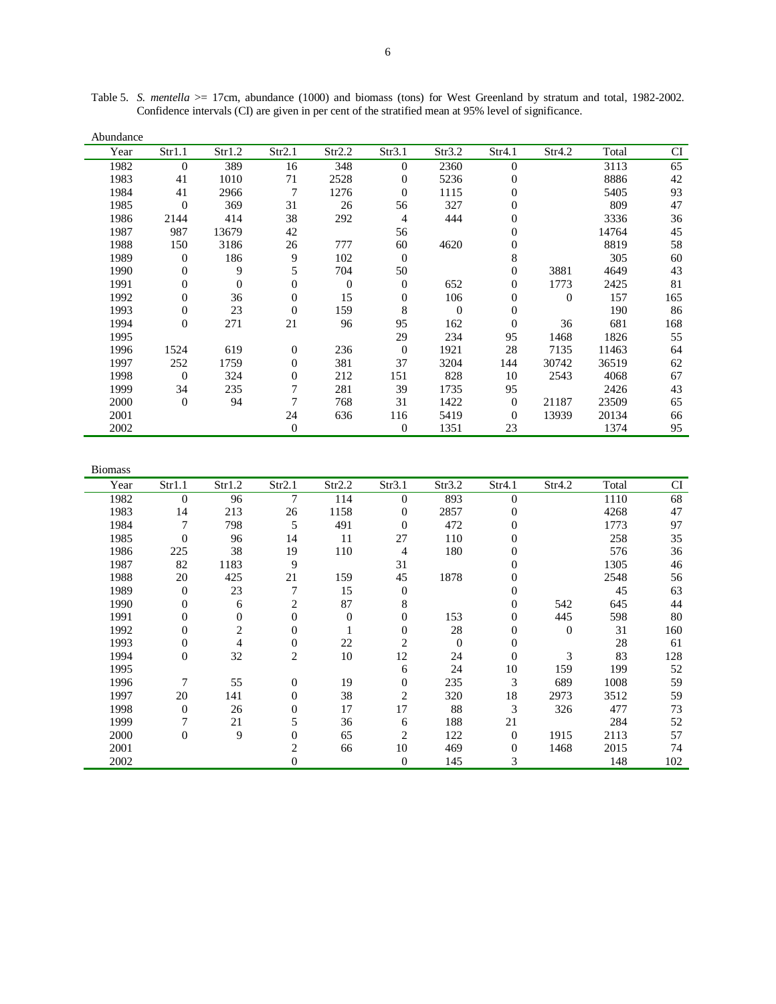| Abundance |                  |          |                |          |                |          |                |          |       |     |
|-----------|------------------|----------|----------------|----------|----------------|----------|----------------|----------|-------|-----|
| Year      | Str1.1           | Str1.2   | Str2.1         | Str2.2   | Str3.1         | Str3.2   | Str4.1         | Str4.2   | Total | CI  |
| 1982      | $\theta$         | 389      | 16             | 348      | $\Omega$       | 2360     | $\Omega$       |          | 3113  | 65  |
| 1983      | 41               | 1010     | 71             | 2528     | 0              | 5236     | $\theta$       |          | 8886  | 42  |
| 1984      | 41               | 2966     | 7              | 1276     | $\Omega$       | 1115     | $\overline{0}$ |          | 5405  | 93  |
| 1985      | $\Omega$         | 369      | 31             | 26       | 56             | 327      | 0              |          | 809   | 47  |
| 1986      | 2144             | 414      | 38             | 292      | 4              | 444      | $\overline{0}$ |          | 3336  | 36  |
| 1987      | 987              | 13679    | 42             |          | 56             |          | $\Omega$       |          | 14764 | 45  |
| 1988      | 150              | 3186     | 26             | 777      | 60             | 4620     | 0              |          | 8819  | 58  |
| 1989      | $\theta$         | 186      | 9              | 102      | $\overline{0}$ |          | 8              |          | 305   | 60  |
| 1990      | $\theta$         | 9        | 5              | 704      | 50             |          | $\mathbf{0}$   | 3881     | 4649  | 43  |
| 1991      | $\boldsymbol{0}$ | $\theta$ | 0              | $\theta$ | $\mathbf{0}$   | 652      | $\mathbf{0}$   | 1773     | 2425  | 81  |
| 1992      | $\boldsymbol{0}$ | 36       | 0              | 15       | $\overline{0}$ | 106      | $\mathbf{0}$   | $\theta$ | 157   | 165 |
| 1993      | 0                | 23       | $\overline{0}$ | 159      | 8              | $\Omega$ | $\mathbf{0}$   |          | 190   | 86  |
| 1994      | $\theta$         | 271      | 21             | 96       | 95             | 162      | $\Omega$       | 36       | 681   | 168 |
| 1995      |                  |          |                |          | 29             | 234      | 95             | 1468     | 1826  | 55  |
| 1996      | 1524             | 619      | 0              | 236      | $\theta$       | 1921     | 28             | 7135     | 11463 | 64  |
| 1997      | 252              | 1759     | 0              | 381      | 37             | 3204     | 144            | 30742    | 36519 | 62  |
| 1998      | $\theta$         | 324      | 0              | 212      | 151            | 828      | 10             | 2543     | 4068  | 67  |
| 1999      | 34               | 235      | 7              | 281      | 39             | 1735     | 95             |          | 2426  | 43  |
| 2000      | $\theta$         | 94       |                | 768      | 31             | 1422     | $\Omega$       | 21187    | 23509 | 65  |
| 2001      |                  |          | 24             | 636      | 116            | 5419     | $\theta$       | 13939    | 20134 | 66  |
| 2002      |                  |          | 0              |          | $\mathbf{0}$   | 1351     | 23             |          | 1374  | 95  |

Table 5. *S. mentella* >= 17cm, abundance (1000) and biomass (tons) for West Greenland by stratum and total, 1982-2002. Confidence intervals (CI) are given in per cent of the stratified mean at 95% level of significance.

| <b>Biomass</b> |                  |                |                |          |                |                |                |          |       |     |
|----------------|------------------|----------------|----------------|----------|----------------|----------------|----------------|----------|-------|-----|
| Year           | Str1.1           | Str1.2         | Str2.1         | Str2.2   | Str3.1         | Str3.2         | Str4.1         | Str4.2   | Total | CI  |
| 1982           | $\mathbf{0}$     | 96             | 7              | 114      | $\theta$       | 893            | $\overline{0}$ |          | 1110  | 68  |
| 1983           | 14               | 213            | 26             | 1158     | 0              | 2857           | $\Omega$       |          | 4268  | 47  |
| 1984           | 7                | 798            | 5              | 491      | $\Omega$       | 472            | $\Omega$       |          | 1773  | 97  |
| 1985           | $\theta$         | 96             | 14             | 11       | 27             | 110            | 0              |          | 258   | 35  |
| 1986           | 225              | 38             | 19             | 110      | 4              | 180            | 0              |          | 576   | 36  |
| 1987           | 82               | 1183           | 9              |          | 31             |                | $\theta$       |          | 1305  | 46  |
| 1988           | 20               | 425            | 21             | 159      | 45             | 1878           | 0              |          | 2548  | 56  |
| 1989           | $\theta$         | 23             | 7              | 15       | $\overline{0}$ |                | $\Omega$       |          | 45    | 63  |
| 1990           | $\boldsymbol{0}$ | 6              | 2              | 87       | 8              |                | 0              | 542      | 645   | 44  |
| 1991           | $\boldsymbol{0}$ | $\overline{0}$ | 0              | $\Omega$ | 0              | 153            | $\overline{0}$ | 445      | 598   | 80  |
| 1992           | $\boldsymbol{0}$ | $\overline{c}$ | 0              |          | 0              | 28             | $\overline{0}$ | $\theta$ | 31    | 160 |
| 1993           | $\boldsymbol{0}$ | 4              | 0              | 22       | 2              | $\overline{0}$ | $\Omega$       |          | 28    | 61  |
| 1994           | $\boldsymbol{0}$ | 32             | 2              | 10       | 12             | 24             | 0              | 3        | 83    | 128 |
| 1995           |                  |                |                |          | 6              | 24             | 10             | 159      | 199   | 52  |
| 1996           | 7                | 55             | 0              | 19       | 0              | 235            | 3              | 689      | 1008  | 59  |
| 1997           | 20               | 141            | 0              | 38       | 2              | 320            | 18             | 2973     | 3512  | 59  |
| 1998           | $\boldsymbol{0}$ | 26             | 0              | 17       | 17             | 88             | 3              | 326      | 477   | 73  |
| 1999           | 7                | 21             | 5              | 36       | 6              | 188            | 21             |          | 284   | 52  |
| 2000           | $\boldsymbol{0}$ | 9              | 0              | 65       | 2              | 122            | $\Omega$       | 1915     | 2113  | 57  |
| 2001           |                  |                | $\overline{c}$ | 66       | 10             | 469            | $\Omega$       | 1468     | 2015  | 74  |
| 2002           |                  |                | 0              |          | $\overline{0}$ | 145            | 3              |          | 148   | 102 |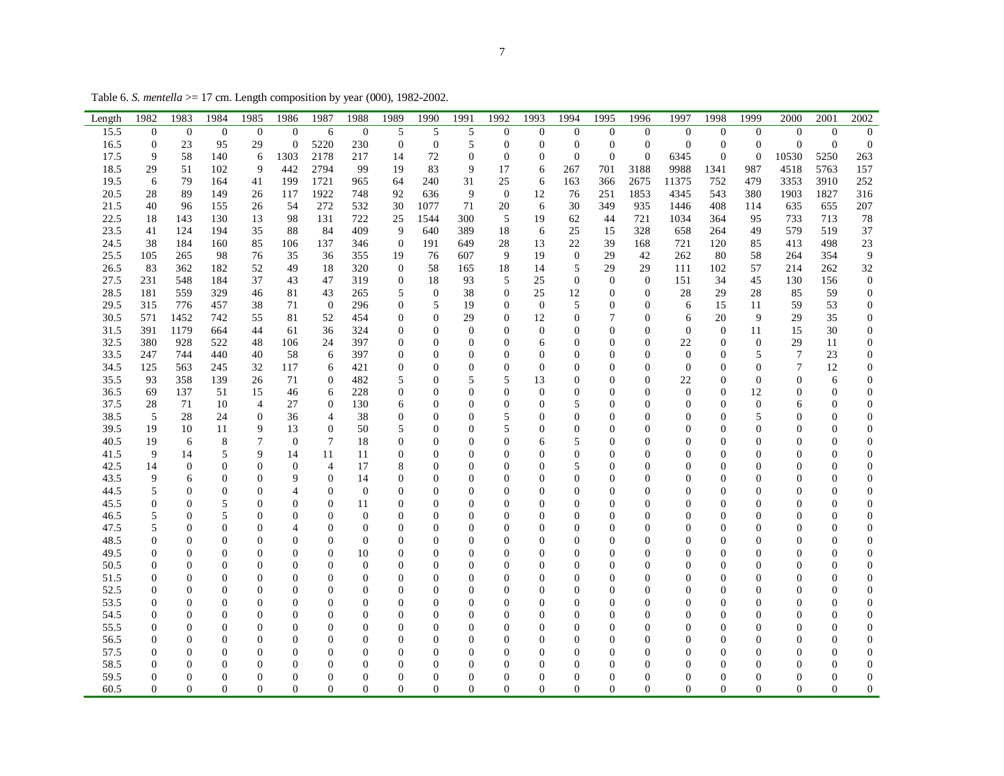Table 6. *S. mentella* >= 17 cm. Length composition by year (000), 1982-2002.

| Length | 1982             | 1983             | 1984             | 1985             | 1986             | 1987           | 1988             | 1989             | 1990             | 1991             | 1992             | 1993             | 1994             | 1995             | 1996             | 1997             | 1998             | 1999             | 2000             | 2001             | 2002             |
|--------|------------------|------------------|------------------|------------------|------------------|----------------|------------------|------------------|------------------|------------------|------------------|------------------|------------------|------------------|------------------|------------------|------------------|------------------|------------------|------------------|------------------|
| 15.5   | $\overline{0}$   | $\boldsymbol{0}$ | $\theta$         | $\theta$         | $\mathbf{0}$     | 6              | $\theta$         | 5                | 5                | 5                | $\overline{0}$   | $\boldsymbol{0}$ | $\mathbf{0}$     | $\theta$         | $\overline{0}$   | $\overline{0}$   | $\overline{0}$   | $\theta$         | $\Omega$         | $\theta$         | $\mathbf{0}$     |
| 16.5   | $\mathbf{0}$     | 23               | 95               | 29               | $\mathbf{0}$     | 5220           | 230              | $\boldsymbol{0}$ | $\mathbf{0}$     | $\mathfrak s$    | $\boldsymbol{0}$ | $\boldsymbol{0}$ | $\boldsymbol{0}$ | $\mathbf{0}$     | $\boldsymbol{0}$ | $\boldsymbol{0}$ | $\boldsymbol{0}$ | $\mathbf{0}$     | $\boldsymbol{0}$ | $\theta$         | $\boldsymbol{0}$ |
| 17.5   | 9                | 58               | 140              | 6                | 1303             | 2178           | 217              | 14               | 72               | $\boldsymbol{0}$ | $\boldsymbol{0}$ | $\overline{0}$   | $\boldsymbol{0}$ | $\overline{0}$   | $\mathbf{0}$     | 6345             | $\boldsymbol{0}$ | $\mathbf{0}$     | 10530            | 5250             | 263              |
| 18.5   | 29               | 51               | 102              | 9                | 442              | 2794           | 99               | 19               | 83               | 9                | 17               | 6                | 267              | 701              | 3188             | 9988             | 1341             | 987              | 4518             | 5763             | 157              |
| 19.5   | 6                | 79               | 164              | 41               | 199              | 1721           | 965              | 64               | 240              | 31               | 25               | 6                | 163              | 366              | 2675             | 11375            | 752              | 479              | 3353             | 3910             | 252              |
| 20.5   | 28               | 89               | 149              | 26               | 117              | 1922           | 748              | 92               | 636              | 9                | $\overline{0}$   | 12               | 76               | 251              | 1853             | 4345             | 543              | 380              | 1903             | 1827             | 316              |
| 21.5   | 40               | 96               | 155              | 26               | 54               | 272            | 532              | 30               | 1077             | 71               | 20               | 6                | 30               | 349              | 935              | 1446             | 408              | 114              | 635              | 655              | 207              |
| 22.5   | 18               | 143              | 130              | 13               | 98               | 131            | 722              | 25               | 1544             | 300              | 5                | 19               | 62               | 44               | 721              | 1034             | 364              | 95               | 733              | 713              | 78               |
| 23.5   | 41               | 124              | 194              | 35               | 88               | 84             | 409              | 9                | 640              | 389              | 18               | 6                | 25               | 15               | 328              | 658              | 264              | 49               | 579              | 519              | 37               |
| 24.5   | 38               | 184              | 160              | 85               | 106              | 137            | 346              | $\boldsymbol{0}$ | 191              | 649              | 28               | 13               | 22               | 39               | 168              | 721              | 120              | 85               | 413              | 498              | 23               |
| 25.5   | 105              | 265              | 98               | 76               | 35               | 36             | 355              | 19               | 76               | 607              | 9                | 19               | $\boldsymbol{0}$ | 29               | 42               | 262              | 80               | 58               | 264              | 354              | 9                |
| 26.5   | 83               | 362              | 182              | 52               | 49               | 18             | 320              | $\mathbf{0}$     | 58               | 165              | 18               | 14               | 5                | 29               | 29               | 111              | 102              | 57               | 214              | 262              | 32               |
| 27.5   | 231              | 548              | 184              | 37               | 43               | 47             | 319              | $\mathbf{0}$     | 18               | 93               | 5                | 25               | $\overline{0}$   | $\theta$         | $\mathbf{0}$     | 151              | 34               | 45               | 130              | 156              | $\boldsymbol{0}$ |
| 28.5   | 181              | 559              | 329              | 46               | 81               | 43             | 265              | 5                | $\theta$         | 38               | $\mathbf{0}$     | 25               | 12               | $\boldsymbol{0}$ | $\mathbf{0}$     | 28               | 29               | 28               | 85               | 59               | $\boldsymbol{0}$ |
| 29.5   | 315              | 776              | 457              | 38               | 71               | $\mathbf{0}$   | 296              | $\boldsymbol{0}$ | 5                | 19               | $\boldsymbol{0}$ | $\mathbf{0}$     | 5                | $\boldsymbol{0}$ | $\overline{0}$   | 6                | 15               | 11               | 59               | 53               | $\boldsymbol{0}$ |
| 30.5   | 571              | 1452             | 742              | 55               | 81               | 52             | 454              | $\boldsymbol{0}$ | $\boldsymbol{0}$ | 29               | $\overline{0}$   | 12               | $\boldsymbol{0}$ | 7                | $\overline{0}$   | 6                | 20               | 9                | 29               | 35               | $\boldsymbol{0}$ |
| 31.5   | 391              | 1179             | 664              | 44               | 61               | 36             | 324              | $\boldsymbol{0}$ | $\boldsymbol{0}$ | $\boldsymbol{0}$ | $\overline{0}$   | $\mathbf{0}$     | $\boldsymbol{0}$ | $\mathbf{0}$     | $\overline{0}$   | $\mathbf{0}$     | $\mathbf{0}$     | 11               | 15               | 30               | $\boldsymbol{0}$ |
| 32.5   | 380              | 928              | 522              | 48               | 106              | 24             | 397              | $\mathbf{0}$     | $\Omega$         | $\overline{0}$   | $\Omega$         | 6                | $\Omega$         | $\Omega$         | $\Omega$         | 22               | $\mathbf{0}$     | $\theta$         | 29               | 11               | $\mathbf{0}$     |
| 33.5   | 247              | 744              | 440              | 40               | 58               | 6              | 397              | $\overline{0}$   | $\Omega$         | $\overline{0}$   | $\Omega$         | $\Omega$         | $\boldsymbol{0}$ | $\overline{0}$   | $\Omega$         | $\mathbf{0}$     | $\mathbf{0}$     | 5                | 7                | 23               | $\overline{0}$   |
| 34.5   | 125              | 563              | 245              | 32               | 117              | 6              | 421              | $\bf{0}$         | 0                | $\overline{0}$   | $\mathbf{0}$     | $\Omega$         | 0                | $\mathbf{0}$     | $\mathbf{0}$     | $\overline{0}$   | $\mathbf{0}$     | $\mathbf{0}$     | 7                | 12               | 0                |
| 35.5   | 93               | 358              | 139              | 26               | 71               | 0              | 482              | 5                | $\Omega$         | 5                | 5                | 13               | 0                | $\mathbf{0}$     | $\Omega$         | 22               | $\mathbf{0}$     | $\mathbf{0}$     | $\mathbf{0}$     | 6                | $\boldsymbol{0}$ |
| 36.5   | 69               | 137              | 51               | 15               | 46               | 6              | 228              | $\boldsymbol{0}$ | $\theta$         | $\boldsymbol{0}$ | $\boldsymbol{0}$ | $\mathbf{0}$     | $\boldsymbol{0}$ | $\overline{0}$   | $\theta$         | $\boldsymbol{0}$ | $\mathbf{0}$     | 12               | $\mathbf{0}$     | $\mathbf{0}$     | $\boldsymbol{0}$ |
| 37.5   | 28               | 71               | 10               | $\overline{4}$   | 27               | 0              | 130              | 6                | 0                | $\boldsymbol{0}$ | $\boldsymbol{0}$ | $\mathbf{0}$     | 5                | $\mathbf{0}$     | $\mathbf{0}$     | $\boldsymbol{0}$ | $\mathbf{0}$     | $\boldsymbol{0}$ | 6                | $\overline{0}$   | $\boldsymbol{0}$ |
| 38.5   | 5                | 28               | 24               | $\boldsymbol{0}$ | 36               | 4              | 38               | $\boldsymbol{0}$ | 0                | $\boldsymbol{0}$ | 5                | $\mathbf{0}$     | $\overline{0}$   | $\overline{0}$   | $\mathbf{0}$     | $\overline{0}$   | $\mathbf{0}$     | 5                | 0                | $\mathbf{0}$     | $\boldsymbol{0}$ |
| 39.5   | 19               | 10               | 11               | 9                | 13               | $\theta$       | 50               | 5                | 0                | $\Omega$         | 5                | $\Omega$         | $\overline{0}$   | $\Omega$         | $\Omega$         | $\Omega$         | $\Omega$         | $\Omega$         | $\Omega$         | $\Omega$         | $\overline{0}$   |
| 40.5   | 19               | 6                | 8                | $\overline{7}$   | $\mathbf{0}$     | 7              | 18               | $\overline{0}$   | $\Omega$         | $\overline{0}$   | $\overline{0}$   | 6                | 5                | $\overline{0}$   | $\Omega$         | $\overline{0}$   | $\Omega$         | $\mathbf{0}$     | $\Omega$         | $\mathbf{0}$     | $\overline{0}$   |
| 41.5   | 9                | 14               | 5                | 9                | 14               | 11             | 11               | $\bf{0}$         | $\Omega$         | $\overline{0}$   | $\overline{0}$   | $\Omega$         | $\overline{0}$   | $\mathbf{0}$     | $\mathbf{0}$     | $\mathbf{0}$     | $\mathbf{0}$     | $\mathbf{0}$     | $\Omega$         | $\mathbf{0}$     | $\boldsymbol{0}$ |
| 42.5   | 14               | $\boldsymbol{0}$ | $\mathbf{0}$     | $\theta$         | $\boldsymbol{0}$ | 4              | 17               | 8                | $\theta$         | $\boldsymbol{0}$ | $\overline{0}$   | $\theta$         | 5                | $\mathbf{0}$     | $\overline{0}$   | $\overline{0}$   | $\mathbf{0}$     | $\mathbf{0}$     | $\Omega$         | $\theta$         | $\boldsymbol{0}$ |
| 43.5   | 9                | 6                | $\boldsymbol{0}$ | $\overline{0}$   | 9                | $\overline{0}$ | 14               | $\boldsymbol{0}$ | $\overline{0}$   | $\boldsymbol{0}$ | $\boldsymbol{0}$ | $\theta$         | 0                | $\overline{0}$   | $\overline{0}$   | $\boldsymbol{0}$ | $\mathbf{0}$     | $\mathbf{0}$     | $\mathbf{0}$     | $\boldsymbol{0}$ | $\boldsymbol{0}$ |
| 44.5   | 5                | $\boldsymbol{0}$ | 0                | $\overline{0}$   | 4                | 0              | $\mathbf{0}$     | $\boldsymbol{0}$ | 0                | $\boldsymbol{0}$ | $\mathbf{0}$     | $\mathbf{0}$     | $\overline{0}$   | $\mathbf{0}$     | $\mathbf{0}$     | $\boldsymbol{0}$ | 0                | $\mathbf{0}$     | 0                | $\theta$         | $\boldsymbol{0}$ |
| 45.5   | $\overline{0}$   | $\theta$         | 5                | $\Omega$         | $\Omega$         | $\theta$       | 11               | $\Omega$         | $\Omega$         | $\Omega$         | $\theta$         | $\Omega$         | $\boldsymbol{0}$ | $\Omega$         | $\Omega$         | $\Omega$         | $\Omega$         | $\Omega$         | $\Omega$         | $\Omega$         | $\overline{0}$   |
| 46.5   | 5                | $\theta$         | 5                | $\Omega$         | $\overline{0}$   | $\Omega$       | $\mathbf{0}$     | $\overline{0}$   | $\Omega$         | $\overline{0}$   | $\Omega$         | $\Omega$         | $\boldsymbol{0}$ | $\mathbf{0}$     | $\Omega$         | 0                | $\Omega$         | $\overline{0}$   | 0                | $\Omega$         | $\mathbf{0}$     |
| 47.5   | 5                | $\overline{0}$   | $\mathbf{0}$     | 0                | 4                | $\mathbf{0}$   | $\boldsymbol{0}$ | $\overline{0}$   | 0                | $\theta$         | $\overline{0}$   | $\Omega$         | 0                | $\mathbf{0}$     | $\overline{0}$   | 0                | 0                | $\mathbf{0}$     | $\Omega$         | $\mathbf{0}$     | $\boldsymbol{0}$ |
| 48.5   | $\overline{0}$   | $\overline{0}$   | $\mathbf{0}$     | $\overline{0}$   | $\theta$         | $\theta$       | $\overline{0}$   | $\boldsymbol{0}$ | $\theta$         | $\Omega$         | $\overline{0}$   | $\theta$         | $\boldsymbol{0}$ | $\overline{0}$   | $\overline{0}$   | $\mathbf{0}$     | $\mathbf{0}$     | $\mathbf{0}$     | $\theta$         | $\mathbf{0}$     | $\boldsymbol{0}$ |
| 49.5   | $\boldsymbol{0}$ | $\overline{0}$   | $\mathbf{0}$     | $\mathbf{0}$     | $\overline{0}$   | $\theta$       | 10               | $\boldsymbol{0}$ | $\Omega$         | $\boldsymbol{0}$ | $\overline{0}$   | $\theta$         | 0                | $\overline{0}$   | $\Omega$         | $\boldsymbol{0}$ | $\overline{0}$   | $\mathbf{0}$     | $\Omega$         | $\theta$         | $\boldsymbol{0}$ |
| 50.5   | 0                | $\overline{0}$   | 0                | $\boldsymbol{0}$ | $\boldsymbol{0}$ | $\mathbf{0}$   | $\boldsymbol{0}$ | $\boldsymbol{0}$ | 0                | $\boldsymbol{0}$ | $\boldsymbol{0}$ | $\mathbf{0}$     | 0                | $\boldsymbol{0}$ | $\overline{0}$   | 0                | $\mathbf{0}$     | $\boldsymbol{0}$ | 0                | $\boldsymbol{0}$ | $\boldsymbol{0}$ |
| 51.5   | $\Omega$         | $\theta$         | $\Omega$         | $\theta$         | $\theta$         | $\Omega$       | $\theta$         | $\Omega$         | 0                | $\theta$         | $\theta$         | $\Omega$         | $\Omega$         | $\Omega$         | $\Omega$         | $\Omega$         | $\Omega$         | $\Omega$         | 0                | $\Omega$         | $\overline{0}$   |
| 52.5   | $\overline{0}$   | $\theta$         | $\Omega$         | $\Omega$         | $\Omega$         | $\Omega$       | $\overline{0}$   | $\overline{0}$   | $\Omega$         | $\Omega$         | $\theta$         | $\Omega$         | $\overline{0}$   | $\Omega$         | $\Omega$         | $\overline{0}$   | $\mathbf{0}$     | $\overline{0}$   | $\Omega$         | $\mathbf{0}$     | $\overline{0}$   |
| 53.5   | $\mathbf{0}$     | $\theta$         | $\Omega$         | $\Omega$         | $\theta$         | $\Omega$       | $\overline{0}$   | $\mathbf{0}$     | $\Omega$         | 0                | $\Omega$         | $\Omega$         | 0                | $\mathbf{0}$     | $\Omega$         | 0                | $\Omega$         | $\mathbf{0}$     | $\Omega$         | $\Omega$         | $\boldsymbol{0}$ |
| 54.5   | $\overline{0}$   | $\overline{0}$   | $\mathbf{0}$     | $\overline{0}$   | $\mathbf{0}$     | $\overline{0}$ | $\mathbf{0}$     | $\mathbf{0}$     | $\Omega$         | $\boldsymbol{0}$ | $\overline{0}$   | $\theta$         | $\boldsymbol{0}$ | $\mathbf{0}$     | $\overline{0}$   | $\mathbf{0}$     | $\mathbf{0}$     | $\mathbf{0}$     | $\Omega$         | $\theta$         | $\overline{0}$   |
| 55.5   | $\overline{0}$   | $\overline{0}$   | $\mathbf{0}$     | $\overline{0}$   | $\mathbf{0}$     | $\theta$       | $\mathbf{0}$     | $\boldsymbol{0}$ | $\theta$         | $\overline{0}$   | $\overline{0}$   | $\theta$         | 0                | $\mathbf{0}$     | $\overline{0}$   | $\boldsymbol{0}$ | $\mathbf{0}$     | $\mathbf{0}$     | $\theta$         | $\mathbf{0}$     | $\boldsymbol{0}$ |
| 56.5   | $\boldsymbol{0}$ | $\overline{0}$   | $\mathbf{0}$     | $\overline{0}$   | $\boldsymbol{0}$ | $\Omega$       | $\boldsymbol{0}$ | $\boldsymbol{0}$ | 0                | $\boldsymbol{0}$ | $\overline{0}$   | $\overline{0}$   | 0                | $\mathbf{0}$     | $\Omega$         | $\boldsymbol{0}$ | $\mathbf{0}$     | $\boldsymbol{0}$ | $\Omega$         | $\theta$         | $\boldsymbol{0}$ |
| 57.5   | 0                | $\boldsymbol{0}$ | $\Omega$         | $\theta$         | $\boldsymbol{0}$ | $\Omega$       | $\boldsymbol{0}$ | $\boldsymbol{0}$ | $\Omega$         | $\boldsymbol{0}$ | 0                | $\Omega$         | 0                | $\boldsymbol{0}$ | $\Omega$         | $\boldsymbol{0}$ | $\Omega$         | $\boldsymbol{0}$ | $\Omega$         | $\Omega$         | $\boldsymbol{0}$ |
| 58.5   | 0                | $\Omega$         | $\Omega$         | $\Omega$         | $\Omega$         | 0              | $\theta$         | $\Omega$         | 0                | $\Omega$         | $\Omega$         | $\Omega$         | $\Omega$         | 0                | $\Omega$         | $\Omega$         | 0                | $\Omega$         | $\Omega$         | $\Omega$         | $\mathbf{0}$     |
| 59.5   | 0                | $\theta$         | $\mathbf{0}$     | 0                | $\theta$         | $\Omega$       | $\mathbf{0}$     | $\mathbf{0}$     | $\Omega$         | $\overline{0}$   | $\overline{0}$   | $\Omega$         | $\boldsymbol{0}$ | $\Omega$         | $\Omega$         | $\overline{0}$   | 0                | $\mathbf{0}$     | $\Omega$         | $\mathbf{0}$     | $\boldsymbol{0}$ |
| 60.5   | $\overline{0}$   | $\boldsymbol{0}$ | $\mathbf{0}$     | $\overline{0}$   | $\mathbf{0}$     | $\overline{0}$ | $\mathbf{0}$     | $\overline{0}$   | $\Omega$         | $\boldsymbol{0}$ | $\overline{0}$   | $\overline{0}$   | $\overline{0}$   | $\mathbf{0}$     | $\overline{0}$   | $\overline{0}$   | $\mathbf{0}$     | $\mathbf{0}$     | $\overline{0}$   | $\mathbf{0}$     | 0                |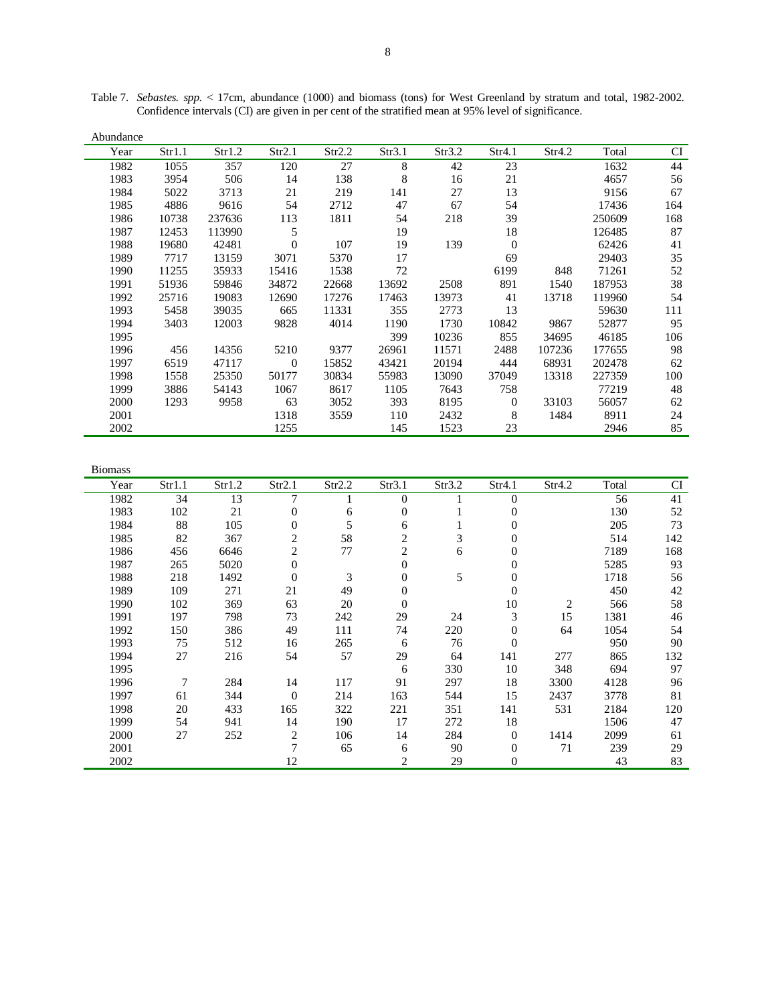| Abundance |        |        |          |        |        |        |          |        |        |           |
|-----------|--------|--------|----------|--------|--------|--------|----------|--------|--------|-----------|
| Year      | Str1.1 | Str1.2 | Str2.1   | Str2.2 | Str3.1 | Str3.2 | Str4.1   | Str4.2 | Total  | <b>CI</b> |
| 1982      | 1055   | 357    | 120      | 27     | 8      | 42     | 23       |        | 1632   | 44        |
| 1983      | 3954   | 506    | 14       | 138    | 8      | 16     | 21       |        | 4657   | 56        |
| 1984      | 5022   | 3713   | 21       | 219    | 141    | 27     | 13       |        | 9156   | 67        |
| 1985      | 4886   | 9616   | 54       | 2712   | 47     | 67     | 54       |        | 17436  | 164       |
| 1986      | 10738  | 237636 | 113      | 1811   | 54     | 218    | 39       |        | 250609 | 168       |
| 1987      | 12453  | 113990 | 5        |        | 19     |        | 18       |        | 126485 | 87        |
| 1988      | 19680  | 42481  | $\theta$ | 107    | 19     | 139    | $\Omega$ |        | 62426  | 41        |
| 1989      | 7717   | 13159  | 3071     | 5370   | 17     |        | 69       |        | 29403  | 35        |
| 1990      | 11255  | 35933  | 15416    | 1538   | 72     |        | 6199     | 848    | 71261  | 52        |
| 1991      | 51936  | 59846  | 34872    | 22668  | 13692  | 2508   | 891      | 1540   | 187953 | 38        |
| 1992      | 25716  | 19083  | 12690    | 17276  | 17463  | 13973  | 41       | 13718  | 119960 | 54        |
| 1993      | 5458   | 39035  | 665      | 11331  | 355    | 2773   | 13       |        | 59630  | 111       |
| 1994      | 3403   | 12003  | 9828     | 4014   | 1190   | 1730   | 10842    | 9867   | 52877  | 95        |
| 1995      |        |        |          |        | 399    | 10236  | 855      | 34695  | 46185  | 106       |
| 1996      | 456    | 14356  | 5210     | 9377   | 26961  | 11571  | 2488     | 107236 | 177655 | 98        |
| 1997      | 6519   | 47117  | $\Omega$ | 15852  | 43421  | 20194  | 444      | 68931  | 202478 | 62        |
| 1998      | 1558   | 25350  | 50177    | 30834  | 55983  | 13090  | 37049    | 13318  | 227359 | 100       |
| 1999      | 3886   | 54143  | 1067     | 8617   | 1105   | 7643   | 758      |        | 77219  | 48        |
| 2000      | 1293   | 9958   | 63       | 3052   | 393    | 8195   | $\Omega$ | 33103  | 56057  | 62        |
| 2001      |        |        | 1318     | 3559   | 110    | 2432   | 8        | 1484   | 8911   | 24        |
| 2002      |        |        | 1255     |        | 145    | 1523   | 23       |        | 2946   | 85        |

Table 7. *Sebastes. spp.* < 17cm, abundance (1000) and biomass (tons) for West Greenland by stratum and total, 1982-2002. Confidence intervals (CI) are given in per cent of the stratified mean at 95% level of significance.

| <b>Biomass</b> |        |        |                  |        |              |        |                |        |       |           |
|----------------|--------|--------|------------------|--------|--------------|--------|----------------|--------|-------|-----------|
| Year           | Str1.1 | Str1.2 | Str2.1           | Str2.2 | Str3.1       | Str3.2 | Str4.1         | Str4.2 | Total | <b>CI</b> |
| 1982           | 34     | 13     | $\overline{7}$   |        | $\Omega$     |        | $\theta$       |        | 56    | 41        |
| 1983           | 102    | 21     | $\boldsymbol{0}$ | 6      | $\mathbf{0}$ |        | $\Omega$       |        | 130   | 52        |
| 1984           | 88     | 105    | $\boldsymbol{0}$ | 5      | 6            |        | 0              |        | 205   | 73        |
| 1985           | 82     | 367    | $\overline{c}$   | 58     | 2            | 3      | 0              |        | 514   | 142       |
| 1986           | 456    | 6646   | $\overline{c}$   | 77     | 2            | 6      | 0              |        | 7189  | 168       |
| 1987           | 265    | 5020   | $\boldsymbol{0}$ |        | $\mathbf{0}$ |        | $\Omega$       |        | 5285  | 93        |
| 1988           | 218    | 1492   | $\mathbf{0}$     | 3      | $\mathbf{0}$ | 5      | 0              |        | 1718  | 56        |
| 1989           | 109    | 271    | 21               | 49     | 0            |        | $\overline{0}$ |        | 450   | 42        |
| 1990           | 102    | 369    | 63               | 20     | $\Omega$     |        | 10             | 2      | 566   | 58        |
| 1991           | 197    | 798    | 73               | 242    | 29           | 24     | 3              | 15     | 1381  | 46        |
| 1992           | 150    | 386    | 49               | 111    | 74           | 220    | $\Omega$       | 64     | 1054  | 54        |
| 1993           | 75     | 512    | 16               | 265    | 6            | 76     | $\theta$       |        | 950   | 90        |
| 1994           | 27     | 216    | 54               | 57     | 29           | 64     | 141            | 277    | 865   | 132       |
| 1995           |        |        |                  |        | 6            | 330    | 10             | 348    | 694   | 97        |
| 1996           | 7      | 284    | 14               | 117    | 91           | 297    | 18             | 3300   | 4128  | 96        |
| 1997           | 61     | 344    | $\boldsymbol{0}$ | 214    | 163          | 544    | 15             | 2437   | 3778  | 81        |
| 1998           | 20     | 433    | 165              | 322    | 221          | 351    | 141            | 531    | 2184  | 120       |
| 1999           | 54     | 941    | 14               | 190    | 17           | 272    | 18             |        | 1506  | 47        |
| 2000           | 27     | 252    | $\overline{c}$   | 106    | 14           | 284    | $\mathbf{0}$   | 1414   | 2099  | 61        |
| 2001           |        |        | $\overline{7}$   | 65     | 6            | 90     | 0              | 71     | 239   | 29        |
| 2002           |        |        | 12               |        | 2            | 29     | $\overline{0}$ |        | 43    | 83        |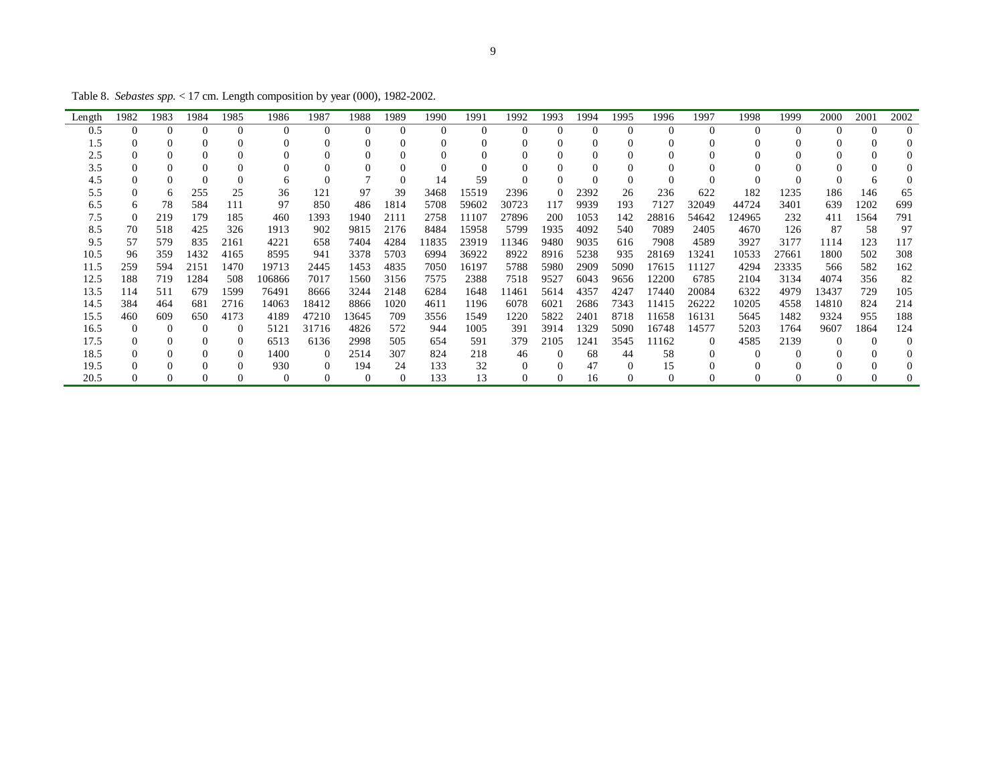Table 8. *Sebastes spp.* < 17 cm. Length composition by year (000), 1982-2002.

| Length | 1982     | 1983     | 1984     | 1985         | 1986     | 1987     | 1988     | 1989     | 1990     | 1991     | 1992     | 1993     | 1994     | 1995     | 1996     | 1997     | 1998  | 1999     | 2000     | 2001     | 2002     |
|--------|----------|----------|----------|--------------|----------|----------|----------|----------|----------|----------|----------|----------|----------|----------|----------|----------|-------|----------|----------|----------|----------|
| 0.5    | $\Omega$ | $\Omega$ | $\Omega$ | $\Omega$     | $\Omega$ | $\Omega$ | $\Omega$ | $\Omega$ | $\theta$ | $\Omega$ | $\Omega$ | $\Omega$ | $\Omega$ | $\Omega$ | $\Omega$ |          |       | $\Omega$ | $\Omega$ | $\Omega$ | $\Omega$ |
| 1.5    |          | 0        | 0        |              |          |          | 0        |          | 0        |          | $\Omega$ |          | $\Omega$ | $\Omega$ | $\Omega$ |          |       | 0        |          |          |          |
| 2.5    |          | $\theta$ | $\theta$ |              |          |          | 0        |          | $\theta$ |          |          |          |          | $\Omega$ |          |          |       | 0        |          |          |          |
| 3.5    |          | 0        | $\theta$ |              |          |          | 0        |          | $\Omega$ |          | $\Omega$ |          |          |          |          |          |       | 0        |          |          |          |
| 4.5    |          |          | $\Omega$ |              | 6        |          |          |          | 14       | 59       |          |          |          | $\Omega$ | $\Omega$ |          |       |          |          |          |          |
| 5.5    |          | h        | 255      | 25           | 36       | 121      | 97       | 39       | 3468     | 15519    | 2396     | $\theta$ | 2392     | 26       | 236      | 622      | 182   | 1235     | 186      | 146      | 65       |
| 6.5    | 6.       | 78       | 584      | 111          | 97       | 850      | 486      | 1814     | 5708     | 59602    | 30723    | 117      | 9939     | 193      | 7127     | 32049    | 44724 | 3401     | 639      | 1202     | 699      |
| 7.5    |          | 219      | 179      | 185          | 460      | 1393     | 1940     | 2111     | 2758     | 11107    | 27896    | 200      | 1053     | 142      | 28816    | 54642    | 24965 | 232      | 411      | 1564     | 791      |
| 8.5    | 70       | 518      | 425      | 326          | 1913     | 902      | 9815     | 2176     | 8484     | 15958    | 5799     | 1935     | 4092     | 540      | 7089     | 2405     | 4670  | 126      | 87       | 58       | 97       |
| 9.5    | 57       | 579      | 835      | 2161         | 4221     | 658      | 7404     | 4284     | 11835    | 23919    | 11346    | 9480     | 9035     | 616      | 7908     | 4589     | 3927  | 3177     | 1114     | 123      | 117      |
| 10.5   | 96       | 359      | 1432     | 4165         | 8595     | 941      | 3378     | 5703     | 6994     | 36922    | 8922     | 8916     | 5238     | 935      | 28169    | 13241    | 10533 | 27661    | 1800     | 502      | 308      |
| 11.5   | 259      | 594      | 2151     | 1470         | 19713    | 2445     | 1453     | 4835     | 7050     | 16197    | 5788     | 5980     | 2909     | 5090     | 17615    | 11127    | 4294  | 23335    | 566      | 582      | 162      |
| 12.5   | 188      | 719      | 1284     | 508          | 106866   | 7017     | 1560     | 3156     | 7575     | 2388     | 7518     | 9527     | 6043     | 9656     | 12200    | 6785     | 2104  | 3134     | 4074     | 356      | 82       |
| 13.5   | 114      | 511      | 679      | 1599         | 76491    | 8666     | 3244     | 2148     | 6284     | 1648     | 11461    | 5614     | 4357     | 4247     | 17440    | 20084    | 6322  | 4979     | 13437    | 729      | 105      |
| 14.5   | 384      | 464      | 681      | 2716         | 14063    | 18412    | 8866     | 1020     | 4611     | 1196     | 6078     | 6021     | 2686     | 7343     | 11415    | 26222    | 10205 | 4558     | 14810    | 824      | 214      |
| 15.5   | 460      | 609      | 650      | 4173         | 4189     | 47210    | 13645    | 709      | 3556     | 1549     | 1220     | 5822     | 2401     | 8718     | 1658     | 16131    | 5645  | 1482     | 9324     | 955      | 188      |
| 16.5   | 0        | $\Omega$ | 0        | $\Omega$     | 5121     | 31716    | 4826     | 572      | 944      | 1005     | 391      | 3914     | 1329     | 5090     | 16748    | 14577    | 5203  | 1764     | 9607     | 1864     | 124      |
| 17.5   |          | 0        | $\Omega$ | $\Omega$     | 6513     | 6136     | 2998     | 505      | 654      | 591      | 379      | 2105     | 1241     | 3545     | 1162     | $\Omega$ | 4585  | 2139     |          | 0        |          |
| 18.5   |          | $\theta$ | $\Omega$ | $\mathbf{0}$ | 1400     | $\Omega$ | 2514     | 307      | 824      | 218      | 46       | 0        | 68       | 44       | 58       |          |       | $\Omega$ |          |          |          |
| 19.5   |          |          | $\Omega$ | 0            | 930      | $\Omega$ | 194      | 24       | 133      | 32       | $\Omega$ | 0        | 47       | $\Omega$ | 15       |          |       | 0        |          |          |          |
| 20.5   |          |          |          |              |          |          | $\Omega$ |          | 133      | 13       | $\Omega$ |          | 16       | $\Omega$ | $\Omega$ |          |       |          |          |          |          |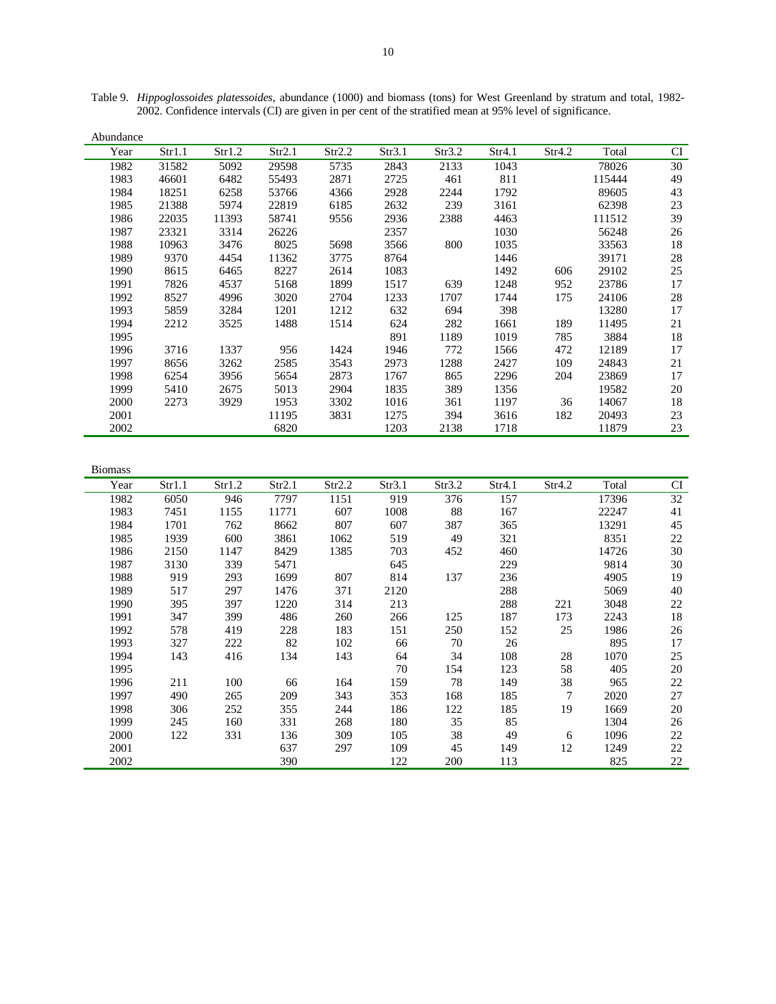| Abundance |        |        |        |        |        |        |        |        |        |        |
|-----------|--------|--------|--------|--------|--------|--------|--------|--------|--------|--------|
| Year      | Str1.1 | Str1.2 | Str2.1 | Str2.2 | Str3.1 | Str3.2 | Str4.1 | Str4.2 | Total  | CI     |
| 1982      | 31582  | 5092   | 29598  | 5735   | 2843   | 2133   | 1043   |        | 78026  | 30     |
| 1983      | 46601  | 6482   | 55493  | 2871   | 2725   | 461    | 811    |        | 115444 | 49     |
| 1984      | 18251  | 6258   | 53766  | 4366   | 2928   | 2244   | 1792   |        | 89605  | 43     |
| 1985      | 21388  | 5974   | 22819  | 6185   | 2632   | 239    | 3161   |        | 62398  | 23     |
| 1986      | 22035  | 11393  | 58741  | 9556   | 2936   | 2388   | 4463   |        | 111512 | 39     |
| 1987      | 23321  | 3314   | 26226  |        | 2357   |        | 1030   |        | 56248  | 26     |
| 1988      | 10963  | 3476   | 8025   | 5698   | 3566   | 800    | 1035   |        | 33563  | 18     |
| 1989      | 9370   | 4454   | 11362  | 3775   | 8764   |        | 1446   |        | 39171  | 28     |
| 1990      | 8615   | 6465   | 8227   | 2614   | 1083   |        | 1492   | 606    | 29102  | 25     |
| 1991      | 7826   | 4537   | 5168   | 1899   | 1517   | 639    | 1248   | 952    | 23786  | 17     |
| 1992      | 8527   | 4996   | 3020   | 2704   | 1233   | 1707   | 1744   | 175    | 24106  | $28\,$ |
| 1993      | 5859   | 3284   | 1201   | 1212   | 632    | 694    | 398    |        | 13280  | 17     |
| 1994      | 2212   | 3525   | 1488   | 1514   | 624    | 282    | 1661   | 189    | 11495  | 21     |
| 1995      |        |        |        |        | 891    | 1189   | 1019   | 785    | 3884   | 18     |
| 1996      | 3716   | 1337   | 956    | 1424   | 1946   | 772    | 1566   | 472    | 12189  | 17     |
| 1997      | 8656   | 3262   | 2585   | 3543   | 2973   | 1288   | 2427   | 109    | 24843  | 21     |
| 1998      | 6254   | 3956   | 5654   | 2873   | 1767   | 865    | 2296   | 204    | 23869  | 17     |
| 1999      | 5410   | 2675   | 5013   | 2904   | 1835   | 389    | 1356   |        | 19582  | 20     |
| 2000      | 2273   | 3929   | 1953   | 3302   | 1016   | 361    | 1197   | 36     | 14067  | 18     |
| 2001      |        |        | 11195  | 3831   | 1275   | 394    | 3616   | 182    | 20493  | 23     |
| 2002      |        |        | 6820   |        | 1203   | 2138   | 1718   |        | 11879  | 23     |

Table 9. *Hippoglossoides platessoides*, abundance (1000) and biomass (tons) for West Greenland by stratum and total, 1982- 2002. Confidence intervals (CI) are given in per cent of the stratified mean at 95% level of significance.

| <b>Biomass</b> |        |        |        |        |        |        |        |        |       |    |
|----------------|--------|--------|--------|--------|--------|--------|--------|--------|-------|----|
| Year           | Str1.1 | Str1.2 | Str2.1 | Str2.2 | Str3.1 | Str3.2 | Str4.1 | Str4.2 | Total | CI |
| 1982           | 6050   | 946    | 7797   | 1151   | 919    | 376    | 157    |        | 17396 | 32 |
| 1983           | 7451   | 1155   | 11771  | 607    | 1008   | 88     | 167    |        | 22247 | 41 |
| 1984           | 1701   | 762    | 8662   | 807    | 607    | 387    | 365    |        | 13291 | 45 |
| 1985           | 1939   | 600    | 3861   | 1062   | 519    | 49     | 321    |        | 8351  | 22 |
| 1986           | 2150   | 1147   | 8429   | 1385   | 703    | 452    | 460    |        | 14726 | 30 |
| 1987           | 3130   | 339    | 5471   |        | 645    |        | 229    |        | 9814  | 30 |
| 1988           | 919    | 293    | 1699   | 807    | 814    | 137    | 236    |        | 4905  | 19 |
| 1989           | 517    | 297    | 1476   | 371    | 2120   |        | 288    |        | 5069  | 40 |
| 1990           | 395    | 397    | 1220   | 314    | 213    |        | 288    | 221    | 3048  | 22 |
| 1991           | 347    | 399    | 486    | 260    | 266    | 125    | 187    | 173    | 2243  | 18 |
| 1992           | 578    | 419    | 228    | 183    | 151    | 250    | 152    | 25     | 1986  | 26 |
| 1993           | 327    | 222    | 82     | 102    | 66     | 70     | 26     |        | 895   | 17 |
| 1994           | 143    | 416    | 134    | 143    | 64     | 34     | 108    | 28     | 1070  | 25 |
| 1995           |        |        |        |        | 70     | 154    | 123    | 58     | 405   | 20 |
| 1996           | 211    | 100    | 66     | 164    | 159    | 78     | 149    | 38     | 965   | 22 |
| 1997           | 490    | 265    | 209    | 343    | 353    | 168    | 185    | 7      | 2020  | 27 |
| 1998           | 306    | 252    | 355    | 244    | 186    | 122    | 185    | 19     | 1669  | 20 |
| 1999           | 245    | 160    | 331    | 268    | 180    | 35     | 85     |        | 1304  | 26 |
| 2000           | 122    | 331    | 136    | 309    | 105    | 38     | 49     | 6      | 1096  | 22 |
| 2001           |        |        | 637    | 297    | 109    | 45     | 149    | 12     | 1249  | 22 |
| 2002           |        |        | 390    |        | 122    | 200    | 113    |        | 825   | 22 |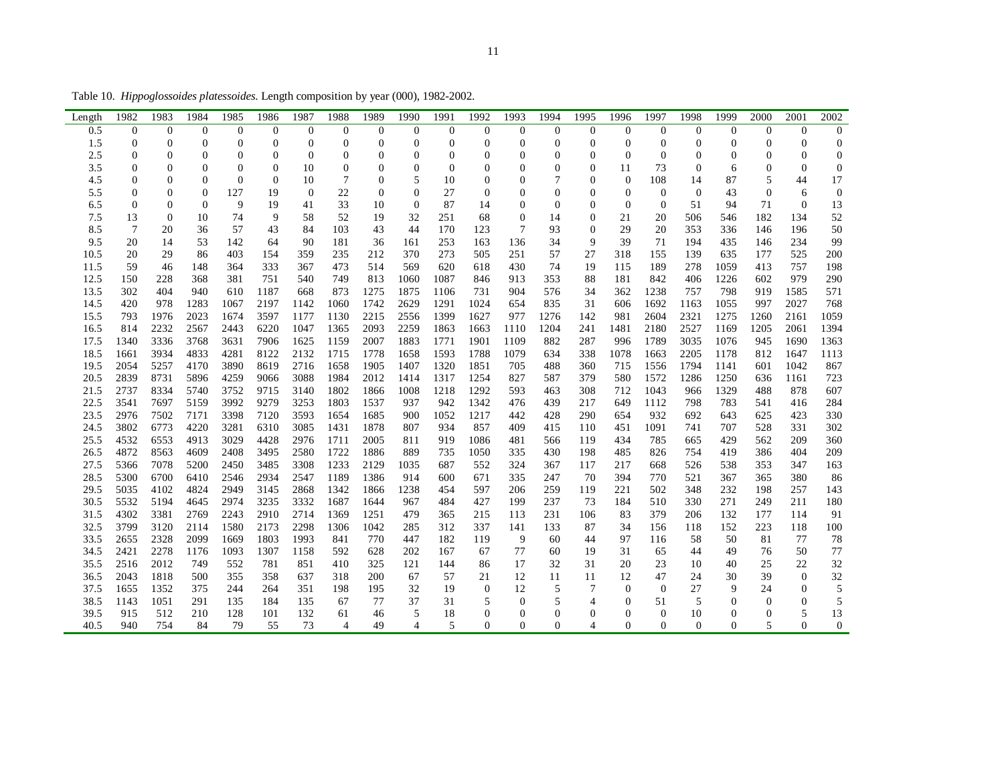Table 10. *Hippoglossoides platessoides*. Length composition by year (000), 1982-2002.

| Length       | 1982                             | 1983                               | 1984                     | 1985           | 1986             | 1987           | 1988           | 1989               | 1990                             | 1991           | 1992                 | 1993                           | 1994                           | 1995                               | 1996                             | 1997                 | 1998                 | 1999           | 2000                 | 2001                | 2002               |
|--------------|----------------------------------|------------------------------------|--------------------------|----------------|------------------|----------------|----------------|--------------------|----------------------------------|----------------|----------------------|--------------------------------|--------------------------------|------------------------------------|----------------------------------|----------------------|----------------------|----------------|----------------------|---------------------|--------------------|
| 0.5          | $\mathbf{0}$                     | $\boldsymbol{0}$                   | $\theta$                 | $\mathbf{0}$   | $\boldsymbol{0}$ | $\mathbf{0}$   | $\overline{0}$ | $\boldsymbol{0}$   | $\theta$                         | $\mathbf{0}$   | $\overline{0}$       | $\mathbf{0}$                   | $\overline{0}$                 | $\mathbf{0}$                       | $\overline{0}$                   | $\mathbf{0}$         | $\overline{0}$       | $\mathbf{0}$   | $\mathbf{0}$         | $\boldsymbol{0}$    | $\boldsymbol{0}$   |
| 1.5          | $\overline{0}$                   | $\overline{0}$                     | $\overline{0}$           | $\overline{0}$ | $\mathbf{0}$     | $\mathbf{0}$   | $\overline{0}$ | $\boldsymbol{0}$   | $\overline{0}$                   | $\overline{0}$ | $\overline{0}$       | $\overline{0}$                 | $\overline{0}$                 | $\boldsymbol{0}$                   | $\overline{0}$                   | $\overline{0}$       | $\overline{0}$       | $\overline{0}$ | $\overline{0}$       | $\mathbf{0}$        | $\boldsymbol{0}$   |
| 2.5          | $\overline{0}$                   | $\mathbf{0}$                       | $\theta$                 | $\overline{0}$ | $\boldsymbol{0}$ | $\Omega$       | $\overline{0}$ | $\mathbf{0}$       | $\overline{0}$                   | $\overline{0}$ | $\overline{0}$       | $\overline{0}$                 | $\overline{0}$                 | $\overline{0}$                     | $\overline{0}$                   | $\mathbf{0}$         | $\overline{0}$       | $\mathbf{0}$   | $\Omega$             | $\overline{0}$      | $\mathbf{0}$       |
| 3.5          | 0                                | $\mathbf{0}$                       | $\overline{0}$           | $\overline{0}$ | $\mathbf{0}$     | 10             | $\overline{0}$ | $\mathbf{0}$       | $\overline{0}$                   | $\overline{0}$ | $\overline{0}$       | $\mathbf{0}$                   | $\overline{0}$                 | $\mathbf{0}$                       | 11                               | 73                   | $\overline{0}$       | 6              | $\overline{0}$       | $\overline{0}$      | $\mathbf{0}$       |
| 4.5          | 0                                | $\boldsymbol{0}$                   | $\boldsymbol{0}$         | $\overline{0}$ | $\mathbf{0}$     | 10             | $\overline{7}$ | $\boldsymbol{0}$   | 5                                | 10<br>27       | $\boldsymbol{0}$     | $\boldsymbol{0}$               | $\tau$                         | $\boldsymbol{0}$                   | $\boldsymbol{0}$                 | 108                  | 14                   | 87             | 5                    | 44                  | 17                 |
| 5.5<br>6.5   | $\overline{0}$<br>$\overline{0}$ | $\overline{0}$<br>$\boldsymbol{0}$ | $\theta$<br>$\mathbf{0}$ | 127<br>9       | 19<br>19         | $\theta$<br>41 | 22<br>33       | $\mathbf{0}$<br>10 | $\overline{0}$<br>$\overline{0}$ | 87             | $\overline{0}$<br>14 | $\overline{0}$<br>$\mathbf{0}$ | $\overline{0}$<br>$\mathbf{0}$ | $\overline{0}$<br>$\boldsymbol{0}$ | $\overline{0}$<br>$\overline{0}$ | $\theta$<br>$\theta$ | $\overline{0}$<br>51 | 43<br>94       | $\overline{0}$<br>71 | 6<br>$\overline{0}$ | $\mathbf{0}$<br>13 |
| 7.5          | 13                               | $\mathbf{0}$                       | 10                       | 74             | 9                | 58             | 52             | 19                 | 32                               | 251            | 68                   | $\overline{0}$                 | 14                             | $\boldsymbol{0}$                   | 21                               | 20                   | 506                  | 546            | 182                  | 134                 | 52                 |
| 8.5          | 7                                | 20                                 | 36                       | 57             | 43               | 84             | 103            | 43                 | 44                               | 170            | 123                  | 7                              | 93                             | $\mathbf{0}$                       | 29                               | 20                   | 353                  | 336            | 146                  | 196                 | 50                 |
| 9.5          | 20                               | 14                                 | 53                       | 142            | 64               | 90             | 181            | 36                 | 161                              | 253            | 163                  | 136                            | 34                             | 9                                  | 39                               | 71                   | 194                  | 435            | 146                  | 234                 | 99                 |
| 10.5         | 20                               | 29                                 | 86                       | 403            | 154              | 359            | 235            | 212                | 370                              | 273            | 505                  | 251                            | 57                             | 27                                 | 318                              | 155                  | 139                  | 635            | 177                  | 525                 | 200                |
| 11.5         | 59                               | 46                                 | 148                      | 364            | 333              | 367            | 473            | 514                | 569                              | 620            | 618                  | 430                            | 74                             | 19                                 | 115                              | 189                  | 278                  | 1059           | 413                  | 757                 | 198                |
| 12.5         | 150                              | 228                                | 368                      | 381            | 751              | 540            | 749            | 813                | 1060                             | 1087           | 846                  | 913                            | 353                            | 88                                 | 181                              | 842                  | 406                  | 1226           | 602                  | 979                 | 290                |
| 13.5         | 302                              | 404                                | 940                      | 610            | 1187             | 668            | 873            | 1275               | 1875                             | 1106           | 731                  | 904                            | 576                            | 34                                 | 362                              | 1238                 | 757                  | 798            | 919                  | 1585                | 571                |
| 14.5         | 420                              | 978                                | 1283                     | 1067           | 2197             | 1142           | 1060           | 1742               | 2629                             | 1291           | 1024                 | 654                            | 835                            | 31                                 | 606                              | 1692                 | 1163                 | 1055           | 997                  | 2027                | 768                |
| 15.5         | 793                              | 1976                               | 2023                     | 1674           | 3597             | 1177           | 1130           | 2215               | 2556                             | 1399           | 1627                 | 977                            | 1276                           | 142                                | 981                              | 2604                 | 2321                 | 1275           | 1260                 | 2161                | 1059               |
| 16.5         | 814                              | 2232                               | 2567                     | 2443           | 6220             | 1047           | 1365           | 2093               | 2259                             | 1863           | 1663                 | 1110                           | 1204                           | 241                                | 1481                             | 2180                 | 2527                 | 1169           | 1205                 | 2061                | 1394               |
| 17.5         | 1340                             | 3336                               | 3768                     | 3631           | 7906             | 1625           | 1159           | 2007               | 1883                             | 1771           | 1901                 | 1109                           | 882                            | 287                                | 996                              | 1789                 | 3035                 | 1076           | 945                  | 1690                | 1363               |
| 18.5         | 1661                             | 3934                               | 4833                     | 4281           | 8122             | 2132           | 1715           | 1778               | 1658                             | 1593           | 1788                 | 1079                           | 634                            | 338                                | 1078                             | 1663                 | 2205                 | 1178           | 812                  | 1647                | 1113               |
| 19.5         | 2054                             | 5257                               | 4170                     | 3890           | 8619             | 2716           | 1658           | 1905               | 1407                             | 1320           | 1851                 | 705                            | 488                            | 360                                | 715                              | 1556                 | 1794                 | 1141           | 601                  | 1042                | 867                |
| 20.5         | 2839                             | 8731                               | 5896                     | 4259           | 9066             | 3088           | 1984           | 2012               | 1414                             | 1317           | 1254                 | 827                            | 587                            | 379                                | 580                              | 1572                 | 1286                 | 1250           | 636                  | 1161                | 723                |
| 21.5         | 2737                             | 8334                               | 5740                     | 3752           | 9715             | 3140           | 1802           | 1866               | 1008                             | 1218           | 1292                 | 593                            | 463                            | 308                                | 712                              | 1043                 | 966                  | 1329           | 488                  | 878                 | 607                |
| 22.5         | 3541                             | 7697                               | 5159                     | 3992           | 9279             | 3253           | 1803           | 1537               | 937                              | 942            | 1342                 | 476                            | 439                            | 217                                | 649                              | 1112                 | 798                  | 783            | 541                  | 416                 | 284                |
| 23.5         | 2976                             | 7502                               | 7171                     | 3398           | 7120             | 3593           | 1654           | 1685               | 900                              | 1052           | 1217                 | 442                            | 428                            | 290                                | 654                              | 932                  | 692                  | 643            | 625                  | 423                 | 330                |
| 24.5         | 3802                             | 6773<br>6553                       | 4220<br>4913             | 3281           | 6310             | 3085           | 1431<br>1711   | 1878               | 807                              | 934<br>919     | 857                  | 409                            | 415                            | 110                                | 451<br>434                       | 1091                 | 741                  | 707            | 528<br>562           | 331<br>209          | 302<br>360         |
| 25.5<br>26.5 | 4532<br>4872                     | 8563                               | 4609                     | 3029<br>2408   | 4428<br>3495     | 2976<br>2580   | 1722           | 2005<br>1886       | 811<br>889                       | 735            | 1086<br>1050         | 481<br>335                     | 566<br>430                     | 119<br>198                         | 485                              | 785<br>826           | 665<br>754           | 429<br>419     | 386                  | 404                 | 209                |
| 27.5         | 5366                             | 7078                               | 5200                     | 2450           | 3485             | 3308           | 1233           | 2129               | 1035                             | 687            | 552                  | 324                            | 367                            | 117                                | 217                              | 668                  | 526                  | 538            | 353                  | 347                 | 163                |
| 28.5         | 5300                             | 6700                               | 6410                     | 2546           | 2934             | 2547           | 1189           | 1386               | 914                              | 600            | 671                  | 335                            | 247                            | 70                                 | 394                              | 770                  | 521                  | 367            | 365                  | 380                 | 86                 |
| 29.5         | 5035                             | 4102                               | 4824                     | 2949           | 3145             | 2868           | 1342           | 1866               | 1238                             | 454            | 597                  | 206                            | 259                            | 119                                | 221                              | 502                  | 348                  | 232            | 198                  | 257                 | 143                |
| 30.5         | 5532                             | 5194                               | 4645                     | 2974           | 3235             | 3332           | 1687           | 1644               | 967                              | 484            | 427                  | 199                            | 237                            | 73                                 | 184                              | 510                  | 330                  | 271            | 249                  | 211                 | 180                |
| 31.5         | 4302                             | 3381                               | 2769                     | 2243           | 2910             | 2714           | 1369           | 1251               | 479                              | 365            | 215                  | 113                            | 231                            | 106                                | 83                               | 379                  | 206                  | 132            | 177                  | 114                 | 91                 |
| 32.5         | 3799                             | 3120                               | 2114                     | 1580           | 2173             | 2298           | 1306           | 1042               | 285                              | 312            | 337                  | 141                            | 133                            | 87                                 | 34                               | 156                  | 118                  | 152            | 223                  | 118                 | 100                |
| 33.5         | 2655                             | 2328                               | 2099                     | 1669           | 1803             | 1993           | 841            | 770                | 447                              | 182            | 119                  | 9                              | 60                             | 44                                 | 97                               | 116                  | 58                   | 50             | 81                   | 77                  | 78                 |
| 34.5         | 2421                             | 2278                               | 1176                     | 1093           | 1307             | 1158           | 592            | 628                | 202                              | 167            | 67                   | 77                             | 60                             | 19                                 | 31                               | 65                   | 44                   | 49             | 76                   | 50                  | 77                 |
| 35.5         | 2516                             | 2012                               | 749                      | 552            | 781              | 851            | 410            | 325                | 121                              | 144            | 86                   | 17                             | 32                             | 31                                 | 20                               | 23                   | 10                   | 40             | 25                   | 22                  | 32                 |
| 36.5         | 2043                             | 1818                               | 500                      | 355            | 358              | 637            | 318            | 200                | 67                               | 57             | 21                   | 12                             | 11                             | 11                                 | 12                               | 47                   | 24                   | 30             | 39                   | $\mathbf{0}$        | 32                 |
| 37.5         | 1655                             | 1352                               | 375                      | 244            | 264              | 351            | 198            | 195                | 32                               | 19             | $\mathbf{0}$         | 12                             | 5                              | $\tau$                             | $\boldsymbol{0}$                 | $\theta$             | 27                   | 9              | 24                   | $\overline{0}$      | 5                  |
| 38.5         | 1143                             | 1051                               | 291                      | 135            | 184              | 135            | 67             | 77                 | 37                               | 31             | 5                    | $\mathbf{0}$                   | 5                              | $\overline{4}$                     | $\overline{0}$                   | 51                   | 5                    | $\mathbf{0}$   | $\mathbf{0}$         | $\boldsymbol{0}$    | $\sqrt{5}$         |
| 39.5         | 915                              | 512                                | 210                      | 128            | 101              | 132            | 61             | 46                 | 5                                | 18             | $\overline{0}$       | $\mathbf{0}$                   | $\theta$                       | $\mathbf{0}$                       | $\overline{0}$                   | $\mathbf{0}$         | 10                   | $\mathbf{0}$   | $\mathbf{0}$         | 5                   | 13                 |
| 40.5         | 940                              | 754                                | 84                       | 79             | 55               | 73             | 4              | 49                 | 4                                | 5              | $\overline{0}$       | $\Omega$                       | $\Omega$                       | $\overline{4}$                     | $\mathbf{0}$                     | $\Omega$             | $\Omega$             | $\Omega$       | 5                    | $\overline{0}$      | $\mathbf{0}$       |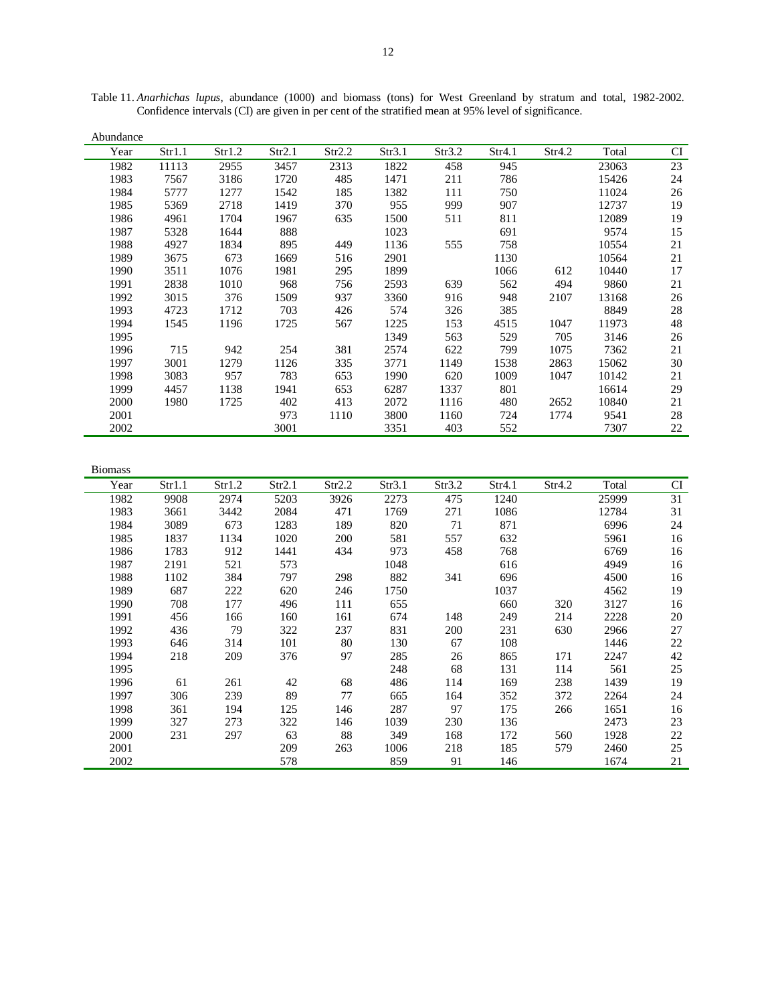| Abundance |        |        |        |        |        |        |        |        |       |           |
|-----------|--------|--------|--------|--------|--------|--------|--------|--------|-------|-----------|
| Year      | Str1.1 | Str1.2 | Str2.1 | Str2.2 | Str3.1 | Str3.2 | Str4.1 | Str4.2 | Total | <b>CI</b> |
| 1982      | 11113  | 2955   | 3457   | 2313   | 1822   | 458    | 945    |        | 23063 | 23        |
| 1983      | 7567   | 3186   | 1720   | 485    | 1471   | 211    | 786    |        | 15426 | 24        |
| 1984      | 5777   | 1277   | 1542   | 185    | 1382   | 111    | 750    |        | 11024 | 26        |
| 1985      | 5369   | 2718   | 1419   | 370    | 955    | 999    | 907    |        | 12737 | 19        |
| 1986      | 4961   | 1704   | 1967   | 635    | 1500   | 511    | 811    |        | 12089 | 19        |
| 1987      | 5328   | 1644   | 888    |        | 1023   |        | 691    |        | 9574  | 15        |
| 1988      | 4927   | 1834   | 895    | 449    | 1136   | 555    | 758    |        | 10554 | 21        |
| 1989      | 3675   | 673    | 1669   | 516    | 2901   |        | 1130   |        | 10564 | 21        |
| 1990      | 3511   | 1076   | 1981   | 295    | 1899   |        | 1066   | 612    | 10440 | 17        |
| 1991      | 2838   | 1010   | 968    | 756    | 2593   | 639    | 562    | 494    | 9860  | 21        |
| 1992      | 3015   | 376    | 1509   | 937    | 3360   | 916    | 948    | 2107   | 13168 | 26        |
| 1993      | 4723   | 1712   | 703    | 426    | 574    | 326    | 385    |        | 8849  | 28        |
| 1994      | 1545   | 1196   | 1725   | 567    | 1225   | 153    | 4515   | 1047   | 11973 | 48        |
| 1995      |        |        |        |        | 1349   | 563    | 529    | 705    | 3146  | 26        |
| 1996      | 715    | 942    | 254    | 381    | 2574   | 622    | 799    | 1075   | 7362  | 21        |
| 1997      | 3001   | 1279   | 1126   | 335    | 3771   | 1149   | 1538   | 2863   | 15062 | 30        |
| 1998      | 3083   | 957    | 783    | 653    | 1990   | 620    | 1009   | 1047   | 10142 | 21        |
| 1999      | 4457   | 1138   | 1941   | 653    | 6287   | 1337   | 801    |        | 16614 | 29        |
| 2000      | 1980   | 1725   | 402    | 413    | 2072   | 1116   | 480    | 2652   | 10840 | 21        |
| 2001      |        |        | 973    | 1110   | 3800   | 1160   | 724    | 1774   | 9541  | 28        |
| 2002      |        |        | 3001   |        | 3351   | 403    | 552    |        | 7307  | $22\,$    |

Table 11. *Anarhichas lupus*, abundance (1000) and biomass (tons) for West Greenland by stratum and total, 1982-2002. Confidence intervals (CI) are given in per cent of the stratified mean at 95% level of significance.

| <b>Biomass</b> |        |        |        |        |        |        |        |        |       |    |
|----------------|--------|--------|--------|--------|--------|--------|--------|--------|-------|----|
| Year           | Str1.1 | Str1.2 | Str2.1 | Str2.2 | Str3.1 | Str3.2 | Str4.1 | Str4.2 | Total | CI |
| 1982           | 9908   | 2974   | 5203   | 3926   | 2273   | 475    | 1240   |        | 25999 | 31 |
| 1983           | 3661   | 3442   | 2084   | 471    | 1769   | 271    | 1086   |        | 12784 | 31 |
| 1984           | 3089   | 673    | 1283   | 189    | 820    | 71     | 871    |        | 6996  | 24 |
| 1985           | 1837   | 1134   | 1020   | 200    | 581    | 557    | 632    |        | 5961  | 16 |
| 1986           | 1783   | 912    | 1441   | 434    | 973    | 458    | 768    |        | 6769  | 16 |
| 1987           | 2191   | 521    | 573    |        | 1048   |        | 616    |        | 4949  | 16 |
| 1988           | 1102   | 384    | 797    | 298    | 882    | 341    | 696    |        | 4500  | 16 |
| 1989           | 687    | 222    | 620    | 246    | 1750   |        | 1037   |        | 4562  | 19 |
| 1990           | 708    | 177    | 496    | 111    | 655    |        | 660    | 320    | 3127  | 16 |
| 1991           | 456    | 166    | 160    | 161    | 674    | 148    | 249    | 214    | 2228  | 20 |
| 1992           | 436    | 79     | 322    | 237    | 831    | 200    | 231    | 630    | 2966  | 27 |
| 1993           | 646    | 314    | 101    | 80     | 130    | 67     | 108    |        | 1446  | 22 |
| 1994           | 218    | 209    | 376    | 97     | 285    | 26     | 865    | 171    | 2247  | 42 |
| 1995           |        |        |        |        | 248    | 68     | 131    | 114    | 561   | 25 |
| 1996           | 61     | 261    | 42     | 68     | 486    | 114    | 169    | 238    | 1439  | 19 |
| 1997           | 306    | 239    | 89     | 77     | 665    | 164    | 352    | 372    | 2264  | 24 |
| 1998           | 361    | 194    | 125    | 146    | 287    | 97     | 175    | 266    | 1651  | 16 |
| 1999           | 327    | 273    | 322    | 146    | 1039   | 230    | 136    |        | 2473  | 23 |
| 2000           | 231    | 297    | 63     | 88     | 349    | 168    | 172    | 560    | 1928  | 22 |
| 2001           |        |        | 209    | 263    | 1006   | 218    | 185    | 579    | 2460  | 25 |
| 2002           |        |        | 578    |        | 859    | 91     | 146    |        | 1674  | 21 |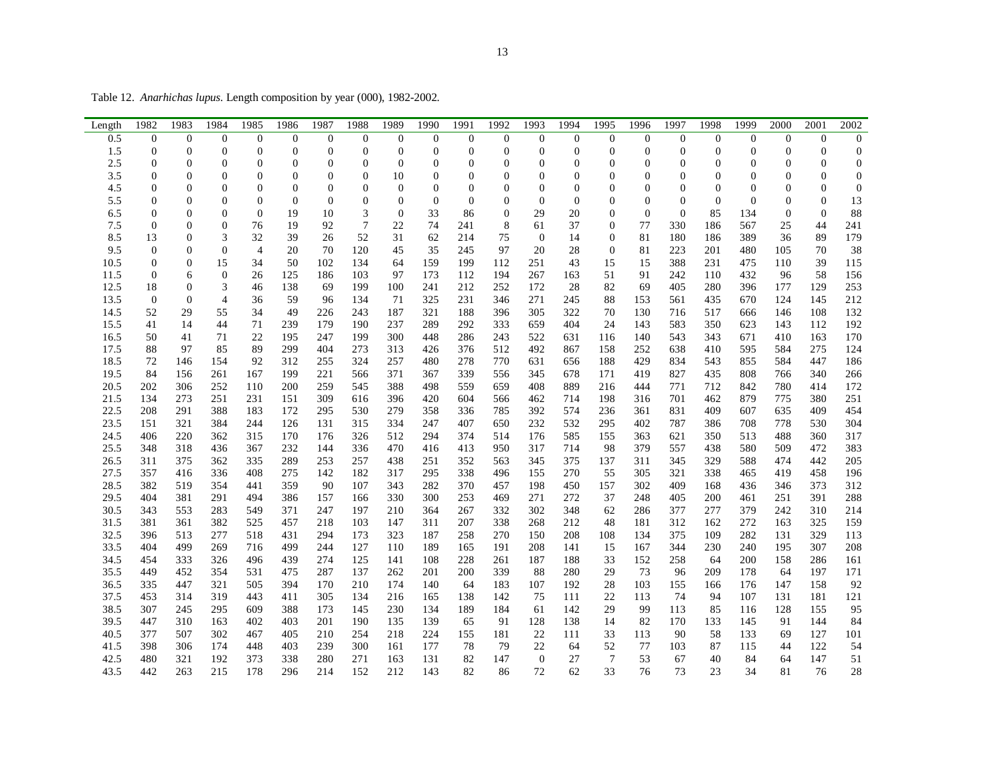Table 12. *Anarhichas lupus*. Length composition by year (000), 1982-2002.

| Length | 1982             | 1983             | 1984             | 1985           | 1986             | 1987             | 1988             | 1989           | 1990             | 1991             | 1992             | 1993             | 1994             | 1995             | 1996             | 1997             | 1998             | 1999           | 2000             | 2001             | 2002             |
|--------|------------------|------------------|------------------|----------------|------------------|------------------|------------------|----------------|------------------|------------------|------------------|------------------|------------------|------------------|------------------|------------------|------------------|----------------|------------------|------------------|------------------|
| 0.5    | $\mathbf{0}$     | $\boldsymbol{0}$ | $\mathbf{0}$     | $\mathbf{0}$   | $\mathbf{0}$     | $\boldsymbol{0}$ | $\mathbf{0}$     | $\mathbf{0}$   | $\boldsymbol{0}$ | $\mathbf{0}$     | $\overline{0}$   | $\boldsymbol{0}$ | $\boldsymbol{0}$ | $\boldsymbol{0}$ | $\boldsymbol{0}$ | $\boldsymbol{0}$ | $\boldsymbol{0}$ | $\theta$       | $\boldsymbol{0}$ | $\boldsymbol{0}$ | $\boldsymbol{0}$ |
| 1.5    | $\overline{0}$   | $\mathbf{0}$     | $\overline{0}$   | $\overline{0}$ | $\overline{0}$   | $\overline{0}$   | $\overline{0}$   | $\overline{0}$ | $\mathbf{0}$     | $\overline{0}$   | $\overline{0}$   | $\mathbf{0}$     | $\overline{0}$   | $\overline{0}$   | $\mathbf{0}$     | $\mathbf{0}$     | $\overline{0}$   | $\Omega$       | $\overline{0}$   | $\overline{0}$   | $\mathbf{0}$     |
| 2.5    | $\mathbf{0}$     | $\boldsymbol{0}$ | $\boldsymbol{0}$ | $\overline{0}$ | $\boldsymbol{0}$ | $\boldsymbol{0}$ | $\boldsymbol{0}$ | $\overline{0}$ | $\boldsymbol{0}$ | $\boldsymbol{0}$ | $\overline{0}$   | $\boldsymbol{0}$ | $\boldsymbol{0}$ | $\boldsymbol{0}$ | $\boldsymbol{0}$ | $\boldsymbol{0}$ | $\boldsymbol{0}$ | $\overline{0}$ | $\boldsymbol{0}$ | $\boldsymbol{0}$ | $\mathbf{0}$     |
| 3.5    | $\mathbf{0}$     | $\mathbf{0}$     | $\overline{0}$   | $\overline{0}$ | $\overline{0}$   | $\overline{0}$   | $\overline{0}$   | 10             | $\mathbf{0}$     | $\overline{0}$   | $\overline{0}$   | $\overline{0}$   | $\overline{0}$   | $\overline{0}$   | $\mathbf{0}$     | $\boldsymbol{0}$ | $\overline{0}$   | $\overline{0}$ | $\theta$         | $\overline{0}$   | $\mathbf{0}$     |
| 4.5    | $\overline{0}$   | $\overline{0}$   | $\overline{0}$   | $\overline{0}$ | $\overline{0}$   | $\mathbf{0}$     | $\mathbf{0}$     | $\overline{0}$ | $\mathbf{0}$     | $\overline{0}$   | $\overline{0}$   | $\mathbf{0}$     | $\overline{0}$   | $\overline{0}$   | $\mathbf{0}$     | $\mathbf{0}$     | $\boldsymbol{0}$ | $\theta$       | $\overline{0}$   | $\overline{0}$   | $\mathbf{0}$     |
| 5.5    | $\overline{0}$   | $\mathbf{0}$     | $\overline{0}$   | $\theta$       | $\mathbf{0}$     | $\mathbf{0}$     | $\mathbf{0}$     | $\overline{0}$ | $\mathbf{0}$     | $\overline{0}$   | $\overline{0}$   | $\mathbf{0}$     | $\overline{0}$   | $\overline{0}$   | $\overline{0}$   | $\mathbf{0}$     | $\mathbf{0}$     | $\theta$       | $\theta$         | $\overline{0}$   | 13               |
| 6.5    | $\boldsymbol{0}$ | 0                | $\overline{0}$   | $\mathbf{0}$   | 19               | 10               | 3                | $\mathbf{0}$   | 33               | 86               | $\boldsymbol{0}$ | 29               | 20               | $\boldsymbol{0}$ | $\overline{0}$   | $\mathbf{0}$     | 85               | 134            | $\mathbf{0}$     | $\overline{0}$   | 88               |
| 7.5    | $\overline{0}$   | $\overline{0}$   | $\overline{0}$   | 76             | 19               | 92               | $\tau$           | 22             | 74               | 241              | 8                | 61               | 37               | $\mathbf{0}$     | 77               | 330              | 186              | 567            | 25               | 44               | 241              |
| 8.5    | 13               | $\boldsymbol{0}$ | 3                | 32             | 39               | 26               | 52               | 31             | 62               | 214              | 75               | $\overline{0}$   | 14               | $\boldsymbol{0}$ | 81               | 180              | 186              | 389            | 36               | 89               | 179              |
| 9.5    | $\mathbf{0}$     | $\mathbf{0}$     | $\overline{0}$   | $\overline{4}$ | 20               | 70               | 120              | 45             | 35               | 245              | 97               | 20               | 28               | $\overline{0}$   | 81               | 223              | 201              | 480            | 105              | 70               | 38               |
| 10.5   | $\mathbf{0}$     | $\overline{0}$   | 15               | 34             | 50               | 102              | 134              | 64             | 159              | 199              | 112              | 251              | 43               | 15               | 15               | 388              | 231              | 475            | 110              | 39               | 115              |
| 11.5   | $\mathbf{0}$     | 6                | $\Omega$         | 26             | 125              | 186              | 103              | 97             | 173              | 112              | 194              | 267              | 163              | 51               | 91               | 242              | 110              | 432            | 96               | 58               | 156              |
| 12.5   | 18               | $\boldsymbol{0}$ | 3                | 46             | 138              | 69               | 199              | 100            | 241              | 212              | 252              | 172              | 28               | 82               | 69               | 405              | 280              | 396            | 177              | 129              | 253              |
| 13.5   | $\boldsymbol{0}$ | $\boldsymbol{0}$ | $\overline{4}$   | 36             | 59               | 96               | 134              | 71             | 325              | 231              | 346              | 271              | 245              | 88               | 153              | 561              | 435              | 670            | 124              | 145              | 212              |
| 14.5   | 52               | 29               | 55               | 34             | 49               | 226              | 243              | 187            | 321              | 188              | 396              | 305              | 322              | 70               | 130              | 716              | 517              | 666            | 146              | 108              | 132              |
| 15.5   | 41               | 14               | 44               | 71             | 239              | 179              | 190              | 237            | 289              | 292              | 333              | 659              | 404              | 24               | 143              | 583              | 350              | 623            | 143              | 112              | 192              |
| 16.5   | 50               | 41               | 71               | 22             | 195              | 247              | 199              | 300            | 448              | 286              | 243              | 522              | 631              | 116              | 140              | 543              | 343              | 671            | 410              | 163              | 170              |
| 17.5   | 88               | 97               | 85               | 89             | 299              | 404              | 273              | 313            | 426              | 376              | 512              | 492              | 867              | 158              | 252              | 638              | 410              | 595            | 584              | 275              | 124              |
| 18.5   | 72               | 146              | 154              | 92             | 312              | 255              | 324              | 257            | 480              | 278              | 770              | 631              | 656              | 188              | 429              | 834              | 543              | 855            | 584              | 447              | 186              |
| 19.5   | 84               | 156              | 261              | 167            | 199              | 221              | 566              | 371            | 367              | 339              | 556              | 345              | 678              | 171              | 419              | 827              | 435              | 808            | 766              | 340              | 266              |
| 20.5   | 202              | 306              | 252              | 110            | 200              | 259              | 545              | 388            | 498              | 559              | 659              | 408              | 889              | 216              | 444              | 771              | 712              | 842            | 780              | 414              | 172              |
| 21.5   | 134              | 273              | 251              | 231            | 151              | 309              | 616              | 396            | 420              | 604              | 566              | 462              | 714              | 198              | 316              | 701              | 462              | 879            | 775              | 380              | 251              |
| 22.5   | 208              | 291              | 388              | 183            | 172              | 295              | 530              | 279            | 358              | 336              | 785              | 392              | 574              | 236              | 361              | 831              | 409              | 607            | 635              | 409              | 454              |
| 23.5   | 151              | 321              | 384              | 244            | 126              | 131              | 315              | 334            | 247              | 407              | 650              | 232              | 532              | 295              | 402              | 787              | 386              | 708            | 778              | 530              | 304              |
| 24.5   | 406              | 220              | 362              | 315            | 170              | 176              | 326              | 512            | 294              | 374              | 514              | 176              | 585              | 155              | 363              | 621              | 350              | 513            | 488              | 360              | 317              |
| 25.5   | 348              | 318              | 436              | 367            | 232              | 144              | 336              | 470            | 416              | 413              | 950              | 317              | 714              | 98               | 379              | 557              | 438              | 580            | 509              | 472              | 383              |
| 26.5   | 311              | 375              | 362              | 335            | 289              | 253              | 257              | 438            | 251              | 352              | 563              | 345              | 375              | 137              | 311              | 345              | 329              | 588            | 474              | 442              | 205              |
| 27.5   | 357              | 416              | 336              | 408            | 275              | 142              | 182              | 317            | 295              | 338              | 496              | 155              | 270              | 55               | 305              | 321              | 338              | 465            | 419              | 458              | 196              |
| 28.5   | 382              | 519              | 354              | 441            | 359              | 90               | 107              | 343            | 282              | 370              | 457              | 198              | 450              | 157              | 302              | 409              | 168              | 436            | 346              | 373              | 312              |
| 29.5   | 404              | 381              | 291              | 494            | 386              | 157              | 166              | 330            | 300              | 253              | 469              | 271              | 272              | 37               | 248              | 405              | 200              | 461            | 251              | 391              | 288              |
| 30.5   | 343              | 553              | 283              | 549            | 371              | 247              | 197              | 210            | 364              | 267              | 332              | 302              | 348              | 62               | 286              | 377              | 277              | 379            | 242              | 310              | 214              |
| 31.5   | 381              | 361              | 382              | 525            | 457              | 218              | 103              | 147            | 311              | 207              | 338              | 268              | 212              | 48               | 181              | 312              | 162              | 272            | 163              | 325              | 159              |
| 32.5   | 396              | 513              | 277              | 518            | 431              | 294              | 173              | 323            | 187              | 258              | 270              | 150              | 208              | 108              | 134              | 375              | 109              | 282            | 131              | 329              | 113              |
| 33.5   | 404              | 499              | 269              | 716            | 499              | 244              | 127              | 110            | 189              | 165              | 191              | 208              | 141              | 15               | 167              | 344              | 230              | 240            | 195              | 307              | 208              |
| 34.5   | 454              | 333              | 326              | 496            | 439              | 274              | 125              | 141            | 108              | 228              | 261              | 187              | 188              | 33               | 152              | 258              | 64               | 200            | 158              | 286              | 161              |
| 35.5   | 449              | 452              | 354              | 531            | 475              | 287              | 137              | 262            | 201              | 200              | 339              | 88               | 280              | 29               | 73               | 96               | 209              | 178            | 64               | 197              | 171              |
| 36.5   | 335              | 447              | 321              | 505            | 394              | 170              | 210              | 174            | 140              | 64               | 183              | 107              | 192              | 28               | 103              | 155              | 166              | 176            | 147              | 158              | 92               |
| 37.5   | 453              | 314              | 319              | 443            | 411              | 305              | 134              | 216            | 165              | 138              | 142              | 75               | 111              | 22               | 113              | 74               | 94               | 107            | 131              | 181              | 121              |
| 38.5   | 307              | 245              | 295              | 609            | 388              | 173              | 145              | 230            | 134              | 189              | 184              | 61               | 142              | 29               | 99               | 113              | 85               | 116            | 128              | 155              | 95               |
| 39.5   | 447              | 310              | 163              | 402            | 403              | 201              | 190              | 135            | 139              | 65               | 91               | 128              | 138              | 14               | 82               | 170              | 133              | 145            | 91               | 144              | 84               |
| 40.5   | 377              | 507              | 302              | 467            | 405              | 210              | 254              | 218            | 224              | 155              | 181              | 22               | 111              | 33               | 113              | 90               | 58               | 133            | 69               | 127              | 101              |
| 41.5   | 398              | 306              | 174              | 448            | 403              | 239              | 300              | 161            | 177              | 78               | 79               | 22               | 64               | 52               | 77               | 103              | 87               | 115            | 44               | 122              | 54               |
| 42.5   | 480              | 321              | 192              | 373            | 338              | 280              | 271              | 163            | 131              | 82               | 147              | $\mathbf{0}$     | 27               | $\overline{7}$   | 53               | 67               | 40               | 84             | 64               | 147              | 51               |
| 43.5   | 442              | 263              | 215              | 178            | 296              | 214              | 152              | 212            | 143              | 82               | 86               | 72               | 62               | 33               | 76               | 73               | 23               | 34             | 81               | 76               | 28               |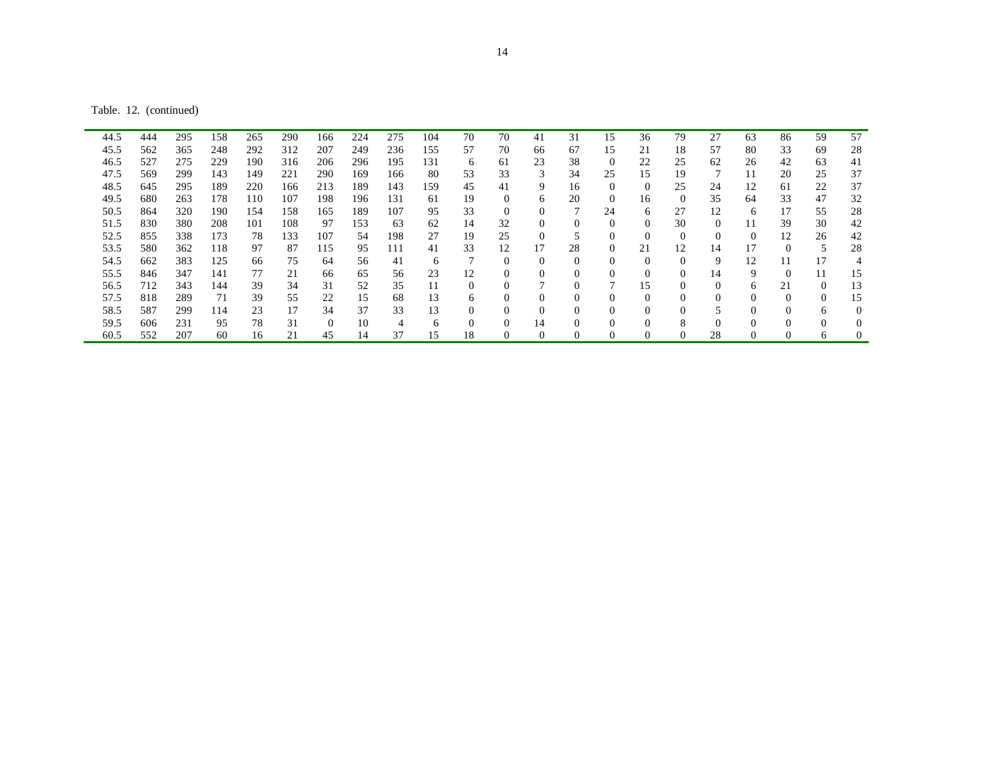Table. 12. (continued)

| 44.5 | 444 | 295 | 158 | 265 | 290 | 166      | 224 | 275 | 104 | 70           | 70             | 41       | 31 | 15             | 36       | 79       | 27       | 63 | 86       | 59       | 57           |
|------|-----|-----|-----|-----|-----|----------|-----|-----|-----|--------------|----------------|----------|----|----------------|----------|----------|----------|----|----------|----------|--------------|
| 45.5 | 562 | 365 | 248 | 292 | 312 | 207      | 249 | 236 | 155 | 57           | 70             | 66       | 67 | 15             | 21       | 18       | 57       | 80 | 33       | 69       | 28           |
| 46.5 | 527 | 275 | 229 | 190 | 316 | 206      | 296 | 195 | 131 | 6            | 61             | 23       | 38 | $\overline{0}$ | 22       | 25       | 62       | 26 | 42       | 63       | 41           |
| 47.5 | 569 | 299 | 143 | 149 | 221 | 290      | 169 | 166 | 80  | 53           | 33             | 3        | 34 | 25             | 15       | 19       | 7        | 11 | 20       | 25       | 37           |
| 48.5 | 645 | 295 | 189 | 220 | 166 | 213      | 189 | 143 | 159 | 45           | 41             | 9        | 16 | $\theta$       | $\Omega$ | 25       | 24       | 12 | 61       | 22       | 37           |
| 49.5 | 680 | 263 | 178 | 110 | 107 | 198      | 196 | 131 | 61  | 19           | $\theta$       | 6        | 20 | $\overline{0}$ | 16       | $\Omega$ | 35       | 64 | 33       | 47       | 32           |
| 50.5 | 864 | 320 | 190 | 154 | 158 | 165      | 189 | 107 | 95  | 33           | $\overline{0}$ | $\Omega$ |    | 24             | 6        | 27       | 12       | 6  |          | 55       | 28           |
| 51.5 | 830 | 380 | 208 | 101 | 108 | 97       | 153 | 63  | 62  | 14           | 32             | $\Omega$ |    | $\Omega$       | $\Omega$ | 30       | $\Omega$ |    | 39       | 30       | 42           |
| 52.5 | 855 | 338 | 173 | 78  | 133 | 107      | 54  | 198 | 27  | 19           | 25             | $\Omega$ |    | $\theta$       | $\Omega$ | $\Omega$ | $\Omega$ | 0  | 12       | 26       | 42           |
| 53.5 | 580 | 362 | 118 | 97  | 87  | 115      | 95  | 111 | 41  | 33           | 12             | 17       | 28 | $\overline{0}$ | 21       | 12       | 14       |    | 0        | 5        | 28           |
| 54.5 | 662 | 383 | 125 | 66  | 75  | 64       | 56  | 41  | 6   |              | $\mathbf{0}$   | $\Omega$ | 0  | $\theta$       | $\Omega$ | $\Omega$ | 9        | 12 |          | 17       | 4            |
| 55.5 | 846 | 347 | 141 | 77  | 21  | 66       | 65  | 56  | 23  | 12           | $\mathbf{0}$   | $\Omega$ |    | $\theta$       | $\Omega$ | $\Omega$ | 14       | 9  | $\Omega$ | 11       | 15           |
| 56.5 | 712 | 343 | 144 | 39  | 34  | 31       | 52  | 35  | 11  | 0            | $\theta$       | ⇁        |    |                | 15       | $\Omega$ | $\Omega$ | 6  | 21       | $\Omega$ | 13           |
| 57.5 | 818 | 289 | 71  | 39  | 55  | 22       | 15  | 68  | 13  | <sub>n</sub> | $\theta$       | $\Omega$ |    | $\Omega$       | $\Omega$ | 0        | $\Omega$ | 0  | $\Omega$ | $\Omega$ | 15           |
| 58.5 | 587 | 299 | 114 | 23  | 17  | 34       | 37  | 33  | 13  | 0            | $\mathbf{0}$   | $\Omega$ |    | $\theta$       | $\Omega$ |          |          |    | 0        | 6        | $\mathbf{0}$ |
| 59.5 | 606 | 231 | 95  | 78  | 31  | $\Omega$ | 10  | 4   | 6   | 0            | $\Omega$       | 14       |    | $\Omega$       |          | 8        | $\Omega$ |    |          | $\Omega$ | $\Omega$     |
| 60.5 | 552 | 207 | 60  | 16  | 21  | 45       | 14  | 37  | 15  | 18           |                | 0        |    | $\sqrt{ }$     |          | 0        | 28       |    |          | 6        | 0            |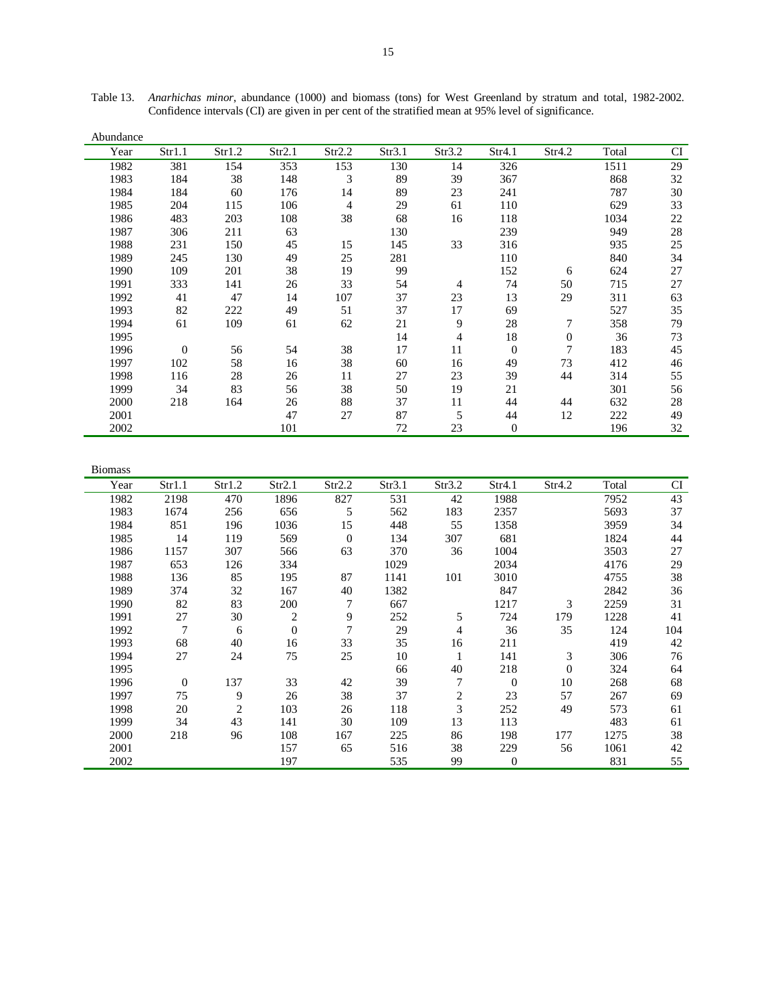| Abundance |              |        |        |                |        |        |          |        |       |           |
|-----------|--------------|--------|--------|----------------|--------|--------|----------|--------|-------|-----------|
| Year      | Str1.1       | Str1.2 | Str2.1 | Str2.2         | Str3.1 | Str3.2 | Str4.1   | Str4.2 | Total | <b>CI</b> |
| 1982      | 381          | 154    | 353    | 153            | 130    | 14     | 326      |        | 1511  | 29        |
| 1983      | 184          | 38     | 148    | 3              | 89     | 39     | 367      |        | 868   | 32        |
| 1984      | 184          | 60     | 176    | 14             | 89     | 23     | 241      |        | 787   | 30        |
| 1985      | 204          | 115    | 106    | $\overline{4}$ | 29     | 61     | 110      |        | 629   | 33        |
| 1986      | 483          | 203    | 108    | 38             | 68     | 16     | 118      |        | 1034  | $22\,$    |
| 1987      | 306          | 211    | 63     |                | 130    |        | 239      |        | 949   | $28\,$    |
| 1988      | 231          | 150    | 45     | 15             | 145    | 33     | 316      |        | 935   | 25        |
| 1989      | 245          | 130    | 49     | 25             | 281    |        | 110      |        | 840   | 34        |
| 1990      | 109          | 201    | 38     | 19             | 99     |        | 152      | 6      | 624   | 27        |
| 1991      | 333          | 141    | 26     | 33             | 54     | 4      | 74       | 50     | 715   | 27        |
| 1992      | 41           | 47     | 14     | 107            | 37     | 23     | 13       | 29     | 311   | 63        |
| 1993      | 82           | 222    | 49     | 51             | 37     | 17     | 69       |        | 527   | 35        |
| 1994      | 61           | 109    | 61     | 62             | 21     | 9      | 28       | 7      | 358   | 79        |
| 1995      |              |        |        |                | 14     | 4      | 18       | 0      | 36    | 73        |
| 1996      | $\mathbf{0}$ | 56     | 54     | 38             | 17     | 11     | $\theta$ | 7      | 183   | 45        |
| 1997      | 102          | 58     | 16     | 38             | 60     | 16     | 49       | 73     | 412   | 46        |
| 1998      | 116          | 28     | 26     | 11             | 27     | 23     | 39       | 44     | 314   | 55        |
| 1999      | 34           | 83     | 56     | 38             | 50     | 19     | 21       |        | 301   | 56        |
| 2000      | 218          | 164    | 26     | 88             | 37     | 11     | 44       | 44     | 632   | $28\,$    |
| 2001      |              |        | 47     | 27             | 87     | 5      | 44       | 12     | 222   | 49        |
| 2002      |              |        | 101    |                | 72     | 23     | $\theta$ |        | 196   | 32        |

Table 13. *Anarhichas minor*, abundance (1000) and biomass (tons) for West Greenland by stratum and total, 1982-2002. Confidence intervals (CI) are given in per cent of the stratified mean at 95% level of significance.

| <b>Biomass</b> |              |                |                  |                |        |                |              |          |       |     |
|----------------|--------------|----------------|------------------|----------------|--------|----------------|--------------|----------|-------|-----|
| Year           | Str1.1       | Str1.2         | Str2.1           | Str2.2         | Str3.1 | Str3.2         | Str4.1       | Str4.2   | Total | CI  |
| 1982           | 2198         | 470            | 1896             | 827            | 531    | 42             | 1988         |          | 7952  | 43  |
| 1983           | 1674         | 256            | 656              | 5              | 562    | 183            | 2357         |          | 5693  | 37  |
| 1984           | 851          | 196            | 1036             | 15             | 448    | 55             | 1358         |          | 3959  | 34  |
| 1985           | 14           | 119            | 569              | $\overline{0}$ | 134    | 307            | 681          |          | 1824  | 44  |
| 1986           | 1157         | 307            | 566              | 63             | 370    | 36             | 1004         |          | 3503  | 27  |
| 1987           | 653          | 126            | 334              |                | 1029   |                | 2034         |          | 4176  | 29  |
| 1988           | 136          | 85             | 195              | 87             | 1141   | 101            | 3010         |          | 4755  | 38  |
| 1989           | 374          | 32             | 167              | 40             | 1382   |                | 847          |          | 2842  | 36  |
| 1990           | 82           | 83             | 200              | 7              | 667    |                | 1217         | 3        | 2259  | 31  |
| 1991           | 27           | 30             | $\overline{c}$   | 9              | 252    | 5              | 724          | 179      | 1228  | 41  |
| 1992           | 7            | 6              | $\boldsymbol{0}$ | 7              | 29     | 4              | 36           | 35       | 124   | 104 |
| 1993           | 68           | 40             | 16               | 33             | 35     | 16             | 211          |          | 419   | 42  |
| 1994           | 27           | 24             | 75               | 25             | 10     | 1              | 141          | 3        | 306   | 76  |
| 1995           |              |                |                  |                | 66     | 40             | 218          | $\theta$ | 324   | 64  |
| 1996           | $\mathbf{0}$ | 137            | 33               | 42             | 39     | 7              | $\mathbf{0}$ | 10       | 268   | 68  |
| 1997           | 75           | 9              | 26               | 38             | 37     | $\overline{c}$ | 23           | 57       | 267   | 69  |
| 1998           | 20           | $\overline{2}$ | 103              | 26             | 118    | 3              | 252          | 49       | 573   | 61  |
| 1999           | 34           | 43             | 141              | 30             | 109    | 13             | 113          |          | 483   | 61  |
| 2000           | 218          | 96             | 108              | 167            | 225    | 86             | 198          | 177      | 1275  | 38  |
| 2001           |              |                | 157              | 65             | 516    | 38             | 229          | 56       | 1061  | 42  |
| 2002           |              |                | 197              |                | 535    | 99             | $\mathbf{0}$ |          | 831   | 55  |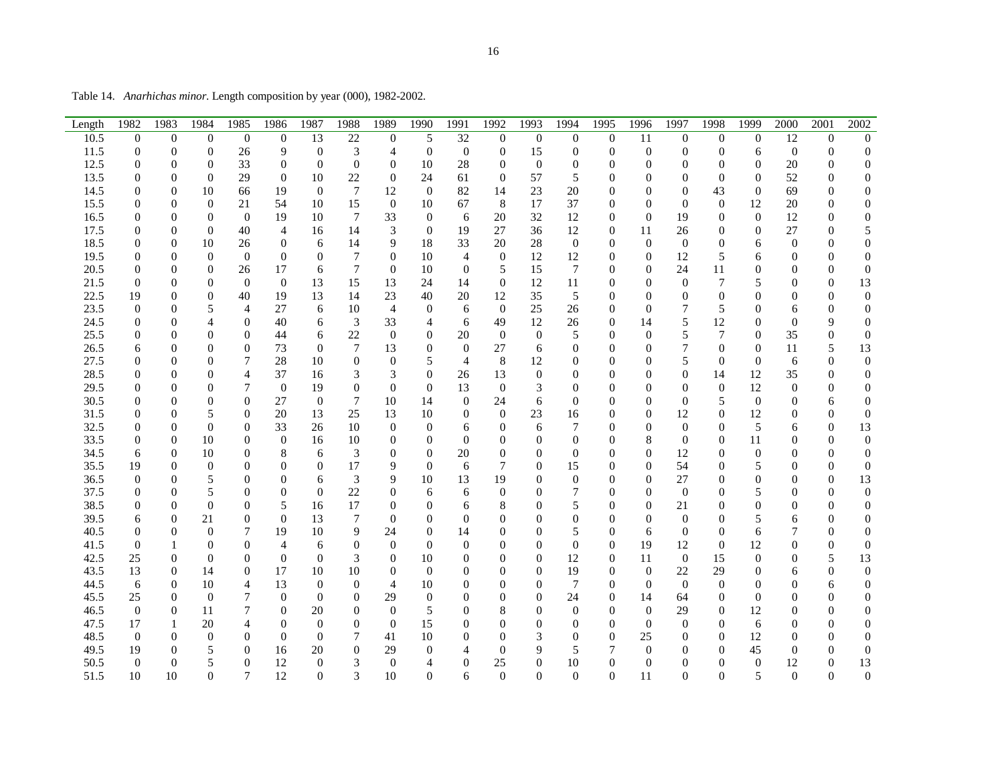Table 14. *Anarhichas minor*. Length composition by year (000), 1982-2002.

| Length | 1982             | 1983             | 1984             | 1985             | 1986             | 1987             | 1988             | 1989             | 1990             | 1991             | 1992             | 1993             | 1994             | 1995             | 1996             | 1997             | 1998             | 1999             | 2000             | 2001             | 2002             |
|--------|------------------|------------------|------------------|------------------|------------------|------------------|------------------|------------------|------------------|------------------|------------------|------------------|------------------|------------------|------------------|------------------|------------------|------------------|------------------|------------------|------------------|
| 10.5   | $\boldsymbol{0}$ | $\mathbf{0}$     | $\boldsymbol{0}$ | $\mathbf{0}$     | $\boldsymbol{0}$ | 13               | $22\,$           | 0                | 5                | 32               | $\boldsymbol{0}$ | $\mathbf{0}$     | $\mathbf 0$      | $\boldsymbol{0}$ | 11               | $\boldsymbol{0}$ | $\mathbf{0}$     | $\boldsymbol{0}$ | 12               | $\boldsymbol{0}$ | $\overline{0}$   |
| 11.5   | $\boldsymbol{0}$ | $\boldsymbol{0}$ | $\boldsymbol{0}$ | 26               | 9                | $\boldsymbol{0}$ | 3                | 4                | $\boldsymbol{0}$ | $\boldsymbol{0}$ | $\mathbf{0}$     | 15               | 0                | $\boldsymbol{0}$ | $\boldsymbol{0}$ | $\boldsymbol{0}$ | $\boldsymbol{0}$ | 6                | $\mathbf{0}$     | $\boldsymbol{0}$ | $\boldsymbol{0}$ |
| 12.5   | 0                | $\boldsymbol{0}$ | $\theta$         | 33               | $\boldsymbol{0}$ | $\boldsymbol{0}$ | $\boldsymbol{0}$ | $\boldsymbol{0}$ | 10               | 28               | $\mathbf{0}$     | $\boldsymbol{0}$ | 0                | $\boldsymbol{0}$ | 0                | $\boldsymbol{0}$ | $\theta$         | $\mathbf{0}$     | 20               | $\boldsymbol{0}$ | $\boldsymbol{0}$ |
| 13.5   | 0                | $\overline{0}$   | $\overline{0}$   | 29               | $\boldsymbol{0}$ | 10               | 22               | $\mathbf{0}$     | 24               | 61               | $\boldsymbol{0}$ | 57               | 5                | $\theta$         | 0                | $\overline{0}$   | $\theta$         | $\theta$         | 52               | $\theta$         | $\mathbf{0}$     |
| 14.5   | 0                | $\boldsymbol{0}$ | 10               | 66               | 19               | $\mathbf{0}$     | 7                | 12               | $\mathbf{0}$     | 82               | 14               | 23               | 20               | $\boldsymbol{0}$ | $\boldsymbol{0}$ | $\boldsymbol{0}$ | 43               | $\mathbf{0}$     | 69               | $\boldsymbol{0}$ | $\boldsymbol{0}$ |
| 15.5   | $\overline{0}$   | $\overline{0}$   | $\boldsymbol{0}$ | 21               | 54               | 10               | 15               | $\mathbf{0}$     | 10               | 67               | 8                | 17               | 37               | $\boldsymbol{0}$ | $\boldsymbol{0}$ | $\boldsymbol{0}$ | $\boldsymbol{0}$ | 12               | 20               | $\boldsymbol{0}$ | $\boldsymbol{0}$ |
| 16.5   | 0                | 0                | $\theta$         | $\boldsymbol{0}$ | 19               | 10               | 7                | 33               | $\boldsymbol{0}$ | 6                | 20               | 32               | 12               | $\boldsymbol{0}$ | $\theta$         | 19               | 0                | $\mathbf{0}$     | 12               | $\theta$         | $\overline{0}$   |
| 17.5   | 0                | $\overline{0}$   | $\boldsymbol{0}$ | 40               | 4                | 16               | 14               | 3                | $\boldsymbol{0}$ | 19               | 27               | 36               | 12               | $\boldsymbol{0}$ | 11               | 26               | 0                | $\mathbf{0}$     | 27               | $\boldsymbol{0}$ | 5                |
| 18.5   | 0                | 0                | 10               | 26               | 0                | 6                | 14               | 9                | 18               | 33               | 20               | 28               | $\boldsymbol{0}$ | $\boldsymbol{0}$ | 0                | $\boldsymbol{0}$ | $\theta$         | 6                | $\theta$         | 0                | $\boldsymbol{0}$ |
| 19.5   | 0                | 0                | $\boldsymbol{0}$ | $\boldsymbol{0}$ | $\boldsymbol{0}$ | $\boldsymbol{0}$ | 7                | $\mathbf{0}$     | 10               | 4                | $\boldsymbol{0}$ | 12               | 12               | $\boldsymbol{0}$ | $\theta$         | 12               | 5                | 6                | 0                | 0                | $\boldsymbol{0}$ |
| 20.5   | 0                | $\Omega$         | $\theta$         | 26               | 17               | 6                | 7                | $\mathbf{0}$     | 10               | $\boldsymbol{0}$ | 5                | 15               | 7                | $\theta$         | 0                | 24               | 11               | $\overline{0}$   | 0                | 0                | $\overline{0}$   |
| 21.5   | $\boldsymbol{0}$ | $\boldsymbol{0}$ | $\overline{0}$   | $\mathbf{0}$     | $\mathbf{0}$     | 13               | 15               | 13               | 24               | 14               | $\boldsymbol{0}$ | 12               | 11               | 0                | 0                | $\boldsymbol{0}$ | 7                | 5                | $\overline{0}$   | $\boldsymbol{0}$ | 13               |
| 22.5   | 19               | 0                | $\boldsymbol{0}$ | 40               | 19               | 13               | 14               | 23               | 40               | 20               | 12               | 35               | 5                | $\boldsymbol{0}$ | 0                | $\boldsymbol{0}$ | $\theta$         | $\theta$         | $\overline{0}$   | 0                | $\boldsymbol{0}$ |
| 23.5   | $\boldsymbol{0}$ | $\overline{0}$   | 5                | 4                | 27               | 6                | 10               | 4                | $\boldsymbol{0}$ | 6                | $\mathbf{0}$     | 25               | 26               | $\boldsymbol{0}$ | 0                | 7                | 5                | $\overline{0}$   | 6                | $\boldsymbol{0}$ | $\boldsymbol{0}$ |
| 24.5   | 0                | $\Omega$         | 4                | $\boldsymbol{0}$ | 40               | 6                | 3                | 33               | 4                | 6                | 49               | 12               | 26               | $\boldsymbol{0}$ | 14               | 5                | 12               | $\overline{0}$   | $\theta$         | 9                | $\boldsymbol{0}$ |
| 25.5   | 0                | 0                | $\overline{0}$   | $\boldsymbol{0}$ | 44               | 6                | $22\,$           | $\mathbf{0}$     | $\boldsymbol{0}$ | 20               | $\boldsymbol{0}$ | $\mathbf{0}$     | 5                | $\boldsymbol{0}$ | $\boldsymbol{0}$ | 5                | 7                | $\boldsymbol{0}$ | 35               | $\boldsymbol{0}$ | $\boldsymbol{0}$ |
| 26.5   | 6                | 0                | $\boldsymbol{0}$ | 0                | 73               | $\boldsymbol{0}$ | 7                | 13               | 0                | $\mathbf{0}$     | 27               | 6                | 0                | $\boldsymbol{0}$ | 0                | 7                | $\boldsymbol{0}$ | $\boldsymbol{0}$ | 11               | 5                | 13               |
| 27.5   | 0                | 0                | $\overline{0}$   | 7                | 28               | 10               | $\boldsymbol{0}$ | $\boldsymbol{0}$ | 5                | $\overline{4}$   | 8                | 12               | 0                | 0                | 0                | 5                | 0                | $\mathbf 0$      | 6                | 0                | $\boldsymbol{0}$ |
| 28.5   | 0                | $\Omega$         | $\overline{0}$   | 4                | 37               | 16               | 3                | 3                | 0                | 26               | 13               | $\mathbf{0}$     | 0                | 0                | 0                | $\boldsymbol{0}$ | 14               | 12               | 35               | $\boldsymbol{0}$ | $\boldsymbol{0}$ |
| 29.5   | 0                | 0                | $\overline{0}$   | 7                | $\theta$         | 19               | $\boldsymbol{0}$ | $\mathbf{0}$     | $\theta$         | 13               | $\boldsymbol{0}$ | 3                | $\theta$         | 0                | 0                | 0                | $\boldsymbol{0}$ | 12               | $\theta$         | 0                | $\boldsymbol{0}$ |
| 30.5   | 0                | 0                | $\boldsymbol{0}$ | 0                | 27               | $\boldsymbol{0}$ | 7                | 10               | 14               | $\boldsymbol{0}$ | 24               | 6                | $\overline{0}$   | 0                | 0                | $\mathbf{0}$     | 5                | $\mathbf{0}$     | 0                | 6                | $\boldsymbol{0}$ |
| 31.5   | 0                | $\overline{0}$   | 5                | $\overline{0}$   | 20               | 13               | 25               | 13               | 10               | $\theta$         | $\mathbf{0}$     | 23               | 16               | $\theta$         | 0                | 12               | 0                | 12               | 0                | 0                | $\overline{0}$   |
| 32.5   | 0                | $\boldsymbol{0}$ | $\overline{0}$   | 0                | 33               | 26               | 10               | $\mathbf{0}$     | $\boldsymbol{0}$ | 6                | $\boldsymbol{0}$ | 6                | 7                | 0                | 0                | $\boldsymbol{0}$ | 0                | 5                | 6                | $\boldsymbol{0}$ | 13               |
| 33.5   | $\boldsymbol{0}$ | $\theta$         | 10               | $\boldsymbol{0}$ | $\boldsymbol{0}$ | 16               | 10               | $\mathbf{0}$     | $\overline{0}$   | $\theta$         | 0                | 0                | $\boldsymbol{0}$ | $\overline{0}$   | 8                | $\boldsymbol{0}$ | $\boldsymbol{0}$ | 11               | $\boldsymbol{0}$ | 0                | $\boldsymbol{0}$ |
| 34.5   | 6                | $\overline{0}$   | 10               | 0                | 8                | 6                | 3                | $\boldsymbol{0}$ | 0                | 20               | $\mathbf{0}$     | $\overline{0}$   | $\theta$         | 0                | $\Omega$         | 12               | 0                | $\mathbf{0}$     | 0                | 0                | $\boldsymbol{0}$ |
| 35.5   | 19               | $\theta$         | $\boldsymbol{0}$ | 0                | 0                | $\boldsymbol{0}$ | 17               | 9                | $\boldsymbol{0}$ | 6                | 7                | 0                | 15               | 0                | 0                | 54               | 0                | 5                | $\Omega$         | 0                | $\boldsymbol{0}$ |
| 36.5   | $\boldsymbol{0}$ | $\boldsymbol{0}$ | 5                | 0                | 0                | 6                | 3                | 9                | 10               | 13               | 19               | 0                | $\boldsymbol{0}$ | 0                | 0                | 27               | 0                | 0                | $\Omega$         | 0                | 13               |
| 37.5   | 0                | 0                | 5                | 0                | 0                | $\boldsymbol{0}$ | 22               | $\boldsymbol{0}$ | 6                | 6                | 0                | 0                | 7                | 0                | 0                | $\mathbf{0}$     | $\overline{0}$   | 5                | 0                | 0                | $\mathbf{0}$     |
| 38.5   | 0                | $\overline{0}$   | $\boldsymbol{0}$ | 0                | 5                | 16               | 17               | 0                | 0                | 6                | 8                |                  | 5                | 0                | 0                | 21               | 0                | $\overline{0}$   | 0                | 0                | $\overline{0}$   |
| 39.5   | 6                | $\theta$         | 21               | $\boldsymbol{0}$ | $\boldsymbol{0}$ | 13               | 7                | $\mathbf{0}$     | 0                | $\theta$         | $\overline{0}$   | 0                | 0                | $\theta$         | 0                | $\boldsymbol{0}$ | $\overline{0}$   | 5                | 6                | $\boldsymbol{0}$ | $\mathbf{0}$     |
| 40.5   | 0                | 0                | $\boldsymbol{0}$ | 7                | 19               | 10               | 9                | 24               | 0                | 14               | $\overline{0}$   | 0                | 5                | $\boldsymbol{0}$ | 6                | $\mathbf{0}$     | $\overline{0}$   | 6                | 7                | 0                | $\boldsymbol{0}$ |
| 41.5   | $\boldsymbol{0}$ |                  | $\overline{0}$   | 0                | 4                | 6                | $\boldsymbol{0}$ | $\boldsymbol{0}$ | 0                | $\boldsymbol{0}$ | $\overline{0}$   | $\overline{0}$   | $\overline{0}$   | $\boldsymbol{0}$ | 19               | 12               | $\boldsymbol{0}$ | 12               | $\Omega$         | 0                | $\mathbf{0}$     |
| 42.5   | 25               | $\theta$         | $\theta$         | $\theta$         | $\theta$         | $\boldsymbol{0}$ | 3                | $\mathbf{0}$     | 10               | $\theta$         | 0                | $\theta$         | 12               | $\boldsymbol{0}$ | 11               | $\boldsymbol{0}$ | 15               | $\theta$         | 0                | 5                | 13               |
| 43.5   | 13               | $\boldsymbol{0}$ | 14               | $\boldsymbol{0}$ | 17               | 10               | 10               | $\boldsymbol{0}$ | $\overline{0}$   | $\boldsymbol{0}$ | $\overline{0}$   | $\theta$         | 19               | $\boldsymbol{0}$ | $\boldsymbol{0}$ | 22               | 29               | 0                | 6                | $\boldsymbol{0}$ | $\mathbf{0}$     |
| 44.5   | 6                | $\theta$         | 10               | 4                | 13               | $\boldsymbol{0}$ | $\boldsymbol{0}$ | $\overline{4}$   | 10               | $\boldsymbol{0}$ | $\overline{0}$   | $\overline{0}$   | 7                | $\theta$         | $\boldsymbol{0}$ | $\mathbf{0}$     | $\boldsymbol{0}$ | $\theta$         | $\overline{0}$   | 6                | $\boldsymbol{0}$ |
| 45.5   | 25               | $\overline{0}$   | $\boldsymbol{0}$ | 7                | $\boldsymbol{0}$ | $\theta$         | $\boldsymbol{0}$ | 29               | 0                | 0                | $\overline{0}$   | 0                | 24               | $\boldsymbol{0}$ | 14               | 64               | 0                | $\Omega$         | 0                | 0                | $\overline{0}$   |
| 46.5   | $\mathbf{0}$     | $\boldsymbol{0}$ | 11               | 7                | $\boldsymbol{0}$ | 20               | $\boldsymbol{0}$ | $\boldsymbol{0}$ | 5                | $\boldsymbol{0}$ | 8                | 0                | $\mathbf{0}$     | $\boldsymbol{0}$ | $\boldsymbol{0}$ | 29               | $\boldsymbol{0}$ | 12               | 0                | $\boldsymbol{0}$ | $\mathbf{0}$     |
| 47.5   | 17               |                  | 20               | 4                | 0                | $\boldsymbol{0}$ | $\mathbf{0}$     | $\boldsymbol{0}$ | 15               | 0                | $\boldsymbol{0}$ | 0                | 0                | $\boldsymbol{0}$ | $\theta$         | $\boldsymbol{0}$ | $\boldsymbol{0}$ | 6                | $\Omega$         | 0                | $\boldsymbol{0}$ |
| 48.5   | $\mathbf{0}$     | $\theta$         | $\boldsymbol{0}$ | 0                | $\boldsymbol{0}$ | $\theta$         | 7                | 41               | 10               | 0                | 0                | 3                | $\overline{0}$   | $\boldsymbol{0}$ | 25               | $\boldsymbol{0}$ | $\overline{0}$   | 12               | 0                | 0                | $\boldsymbol{0}$ |
| 49.5   | 19               | 0                | 5                | 0                | 16               | 20               | $\theta$         | 29               | $\Omega$         | 4                | $\overline{0}$   | 9                | 5                |                  | $\theta$         | 0                | 0                | 45               | 0                | 0                | $\overline{0}$   |
| 50.5   | $\mathbf{0}$     | $\theta$         | 5                | $\boldsymbol{0}$ | 12               | $\boldsymbol{0}$ | 3                | $\boldsymbol{0}$ | 4                | $\boldsymbol{0}$ | 25               | 0                | 10               | $\boldsymbol{0}$ | $\boldsymbol{0}$ | $\boldsymbol{0}$ | 0                | $\mathbf{0}$     | 12               | $\boldsymbol{0}$ | 13               |
| 51.5   | 10               | 10               | $\overline{0}$   | 7                | 12               | $\theta$         | 3                | 10               | $\theta$         | 6                | $\overline{0}$   | $\overline{0}$   | $\theta$         | $\overline{0}$   | 11               | 0                | $\overline{0}$   | 5                | $\overline{0}$   | $\overline{0}$   | $\theta$         |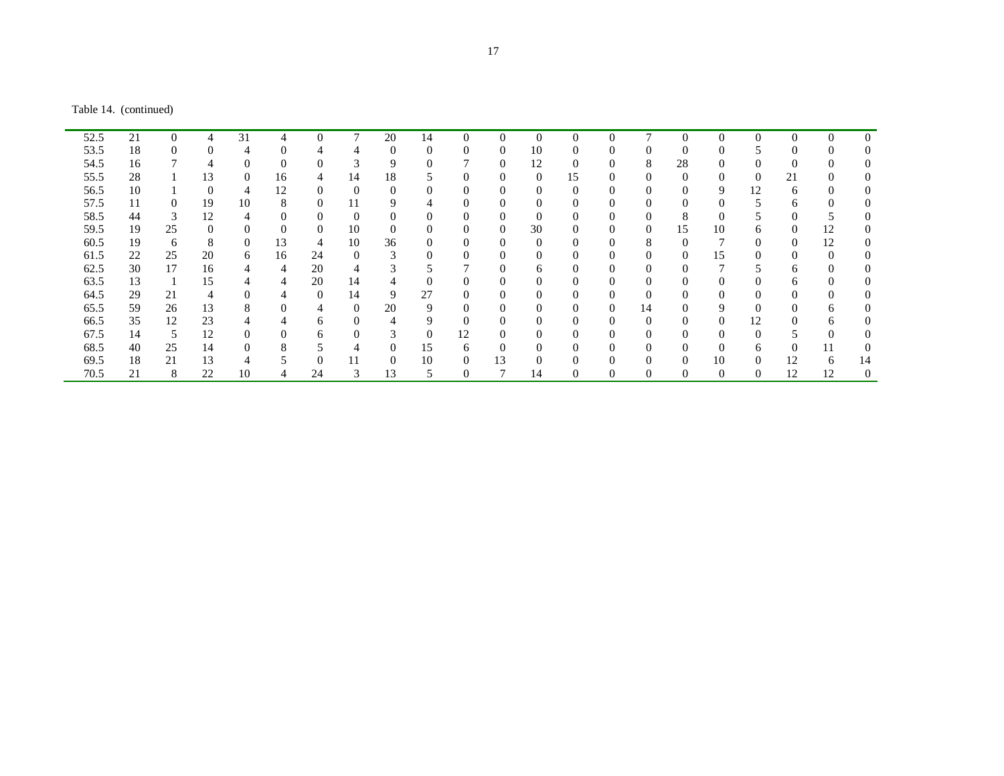Table 14. (continued)

| 52.5 | 21 | $\Omega$ |          | 31       | 4        | $\Omega$ | 7        | 20          | 14         | $\Omega$       | $\theta$       | $\Omega$ | $\Omega$ | $\Omega$ | 7              | $\mathcal{C}$ | $\Omega$ | $\Omega$       |    | $\Omega$     | $\theta$ |
|------|----|----------|----------|----------|----------|----------|----------|-------------|------------|----------------|----------------|----------|----------|----------|----------------|---------------|----------|----------------|----|--------------|----------|
| 53.5 | 18 | $\Omega$ | $\left($ | 4        |          |          | 4        | $\theta$    | $\sqrt{ }$ | 0              | $\theta$       | 10       | 0        |          | O              |               | $\left($ |                |    |              |          |
| 54.5 | 16 |          |          | 0        |          |          |          | 9           |            |                | $\theta$       | 12       | 0        |          | 8              | 28            | $\Omega$ |                |    |              |          |
| 55.5 | 28 |          | 13       | $\Omega$ | 16       | 4        | 14       | 18          |            | $\theta$       | $\overline{0}$ | 0        | 15       | $\Omega$ | $\Omega$       | $\Omega$      | $\Omega$ | $\overline{0}$ | 21 |              |          |
| 56.5 | 10 |          | $\Omega$ | 4        | 12       | $\Omega$ |          | $\theta$    |            | $\Omega$       | $\overline{0}$ | 0        | $\Omega$ | $\theta$ | $\Omega$       |               | 9        | 12             | 6  |              |          |
| 57.5 | 11 | $\Omega$ | 19       | 10       | 8        | $\Omega$ |          | 9           | 4          | 0              | $\theta$       |          | 0        |          | $\Omega$       |               | $\Omega$ | 5              | 6  |              |          |
| 58.5 | 44 | 3        | 12       | 4        |          | $\Omega$ |          | $\theta$    | $\theta$   |                | $\theta$       | $\Omega$ | 0        |          | $\Omega$       | $\Delta$      | 0        |                |    |              |          |
| 59.5 | 19 | 25       | 0        | $\Omega$ | $\Omega$ | $\Omega$ | 10       | $\theta$    | $\Omega$   | 0              | $\theta$       | 30       | 0        | $\Omega$ | $\overline{0}$ | 15            | 10       | <sub>6</sub>   |    | 12           |          |
| 60.5 | 19 | 6        | 8        | $\Omega$ | 13       | 4        | 10       | 36          |            | 0              | $\theta$       |          | 0        |          | 8              |               |          | 0              |    | 12           |          |
| 61.5 | 22 | 25       | 20       | 6        | 16       | 24       |          | 3           |            | 0              | $\theta$       |          | 0        |          | $\Omega$       |               | 15       | 0              |    |              |          |
| 62.5 | 30 | 17       | 16       | 4        | 4        | 20       |          | $\sim$<br>3 |            |                | $\theta$       | 6        |          |          | 0              |               |          |                | 6  |              |          |
| 63.5 | 13 | -1       | 15       | 4        | 4        | 20       | 14       | 4           | $\Omega$   | 0              | $\theta$       |          | 0        | $\Omega$ | $\Omega$       |               | $\theta$ | $\Omega$       | 6  | $\Omega$     |          |
| 64.5 | 29 | 21       | 4        | $\Omega$ | 4        | $\Omega$ | 14       | 9           | 27         | $\overline{0}$ | $\theta$       |          | 0        | $\Omega$ | $\Omega$       |               | $\Omega$ | $\Omega$       |    |              |          |
| 65.5 | 59 | 26       | 13       | 8        |          | 4        | $\Omega$ | 20          | 9          | $\Omega$       | $\theta$       |          | 0        | $\Omega$ | 14             |               | 9        | $\Omega$       |    | <sub>n</sub> |          |
| 66.5 | 35 | 12       | 23       |          |          | n        |          | 4           |            |                | $\theta$       |          |          |          | 0              |               | $\theta$ | 12             |    | n            |          |
| 67.5 | 14 | 5        | 12       | 0        |          | h.       |          | 3           | $\Omega$   | 12             | $\theta$       |          |          |          | 0              |               | $\Omega$ | $\Omega$       |    |              |          |
| 68.5 | 40 | 25       | 14       | $\Omega$ | 8        |          |          | $\theta$    | 15         | 6              | $\overline{0}$ |          |          |          | 0              |               | $\Omega$ | 6              |    | 11           |          |
| 69.5 | 18 | 21       | 13       | 4        |          | $\Omega$ |          | $\Omega$    | 10         | 0              | 13             |          | 0        |          | $\Omega$       |               | 10       | $\Omega$       | 12 | <sub>6</sub> | 14       |
| 70.5 | 21 | 8        | 22       | 10       | 4        | 24       | 3        | 13          |            | $\mathbf{0}$   |                | 14       |          |          | 0              |               | 0        | 0              | 12 | 12           |          |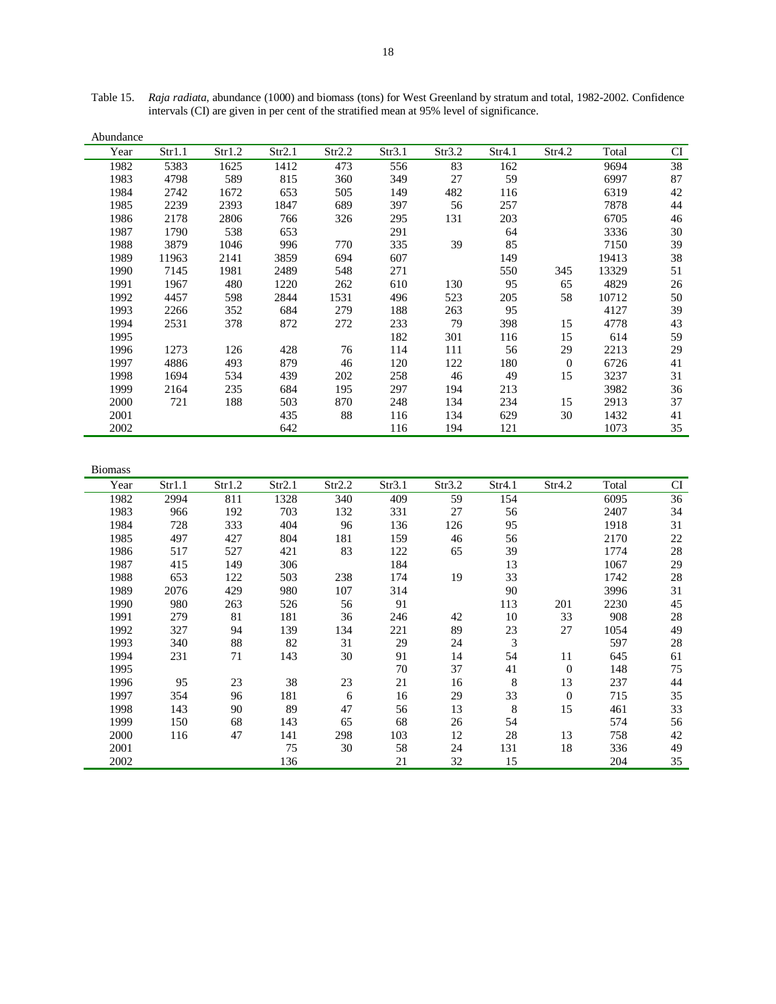| Abundance |        |        |        |        |        |        |        |              |       |    |
|-----------|--------|--------|--------|--------|--------|--------|--------|--------------|-------|----|
| Year      | Str1.1 | Str1.2 | Str2.1 | Str2.2 | Str3.1 | Str3.2 | Str4.1 | Str4.2       | Total | CI |
| 1982      | 5383   | 1625   | 1412   | 473    | 556    | 83     | 162    |              | 9694  | 38 |
| 1983      | 4798   | 589    | 815    | 360    | 349    | 27     | 59     |              | 6997  | 87 |
| 1984      | 2742   | 1672   | 653    | 505    | 149    | 482    | 116    |              | 6319  | 42 |
| 1985      | 2239   | 2393   | 1847   | 689    | 397    | 56     | 257    |              | 7878  | 44 |
| 1986      | 2178   | 2806   | 766    | 326    | 295    | 131    | 203    |              | 6705  | 46 |
| 1987      | 1790   | 538    | 653    |        | 291    |        | 64     |              | 3336  | 30 |
| 1988      | 3879   | 1046   | 996    | 770    | 335    | 39     | 85     |              | 7150  | 39 |
| 1989      | 11963  | 2141   | 3859   | 694    | 607    |        | 149    |              | 19413 | 38 |
| 1990      | 7145   | 1981   | 2489   | 548    | 271    |        | 550    | 345          | 13329 | 51 |
| 1991      | 1967   | 480    | 1220   | 262    | 610    | 130    | 95     | 65           | 4829  | 26 |
| 1992      | 4457   | 598    | 2844   | 1531   | 496    | 523    | 205    | 58           | 10712 | 50 |
| 1993      | 2266   | 352    | 684    | 279    | 188    | 263    | 95     |              | 4127  | 39 |
| 1994      | 2531   | 378    | 872    | 272    | 233    | 79     | 398    | 15           | 4778  | 43 |
| 1995      |        |        |        |        | 182    | 301    | 116    | 15           | 614   | 59 |
| 1996      | 1273   | 126    | 428    | 76     | 114    | 111    | 56     | 29           | 2213  | 29 |
| 1997      | 4886   | 493    | 879    | 46     | 120    | 122    | 180    | $\mathbf{0}$ | 6726  | 41 |
| 1998      | 1694   | 534    | 439    | 202    | 258    | 46     | 49     | 15           | 3237  | 31 |
| 1999      | 2164   | 235    | 684    | 195    | 297    | 194    | 213    |              | 3982  | 36 |
| 2000      | 721    | 188    | 503    | 870    | 248    | 134    | 234    | 15           | 2913  | 37 |
| 2001      |        |        | 435    | 88     | 116    | 134    | 629    | 30           | 1432  | 41 |
| 2002      |        |        | 642    |        | 116    | 194    | 121    |              | 1073  | 35 |

Table 15. *Raja radiata*, abundance (1000) and biomass (tons) for West Greenland by stratum and total, 1982-2002. Confidence intervals (CI) are given in per cent of the stratified mean at 95% level of significance.

| <b>Biomass</b> |        |        |        |        |        |        |        |              |       |    |
|----------------|--------|--------|--------|--------|--------|--------|--------|--------------|-------|----|
| Year           | Str1.1 | Str1.2 | Str2.1 | Str2.2 | Str3.1 | Str3.2 | Str4.1 | Str4.2       | Total | CI |
| 1982           | 2994   | 811    | 1328   | 340    | 409    | 59     | 154    |              | 6095  | 36 |
| 1983           | 966    | 192    | 703    | 132    | 331    | 27     | 56     |              | 2407  | 34 |
| 1984           | 728    | 333    | 404    | 96     | 136    | 126    | 95     |              | 1918  | 31 |
| 1985           | 497    | 427    | 804    | 181    | 159    | 46     | 56     |              | 2170  | 22 |
| 1986           | 517    | 527    | 421    | 83     | 122    | 65     | 39     |              | 1774  | 28 |
| 1987           | 415    | 149    | 306    |        | 184    |        | 13     |              | 1067  | 29 |
| 1988           | 653    | 122    | 503    | 238    | 174    | 19     | 33     |              | 1742  | 28 |
| 1989           | 2076   | 429    | 980    | 107    | 314    |        | 90     |              | 3996  | 31 |
| 1990           | 980    | 263    | 526    | 56     | 91     |        | 113    | 201          | 2230  | 45 |
| 1991           | 279    | 81     | 181    | 36     | 246    | 42     | 10     | 33           | 908   | 28 |
| 1992           | 327    | 94     | 139    | 134    | 221    | 89     | 23     | 27           | 1054  | 49 |
| 1993           | 340    | 88     | 82     | 31     | 29     | 24     | 3      |              | 597   | 28 |
| 1994           | 231    | 71     | 143    | 30     | 91     | 14     | 54     | 11           | 645   | 61 |
| 1995           |        |        |        |        | 70     | 37     | 41     | $\theta$     | 148   | 75 |
| 1996           | 95     | 23     | 38     | 23     | 21     | 16     | 8      | 13           | 237   | 44 |
| 1997           | 354    | 96     | 181    | 6      | 16     | 29     | 33     | $\mathbf{0}$ | 715   | 35 |
| 1998           | 143    | 90     | 89     | 47     | 56     | 13     | 8      | 15           | 461   | 33 |
| 1999           | 150    | 68     | 143    | 65     | 68     | 26     | 54     |              | 574   | 56 |
| 2000           | 116    | 47     | 141    | 298    | 103    | 12     | 28     | 13           | 758   | 42 |
| 2001           |        |        | 75     | 30     | 58     | 24     | 131    | 18           | 336   | 49 |
| 2002           |        |        | 136    |        | 21     | 32     | 15     |              | 204   | 35 |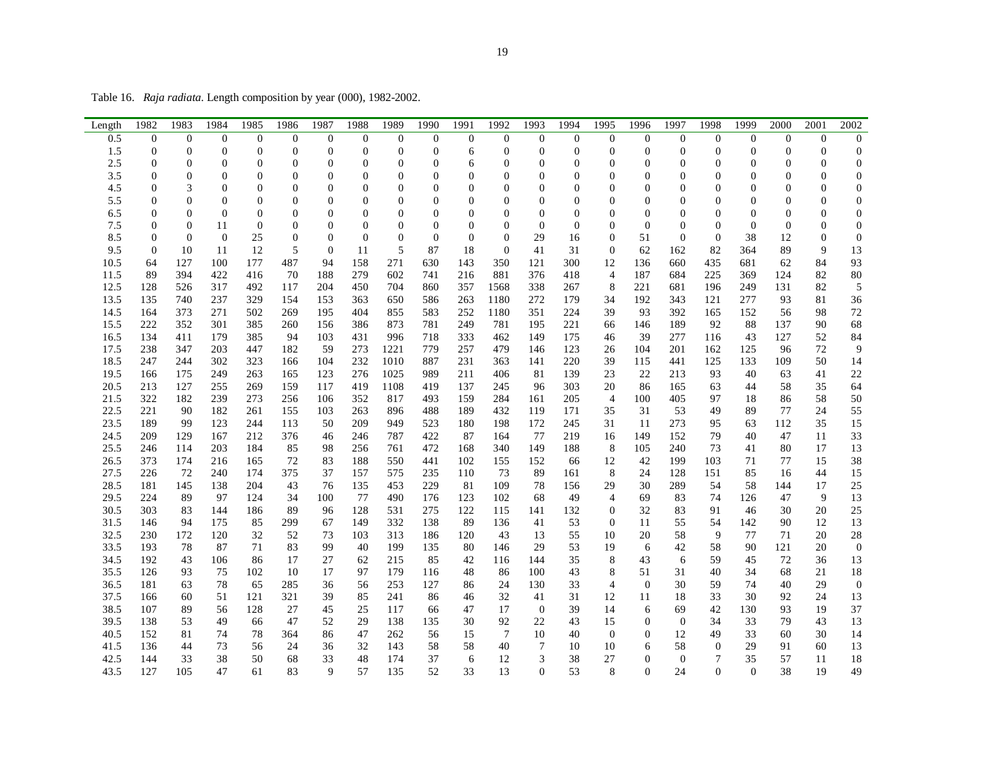Table 16. *Raja radiata*. Length composition by year (000), 1982-2002.

|              | 1982                                 | 1983                                 | 1984                  | 1985                         | 1986                                 | 1987                               | 1988                         | 1989                         | 1990                               | 1991                             | 1992                | 1993                               | 1994                             | 1995                               | 1996                                 | 1997                             | 1998                             | 1999                         | 2000                         | 2001                             | 2002                                 |
|--------------|--------------------------------------|--------------------------------------|-----------------------|------------------------------|--------------------------------------|------------------------------------|------------------------------|------------------------------|------------------------------------|----------------------------------|---------------------|------------------------------------|----------------------------------|------------------------------------|--------------------------------------|----------------------------------|----------------------------------|------------------------------|------------------------------|----------------------------------|--------------------------------------|
| Length       |                                      |                                      |                       |                              |                                      |                                    |                              |                              |                                    |                                  |                     |                                    |                                  |                                    |                                      |                                  |                                  |                              |                              |                                  |                                      |
| 0.5          | $\boldsymbol{0}$<br>$\boldsymbol{0}$ | $\boldsymbol{0}$<br>$\boldsymbol{0}$ | $\bf{0}$              | $\boldsymbol{0}$             | $\boldsymbol{0}$<br>$\boldsymbol{0}$ | $\mathbf{0}$                       | $\boldsymbol{0}$             | $\boldsymbol{0}$             | $\mathbf{0}$                       | $\boldsymbol{0}$                 | $\boldsymbol{0}$    | $\mathbf{0}$                       | $\boldsymbol{0}$                 | $\boldsymbol{0}$                   | $\mathbf{0}$                         | $\boldsymbol{0}$                 | $\boldsymbol{0}$                 | $\theta$                     | $\boldsymbol{0}$             | $\boldsymbol{0}$                 | $\boldsymbol{0}$                     |
| 1.5<br>2.5   | $\overline{0}$                       | $\overline{0}$                       | $\boldsymbol{0}$<br>0 | $\boldsymbol{0}$<br>$\Omega$ | $\overline{0}$                       | $\boldsymbol{0}$<br>$\overline{0}$ | $\boldsymbol{0}$<br>$\Omega$ | $\boldsymbol{0}$             | $\boldsymbol{0}$<br>$\overline{0}$ | 6                                | $\boldsymbol{0}$    | $\boldsymbol{0}$<br>$\overline{0}$ | $\boldsymbol{0}$                 | $\boldsymbol{0}$                   | $\boldsymbol{0}$<br>$\overline{0}$   | $\boldsymbol{0}$<br>$\mathbf{0}$ | $\boldsymbol{0}$<br>$\mathbf{0}$ | $\boldsymbol{0}$             | $\boldsymbol{0}$<br>$\Omega$ | $\boldsymbol{0}$<br>$\mathbf{0}$ | $\boldsymbol{0}$                     |
|              | $\overline{0}$                       | $\boldsymbol{0}$                     | 0                     | $\overline{0}$               | $\overline{0}$                       | $\overline{0}$                     | $\mathbf{0}$                 | $\mathbf{0}$<br>$\mathbf{0}$ | $\overline{0}$                     | 6<br>$\mathbf{0}$                | 0<br>$\overline{0}$ | $\mathbf{0}$                       | 0<br>$\overline{0}$              | $\mathbf{0}$<br>$\overline{0}$     |                                      | $\mathbf{0}$                     | $\mathbf{0}$                     | $\mathbf{0}$<br>$\mathbf{0}$ | $\overline{0}$               | $\mathbf{0}$                     | $\boldsymbol{0}$<br>$\boldsymbol{0}$ |
| 3.5          | $\overline{0}$                       | 3                                    | $\mathbf{0}$          | $\overline{0}$               | $\mathbf{0}$                         | $\mathbf{0}$                       | $\mathbf{0}$                 | $\mathbf{0}$                 | $\overline{0}$                     | $\mathbf{0}$                     | $\overline{0}$      | $\boldsymbol{0}$                   | $\overline{0}$                   | $\mathbf{0}$                       | $\boldsymbol{0}$<br>$\boldsymbol{0}$ | $\mathbf{0}$                     | $\mathbf{0}$                     | $\mathbf{0}$                 | $\overline{0}$               |                                  | $\mathbf{0}$                         |
| 4.5          | $\overline{0}$                       | $\boldsymbol{0}$                     | $\mathbf{0}$          |                              |                                      |                                    |                              | $\mathbf{0}$                 |                                    |                                  | $\overline{0}$      |                                    |                                  |                                    |                                      | $\mathbf{0}$                     |                                  |                              | $\mathbf{0}$                 | $\boldsymbol{0}$                 |                                      |
| 5.5<br>6.5   | $\overline{0}$                       | $\overline{0}$                       | $\Omega$              | $\boldsymbol{0}$<br>$\Omega$ | $\boldsymbol{0}$<br>$\overline{0}$   | $\boldsymbol{0}$<br>$\overline{0}$ | $\boldsymbol{0}$<br>$\theta$ | $\Omega$                     | $\boldsymbol{0}$<br>$\theta$       | $\boldsymbol{0}$<br>$\mathbf{0}$ | $\theta$            | $\boldsymbol{0}$<br>$\overline{0}$ | $\boldsymbol{0}$<br>$\mathbf{0}$ | $\boldsymbol{0}$<br>$\overline{0}$ | $\boldsymbol{0}$<br>$\overline{0}$   | $\theta$                         | $\boldsymbol{0}$<br>$\mathbf{0}$ | $\boldsymbol{0}$<br>$\Omega$ | $\overline{0}$               | $\boldsymbol{0}$<br>$\mathbf{0}$ | $\boldsymbol{0}$<br>$\boldsymbol{0}$ |
| 7.5          | $\overline{0}$                       | $\boldsymbol{0}$                     | 11                    | $\overline{0}$               | $\mathbf{0}$                         | $\mathbf{0}$                       | $\mathbf{0}$                 | $\mathbf{0}$                 | $\overline{0}$                     | $\mathbf{0}$                     | $\overline{0}$      | $\mathbf{0}$                       | $\mathbf{0}$                     | $\mathbf{0}$                       | $\mathbf{0}$                         | $\mathbf{0}$                     | $\overline{0}$                   | $\Omega$                     | $\overline{0}$               | $\boldsymbol{0}$                 | $\mathbf{0}$                         |
| 8.5          | $\overline{0}$                       | $\mathbf{0}$                         | $\mathbf{0}$          | 25                           | $\boldsymbol{0}$                     | $\overline{0}$                     | $\mathbf{0}$                 | $\overline{0}$               | $\overline{0}$                     | $\boldsymbol{0}$                 | $\overline{0}$      | 29                                 | 16                               | $\mathbf{0}$                       | 51                                   | $\overline{0}$                   | $\boldsymbol{0}$                 | 38                           | 12                           | $\boldsymbol{0}$                 | $\boldsymbol{0}$                     |
| 9.5          | $\overline{0}$                       | 10                                   | 11                    | 12                           | 5                                    | $\mathbf{0}$                       | 11                           | 5                            | 87                                 | 18                               | $\boldsymbol{0}$    | 41                                 | 31                               | $\boldsymbol{0}$                   | 62                                   | 162                              | 82                               | 364                          | 89                           | 9                                | 13                                   |
|              |                                      |                                      |                       |                              |                                      |                                    |                              |                              |                                    |                                  |                     |                                    |                                  |                                    |                                      |                                  |                                  |                              |                              |                                  | 93                                   |
| 10.5<br>11.5 | 64<br>89                             | 127<br>394                           | 100<br>422            | 177<br>416                   | 487<br>70                            | 94<br>188                          | 158<br>279                   | 271                          | 630                                | 143<br>216                       | 350<br>881          | 121                                | 300<br>418                       | 12<br>$\overline{4}$               | 136<br>187                           | 660                              | 435<br>225                       | 681                          | 62<br>124                    | 84<br>82                         |                                      |
| 12.5         | 128                                  | 526                                  | 317                   | 492                          | 117                                  | 204                                | 450                          | 602<br>704                   | 741                                | 357                              |                     | 376<br>338                         | 267                              |                                    | 221                                  | 684                              |                                  | 369                          | 131                          | 82                               | 80<br>5                              |
|              |                                      |                                      |                       |                              |                                      |                                    |                              |                              | 860                                |                                  | 1568                |                                    |                                  | 8                                  |                                      | 681                              | 196                              | 249                          |                              |                                  |                                      |
| 13.5         | 135                                  | 740                                  | 237                   | 329                          | 154                                  | 153                                | 363                          | 650                          | 586                                | 263                              | 1180                | 272                                | 179                              | 34                                 | 192                                  | 343                              | 121                              | 277                          | 93                           | 81                               | 36                                   |
| 14.5         | 164                                  | 373                                  | 271                   | 502                          | 269                                  | 195                                | 404                          | 855                          | 583                                | 252                              | 1180                | 351                                | 224                              | 39                                 | 93                                   | 392                              | 165                              | 152                          | 56                           | 98                               | 72                                   |
| 15.5         | 222<br>134                           | 352                                  | 301                   | 385                          | 260                                  | 156                                | 386                          | 873                          | 781                                | 249                              | 781                 | 195                                | 221                              | 66                                 | 146                                  | 189                              | 92                               | 88                           | 137<br>127                   | 90<br>52                         | 68<br>84                             |
| 16.5         |                                      | 411                                  | 179                   | 385                          | 94                                   | 103                                | 431                          | 996                          | 718                                | 333                              | 462                 | 149                                | 175                              | 46                                 | 39                                   | 277                              | 116                              | 43                           |                              |                                  |                                      |
| 17.5         | 238                                  | 347                                  | 203                   | 447                          | 182                                  | 59                                 | 273                          | 1221                         | 779                                | 257                              | 479                 | 146                                | 123                              | 26                                 | 104                                  | 201                              | 162                              | 125                          | 96                           | 72                               | 9                                    |
| 18.5<br>19.5 | 247<br>166                           | 244                                  | 302                   | 323<br>263                   | 166                                  | 104                                | 232<br>276                   | 1010                         | 887                                | 231<br>211                       | 363                 | 141                                | 220                              | 39<br>23                           | 115<br>22                            | 441<br>213                       | 125<br>93                        | 133<br>40                    | 109                          | 50<br>41                         | 14                                   |
|              |                                      | 175                                  | 249                   |                              | 165                                  | 123                                |                              | 1025                         | 989                                |                                  | 406                 | 81                                 | 139                              |                                    |                                      |                                  |                                  |                              | 63                           |                                  | 22                                   |
| 20.5         | 213                                  | 127                                  | 255                   | 269                          | 159                                  | 117                                | 419                          | 1108                         | 419                                | 137                              | 245                 | 96                                 | 303                              | 20                                 | 86                                   | 165                              | 63                               | 44                           | 58                           | 35                               | 64                                   |
| 21.5         | 322                                  | 182                                  | 239                   | 273                          | 256                                  | 106                                | 352                          | 817                          | 493                                | 159                              | 284                 | 161                                | 205                              | 4                                  | 100                                  | 405                              | 97                               | 18                           | 86                           | 58                               | 50                                   |
| 22.5<br>23.5 | 221<br>189                           | 90<br>99                             | 182                   | 261                          | 155<br>113                           | 103                                | 263<br>209                   | 896<br>949                   | 488<br>523                         | 189                              | 432                 | 119                                | 171                              | 35                                 | 31<br>11                             | 53<br>273                        | 49<br>95                         | 89                           | 77<br>112                    | 24<br>35                         | 55<br>15                             |
|              |                                      |                                      | 123                   | 244                          |                                      | 50                                 |                              |                              |                                    | 180                              | 198                 | 172                                | 245                              | 31                                 |                                      |                                  |                                  | 63                           |                              |                                  |                                      |
| 24.5         | 209                                  | 129                                  | 167                   | 212<br>184                   | 376                                  | 46                                 | 246                          | 787                          | 422                                | 87                               | 164                 | 77                                 | 219                              | 16<br>8                            | 149                                  | 152                              | 79<br>73                         | 40                           | 47<br>80                     | 11                               | 33                                   |
| 25.5         | 246                                  | 114                                  | 203                   |                              | 85                                   | 98                                 | 256                          | 761                          | 472                                | 168                              | 340                 | 149                                | 188                              |                                    | 105                                  | 240                              |                                  | 41                           |                              | 17                               | 13                                   |
| 26.5         | 373                                  | 174                                  | 216                   | 165                          | 72                                   | 83                                 | 188                          | 550                          | 441                                | 102                              | 155                 | 152                                | 66                               | 12                                 | 42                                   | 199                              | 103                              | 71                           | 77                           | 15                               | 38                                   |
| 27.5         | 226                                  | 72                                   | 240                   | 174                          | 375                                  | 37                                 | 157                          | 575                          | 235                                | 110                              | 73                  | 89                                 | 161                              | 8                                  | 24                                   | 128                              | 151                              | 85                           | 16                           | 44                               | 15                                   |
| 28.5<br>29.5 | 181<br>224                           | 145<br>89                            | 138                   | 204                          | 43                                   | 76                                 | 135<br>77                    | 453                          | 229                                | 81<br>123                        | 109<br>102          | 78                                 | 156<br>49                        | 29                                 | 30                                   | 289                              | 54<br>74                         | 58                           | 144                          | 17<br>9                          | 25<br>13                             |
|              | 303                                  |                                      | 97                    | 124                          | 34                                   | 100                                |                              | 490                          | 176                                | 122                              |                     | 68                                 |                                  | 4                                  | 69                                   | 83                               |                                  | 126                          | 47                           |                                  |                                      |
| 30.5<br>31.5 | 146                                  | 83                                   | 144                   | 186                          | 89<br>299                            | 96                                 | 128                          | 531<br>332                   | 275<br>138                         | 89                               | 115<br>136          | 141                                | 132<br>53                        | $\boldsymbol{0}$                   | 32                                   | 83                               | 91<br>54                         | 46<br>142                    | 30<br>90                     | 20<br>12                         | 25                                   |
| 32.5         | 230                                  | 94<br>172                            | 175<br>120            | 85<br>32                     | 52                                   | 67<br>73                           | 149<br>103                   | 313                          |                                    | 120                              | 43                  | 41<br>13                           | 55                               | $\theta$<br>10                     | 11<br>20                             | 55<br>58                         | 9                                | 77                           | 71                           | 20                               | 13<br>28                             |
| 33.5         |                                      |                                      |                       |                              |                                      |                                    |                              |                              | 186                                |                                  |                     |                                    | 53                               |                                    | 6                                    |                                  |                                  |                              |                              |                                  | $\mathbf{0}$                         |
|              | 193                                  | 78                                   | 87                    | 71                           | 83                                   | 99                                 | 40                           | 199                          | 135                                | 80                               | 146                 | 29                                 |                                  | 19                                 |                                      | 42                               | 58                               | 90                           | 121                          | 20                               |                                      |
| 34.5<br>35.5 | 192<br>126                           | 43<br>93                             | 106                   | 86<br>102                    | 17<br>10                             | 27                                 | 62<br>97                     | 215<br>179                   | 85                                 | 42<br>48                         | 116                 | 144<br>100                         | 35<br>43                         | 8                                  | 43                                   | 6<br>31                          | 59                               | 45                           | 72<br>68                     | 36<br>21                         | 13                                   |
|              | 181                                  |                                      | 75<br>78              |                              |                                      | 17                                 |                              |                              | 116<br>127                         |                                  | 86                  | 130                                | 33                               | 8<br>$\overline{4}$                | 51<br>$\theta$                       | 30                               | 40                               | 34<br>74                     | 40                           |                                  | 18<br>$\mathbf{0}$                   |
| 36.5         |                                      | 63                                   |                       | 65                           | 285                                  | 36                                 | 56                           | 253                          |                                    | 86                               | 24                  |                                    |                                  |                                    |                                      |                                  | 59                               |                              |                              | 29                               |                                      |
| 37.5         | 166                                  | 60                                   | 51                    | 121                          | 321                                  | 39                                 | 85                           | 241                          | 86                                 | 46                               | 32                  | 41                                 | 31                               | 12                                 | 11                                   | 18                               | 33                               | 30                           | 92                           | 24                               | 13                                   |
| 38.5         | 107                                  | 89                                   | 56                    | 128                          | 27                                   | 45                                 | 25                           | 117                          | 66                                 | 47                               | 17                  | $\mathbf{0}$                       | 39                               | 14                                 | 6                                    | 69                               | 42                               | 130                          | 93                           | 19                               | 37                                   |
| 39.5<br>40.5 | 138                                  | 53                                   | 49                    | 66                           | 47                                   | 52                                 | 29                           | 138                          | 135                                | 30                               | 92                  | 22                                 | 43                               | 15                                 | $\theta$                             | $\theta$                         | 34                               | 33                           | 79                           | 43                               | 13                                   |
| 41.5         | 152<br>136                           | 81                                   | 74                    | 78                           | 364                                  | 86                                 | 47                           | 262                          | 56                                 | 15                               | $\tau$              | 10                                 | 40                               | $\theta$                           | $\mathbf{0}$                         | 12<br>58                         | 49                               | 33                           | 60<br>91                     | 30                               | 14                                   |
|              |                                      | 44                                   | 73                    | 56                           | 24                                   | 36                                 | 32                           | 143                          | 58                                 | 58                               | 40                  | $\overline{7}$                     | 10                               | 10                                 | 6                                    |                                  | $\boldsymbol{0}$                 | 29                           |                              | 60                               | 13                                   |
| 42.5         | 144                                  | 33                                   | 38                    | 50                           | 68                                   | 33                                 | 48                           | 174                          | 37                                 | 6                                | 12                  | 3                                  | 38                               | 27                                 | $\mathbf{0}$                         | $\boldsymbol{0}$                 | 7                                | 35                           | 57                           | 11                               | 18                                   |
| 43.5         | 127                                  | 105                                  | 47                    | 61                           | 83                                   | 9                                  | 57                           | 135                          | 52                                 | 33                               | 13                  | $\Omega$                           | 53                               | 8                                  | $\Omega$                             | 24                               | $\overline{0}$                   | $\Omega$                     | 38                           | 19                               | 49                                   |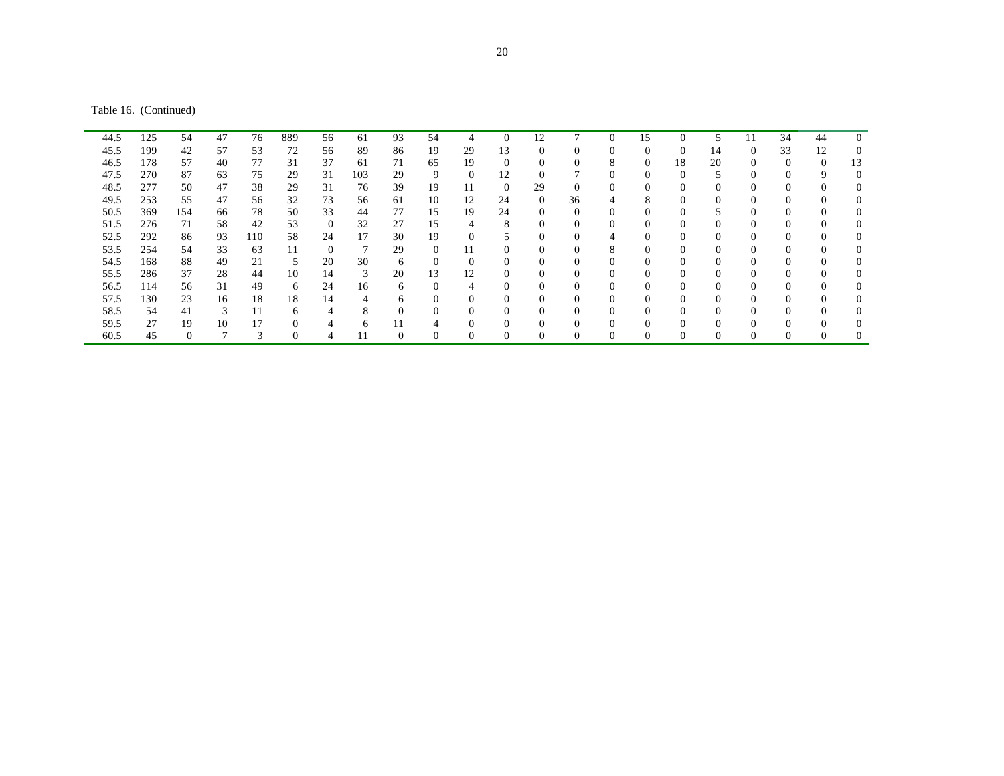Table 16. (Continued)

| 44.5 | 125 | 54       | 47 | 76  | 889 | 56       | 61  | 93       | 54       | 4        | $\overline{0}$ | 12       |    | $\theta$       | 15      | $\Omega$ | 5        | 11       | 34       | 44           | $\Omega$ |
|------|-----|----------|----|-----|-----|----------|-----|----------|----------|----------|----------------|----------|----|----------------|---------|----------|----------|----------|----------|--------------|----------|
| 45.5 | 199 | 42       | 57 | 53  | 72  | 56       | 89  | 86       | 19       | 29       | 13             |          |    | 0              |         | $\Omega$ | 14       | 0        | 33       | 12           | 0        |
| 46.5 | 178 | 57       | 40 | 77  | 31  | 37       | 61  | 71       | 65       | 19       | $\Omega$       |          |    | 8              |         | 18       | 20       |          | $\Omega$ | $\mathbf{0}$ | 13       |
| 47.5 | 270 | 87       | 63 | 75  | 29  | 31       | 103 | 29       | 9        | $\Omega$ | 12             |          |    | 0              |         | $\Omega$ |          |          |          | 9            | 0        |
| 48.5 | 277 | 50       | 47 | 38  | 29  | 31       | 76  | 39       | 19       | 11       | $\theta$       | 29       |    | $\overline{0}$ |         |          | $\Omega$ |          |          |              | $^{(1)}$ |
| 49.5 | 253 | 55       | 47 | 56  | 32  | 73       | 56  | 61       | 10       | 12       | 24             | $\Omega$ | 36 | 4              | $\circ$ |          | $\Omega$ | 0        |          | $\Omega$     | $\theta$ |
| 50.5 | 369 | 154      | 66 | 78  | 50  | 33       | 44  | 77       | 15       | 19       | 24             | $\Omega$ |    | $\theta$       | -6      | $\Omega$ |          | 0        | $\Omega$ | $\Omega$     | $\Omega$ |
| 51.5 | 276 | 71       | 58 | 42  | 53  | $\theta$ | 32  | 27       | 15       | 4        | 8              | $\Omega$ |    | 0              | C       | $\Omega$ | $\Omega$ | 0        | $\Omega$ | $\Omega$     | $\Omega$ |
| 52.5 | 292 | 86       | 93 | 110 | 58  | 24       | 17  | 30       | 19       |          |                |          |    | 4              |         | $\Omega$ | $\Omega$ |          |          | $\Omega$     | 0        |
| 53.5 | 254 | 54       | 33 | 63  | 11  | 0        |     | 29       | $\Omega$ |          | 0              | $\Omega$ |    | 8              |         |          | $\Omega$ | 0        |          | $\Omega$     | $^{(1)}$ |
| 54.5 | 168 | 88       | 49 | 21  | 5   | 20       | 30  | 6        | $\Omega$ | 0        | $\Omega$       | $\Omega$ |    | 0              |         |          | $\Omega$ |          | $\Omega$ | $\Omega$     | $^{(1)}$ |
| 55.5 | 286 | 37       | 28 | 44  | 10  | 14       | 3   | 20       | 13       | 12       | $\overline{0}$ |          |    | 0              |         | $\Omega$ | $\Omega$ | $\theta$ |          |              | $^{(1)}$ |
| 56.5 | 114 | 56       | 31 | 49  | 6   | 24       | 16  | 6        | $\Omega$ | 4        | $\Omega$       | $\Omega$ |    | $\Omega$       |         | $\Omega$ | $\Omega$ | 0        |          | $\Omega$     | $\Omega$ |
| 57.5 | 130 | 23       | 16 | 18  | 18  | 14       |     | 6        | $\theta$ | 0        | $\Omega$       | $\Omega$ |    | $\Omega$       | -0      | $\Omega$ | $\Omega$ | 0        | $\Omega$ | $\Omega$     | $\Omega$ |
| 58.5 | 54  | 41       | 3  | 11  | 6   | 4        | 8   | $\Omega$ | $\Omega$ | 0        | $\Omega$       | $\Omega$ |    | $\Omega$       | ſ       | $\Omega$ | $\Omega$ | 0        |          | $\Omega$     | $\Omega$ |
| 59.5 | 27  | 19       | 10 | 17  | 0   |          | 6.  |          |          |          |                |          |    | $\Omega$       |         | 0        | $\Omega$ |          |          |              | 0        |
| 60.5 | 45  | $\Omega$ |    |     |     |          |     | $\Omega$ |          |          |                |          |    |                |         |          | $\Omega$ |          |          |              | 0        |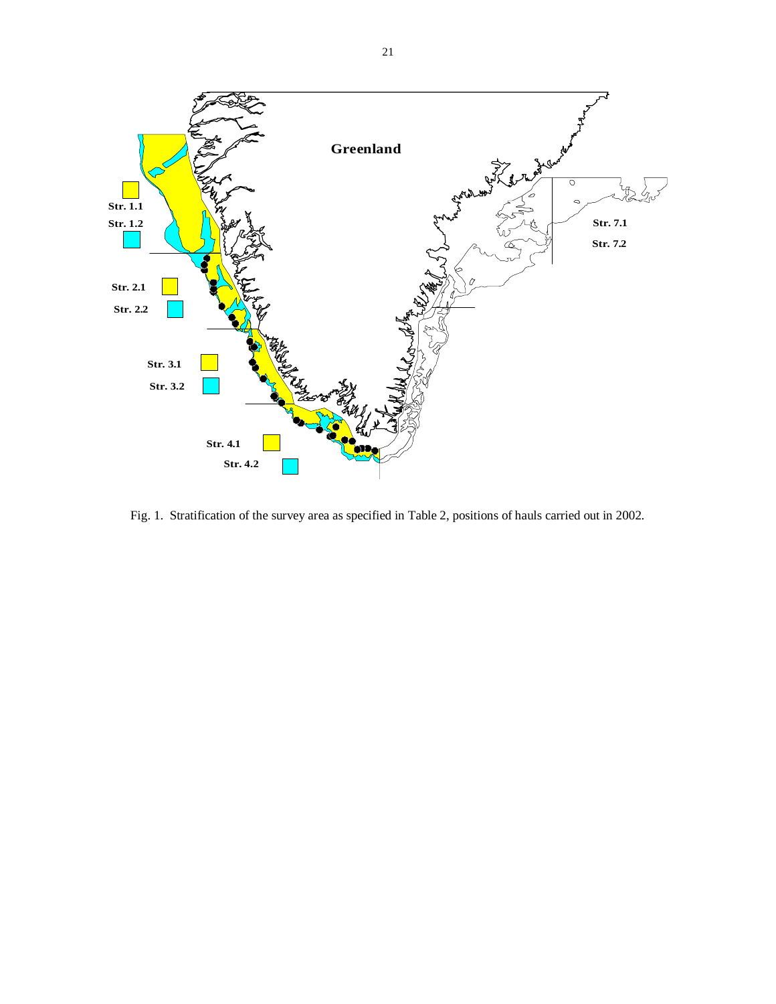

Fig. 1. Stratification of the survey area as specified in Table 2, positions of hauls carried out in 2002.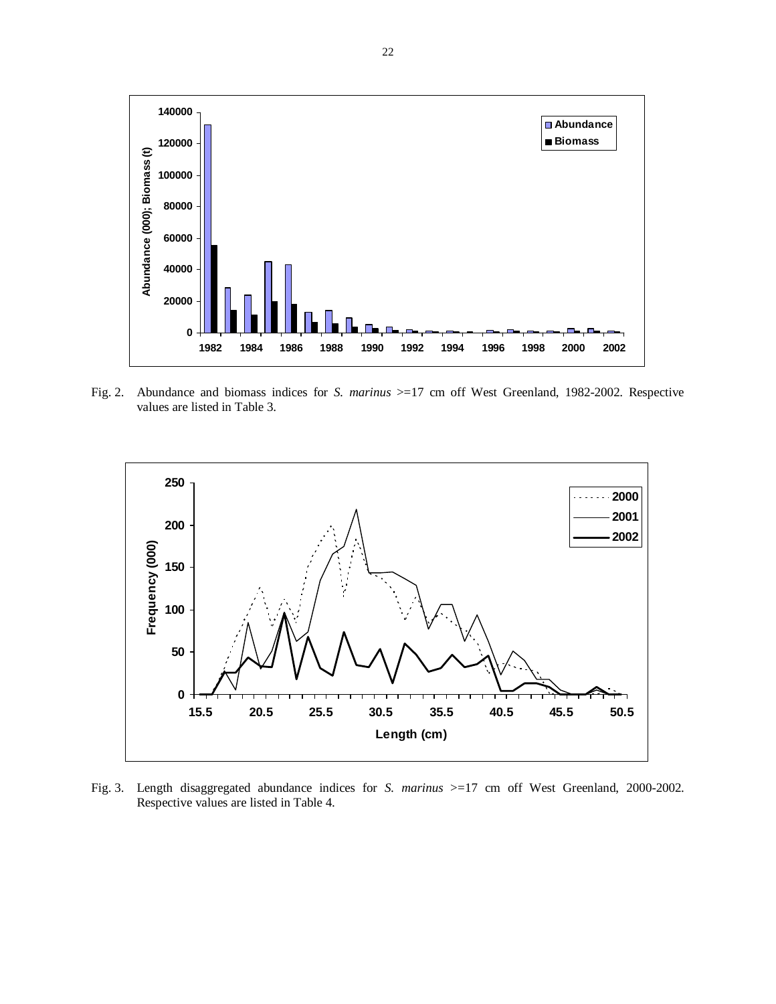

Fig. 2. Abundance and biomass indices for *S. marinus* >=17 cm off West Greenland, 1982-2002. Respective values are listed in Table 3.



Fig. 3. Length disaggregated abundance indices for *S. marinus* >=17 cm off West Greenland, 2000-2002. Respective values are listed in Table 4.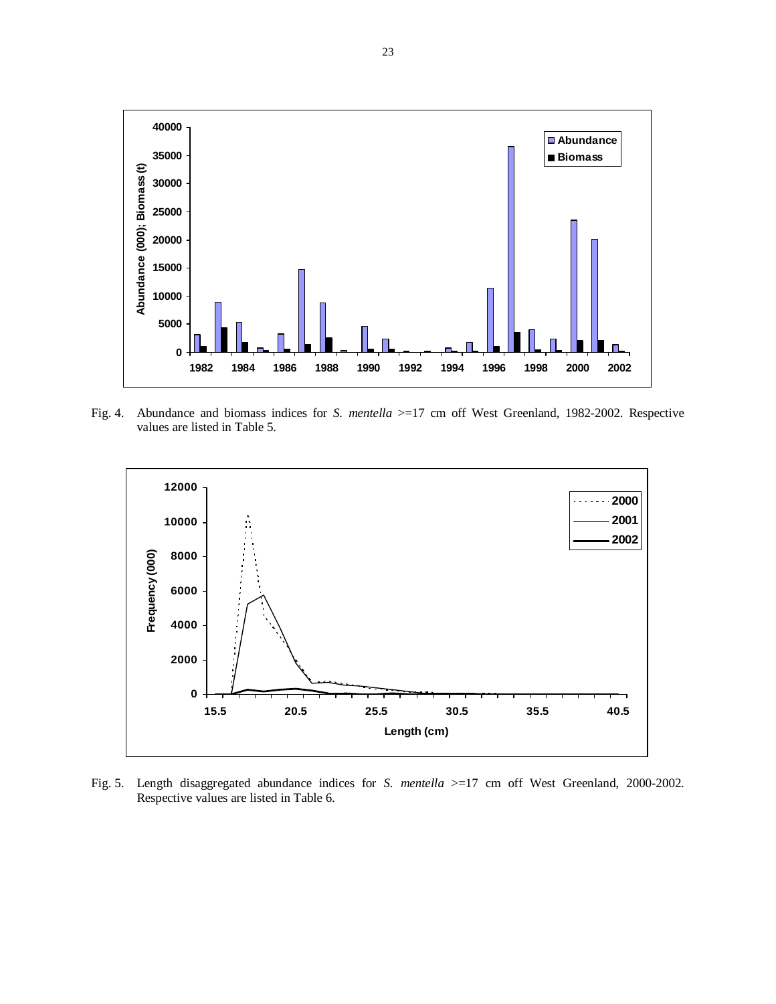

Fig. 4. Abundance and biomass indices for *S. mentella* >=17 cm off West Greenland, 1982-2002. Respective values are listed in Table 5.



Fig. 5. Length disaggregated abundance indices for *S. mentella* >=17 cm off West Greenland, 2000-2002. Respective values are listed in Table 6.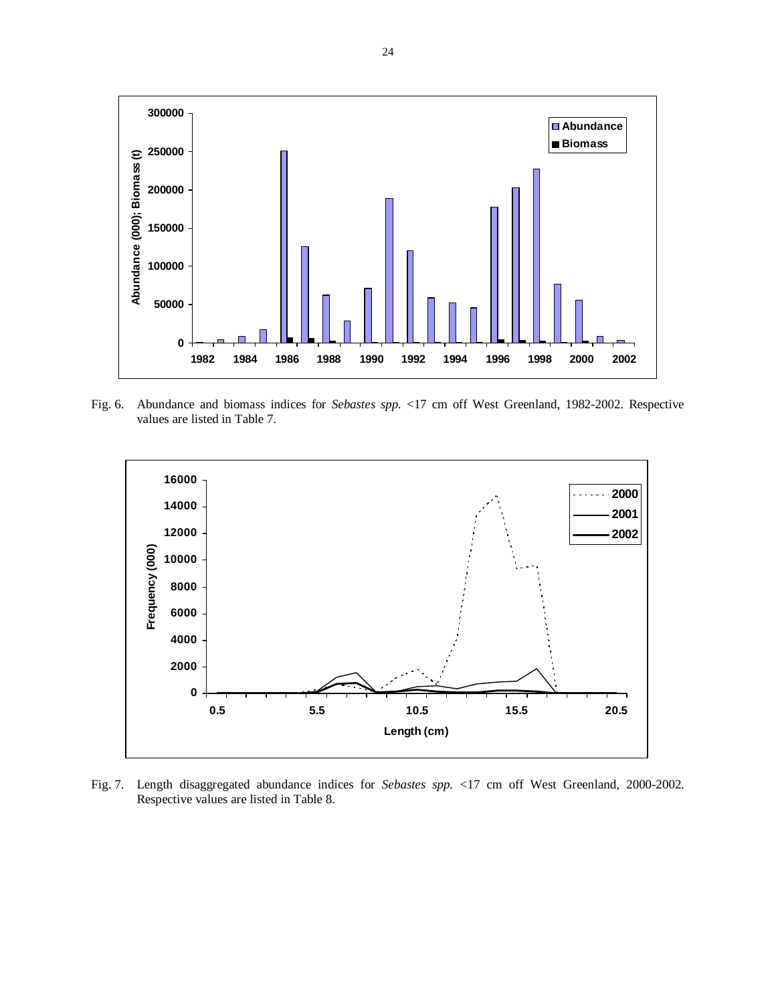

Fig. 6. Abundance and biomass indices for *Sebastes spp.* <17 cm off West Greenland, 1982-2002. Respective values are listed in Table 7.



Fig. 7. Length disaggregated abundance indices for *Sebastes spp.* <17 cm off West Greenland, 2000-2002. Respective values are listed in Table 8.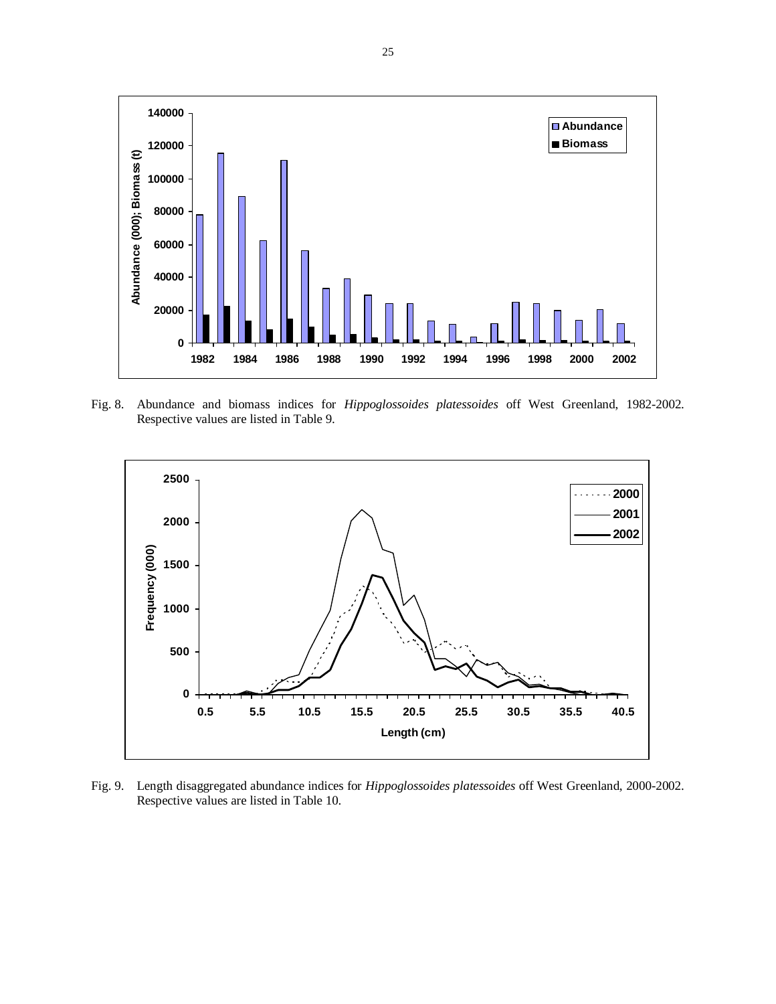

Fig. 8. Abundance and biomass indices for *Hippoglossoides platessoides* off West Greenland, 1982-2002. Respective values are listed in Table 9.



Fig. 9. Length disaggregated abundance indices for *Hippoglossoides platessoides* off West Greenland, 2000-2002. Respective values are listed in Table 10.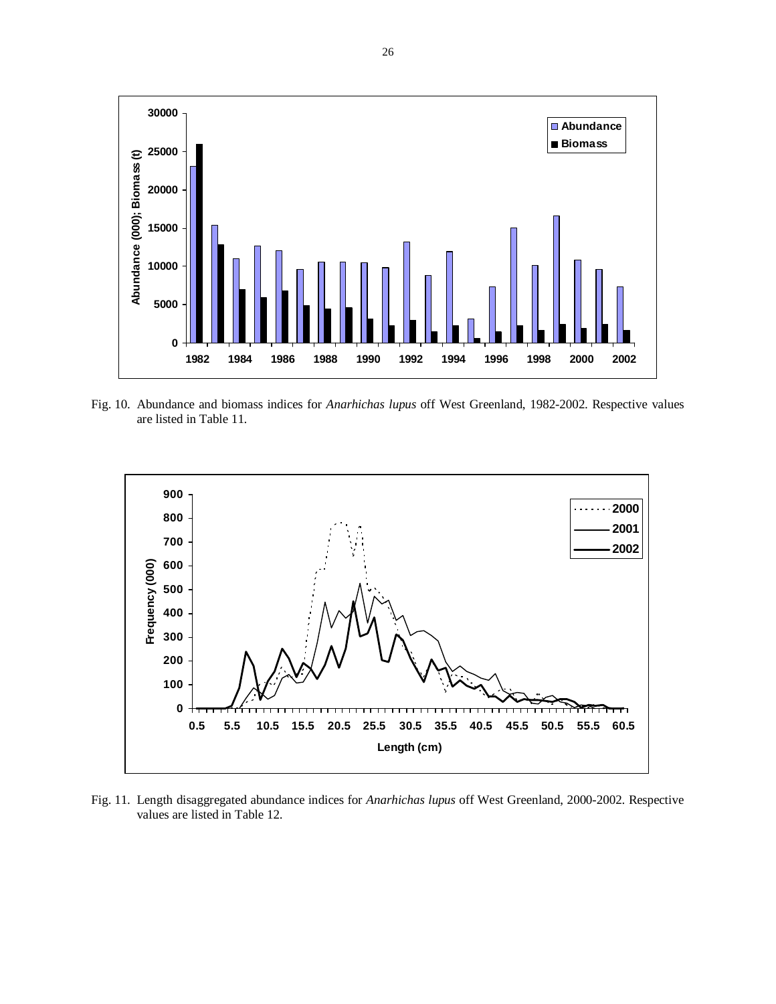

Fig. 10. Abundance and biomass indices for *Anarhichas lupus* off West Greenland, 1982-2002. Respective values are listed in Table 11.



Fig. 11. Length disaggregated abundance indices for *Anarhichas lupus* off West Greenland, 2000-2002. Respective values are listed in Table 12.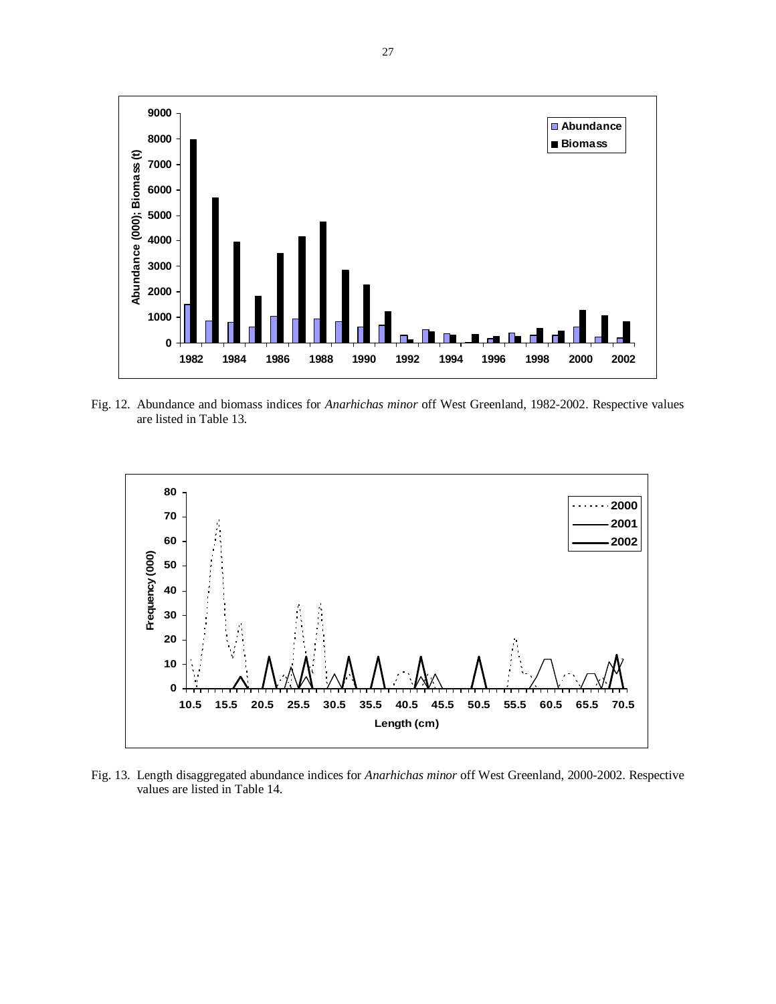

Fig. 12. Abundance and biomass indices for *Anarhichas minor* off West Greenland, 1982-2002. Respective values are listed in Table 13.



Fig. 13. Length disaggregated abundance indices for *Anarhichas minor* off West Greenland, 2000-2002. Respective values are listed in Table 14.